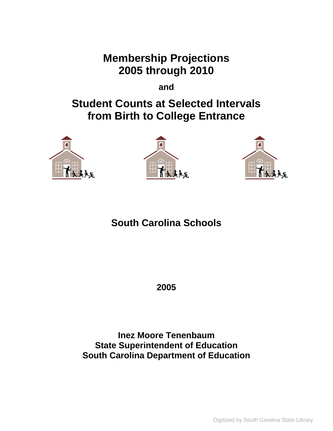**Membership Projections 2005 through 2010** 

**and** 

# **Student Counts at Selected Intervals from Birth to College Entrance**







# **South Carolina Schools**

**2005** 

**Inez Moore Tenenbaum State Superintendent of Education South Carolina Department of Education** 

Digitized by South Carolina State Library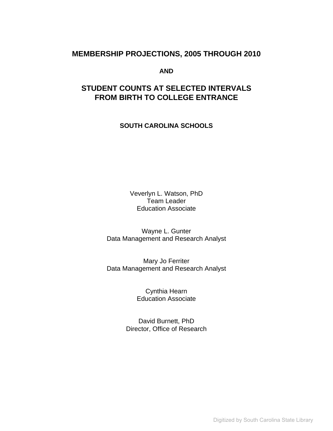#### **MEMBERSHIP PROJECTIONS, 2005 THROUGH 2010**

**AND** 

### **STUDENT COUNTS AT SELECTED INTERVALS FROM BIRTH TO COLLEGE ENTRANCE**

**SOUTH CAROLINA SCHOOLS**

Veverlyn L. Watson, PhD Team Leader Education Associate

Wayne L. Gunter Data Management and Research Analyst

Mary Jo Ferriter Data Management and Research Analyst

> Cynthia Hearn Education Associate

David Burnett, PhD Director, Office of Research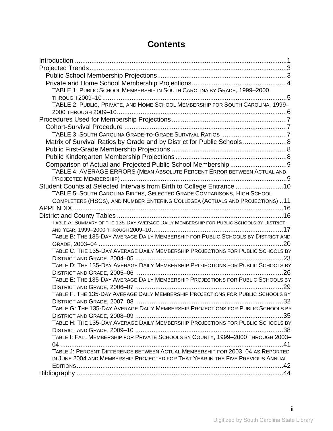## **Contents**

| TABLE 1: PUBLIC SCHOOL MEMBERSHIP IN SOUTH CAROLINA BY GRADE, 1999-2000                 |  |
|-----------------------------------------------------------------------------------------|--|
|                                                                                         |  |
| TABLE 2: PUBLIC, PRIVATE, AND HOME SCHOOL MEMBERSHIP FOR SOUTH CAROLINA, 1999-          |  |
|                                                                                         |  |
|                                                                                         |  |
|                                                                                         |  |
|                                                                                         |  |
| Matrix of Survival Ratios by Grade and by District for Public Schools 8                 |  |
|                                                                                         |  |
|                                                                                         |  |
| Comparison of Actual and Projected Public School Membership 9                           |  |
| TABLE 4: AVERAGE ERRORS (MEAN ABSOLUTE PERCENT ERROR BETWEEN ACTUAL AND                 |  |
|                                                                                         |  |
| Student Counts at Selected Intervals from Birth to College Entrance 10                  |  |
| TABLE 5: SOUTH CAROLINA BIRTHS, SELECTED GRADE COMPARISONS, HIGH SCHOOL                 |  |
| COMPLETERS (HSCS), AND NUMBER ENTERING COLLEGEA (ACTUALS AND PROJECTIONS)11             |  |
|                                                                                         |  |
|                                                                                         |  |
| TABLE A: SUMMARY OF THE 135-DAY AVERAGE DAILY MEMBERSHIP FOR PUBLIC SCHOOLS BY DISTRICT |  |
|                                                                                         |  |
| TABLE B: THE 135-DAY AVERAGE DAILY MEMBERSHIP FOR PUBLIC SCHOOLS BY DISTRICT AND        |  |
|                                                                                         |  |
| TABLE C: THE 135-DAY AVERAGE DAILY MEMBERSHIP PROJECTIONS FOR PUBLIC SCHOOLS BY         |  |
|                                                                                         |  |
| TABLE D: THE 135-DAY AVERAGE DAILY MEMBERSHIP PROJECTIONS FOR PUBLIC SCHOOLS BY         |  |
|                                                                                         |  |
| TABLE E: THE 135-DAY AVERAGE DAILY MEMBERSHIP PROJECTIONS FOR PUBLIC SCHOOLS BY         |  |
|                                                                                         |  |
| TABLE F: THE 135-DAY AVERAGE DAILY MEMBERSHIP PROJECTIONS FOR PUBLIC SCHOOLS BY         |  |
| 32 <sup>-</sup>                                                                         |  |
| TABLE G: THE 135-DAY AVERAGE DAILY MEMBERSHIP PROJECTIONS FOR PUBLIC SCHOOLS BY         |  |
|                                                                                         |  |
| TABLE H: THE 135-DAY AVERAGE DAILY MEMBERSHIP PROJECTIONS FOR PUBLIC SCHOOLS BY         |  |
|                                                                                         |  |
| TABLE I: FALL MEMBERSHIP FOR PRIVATE SCHOOLS BY COUNTY, 1999-2000 THROUGH 2003-         |  |
|                                                                                         |  |
| TABLE J: PERCENT DIFFERENCE BETWEEN ACTUAL MEMBERSHIP FOR 2003-04 AS REPORTED           |  |
| IN JUNE 2004 AND MEMBERSHIP PROJECTED FOR THAT YEAR IN THE FIVE PREVIOUS ANNUAL         |  |
|                                                                                         |  |
|                                                                                         |  |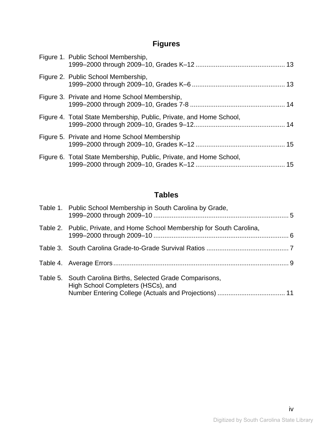# **Figures**

| Figure 1. Public School Membership,                                 |  |
|---------------------------------------------------------------------|--|
| Figure 2. Public School Membership,                                 |  |
| Figure 3. Private and Home School Membership,                       |  |
| Figure 4. Total State Membership, Public, Private, and Home School, |  |
| Figure 5. Private and Home School Membership                        |  |
| Figure 6. Total State Membership, Public, Private, and Home School, |  |

## **Tables**

| Table 1. Public School Membership in South Carolina by Grade,                                     |  |
|---------------------------------------------------------------------------------------------------|--|
| Table 2. Public, Private, and Home School Membership for South Carolina,                          |  |
|                                                                                                   |  |
|                                                                                                   |  |
| Table 5. South Carolina Births, Selected Grade Comparisons,<br>High School Completers (HSCs), and |  |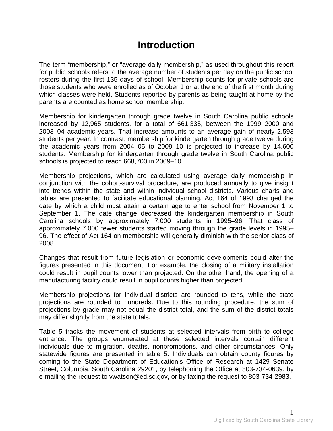# **Introduction**

<span id="page-4-1"></span><span id="page-4-0"></span>The term "membership," or "average daily membership," as used throughout this report for public schools refers to the average number of students per day on the public school rosters during the first 135 days of school. Membership counts for private schools are those students who were enrolled as of October 1 or at the end of the first month during which classes were held. Students reported by parents as being taught at home by the parents are counted as home school membership.

Membership for kindergarten through grade twelve in South Carolina public schools increased by 12,965 students, for a total of 661,335, between the 1999–2000 and 2003–04 academic years. That increase amounts to an average gain of nearly 2,593 students per year. In contrast, membership for kindergarten through grade twelve during the academic years from 2004–05 to 2009–10 is projected to increase by 14,600 students. Membership for kindergarten through grade twelve in South Carolina public schools is projected to reach 668,700 in 2009–10.

Membership projections, which are calculated using average daily membership in conjunction with the cohort-survival procedure, are produced annually to give insight into trends within the state and within individual school districts. Various charts and tables are presented to facilitate educational planning. Act 164 of 1993 changed the date by which a child must attain a certain age to enter school from November 1 to September 1. The date change decreased the kindergarten membership in South Carolina schools by approximately 7,000 students in 1995–96. That class of approximately 7,000 fewer students started moving through the grade levels in 1995– 96. The effect of Act 164 on membership will generally diminish with the senior class of 2008.

Changes that result from future legislation or economic developments could alter the figures presented in this document. For example, the closing of a military installation could result in pupil counts lower than projected. On the other hand, the opening of a manufacturing facility could result in pupil counts higher than projected.

Membership projections for individual districts are rounded to tens, while the state projections are rounded to hundreds. Due to this rounding procedure, the sum of projections by grade may not equal the district total, and the sum of the district totals may differ slightly from the state totals.

Table 5 tracks the movement of students at selected intervals from birth to college entrance. The groups enumerated at these selected intervals contain different individuals due to migration, deaths, nonpromotions, and other circumstances. Only statewide figures are presented in table 5. Individuals can obtain county figures by coming to the State Department of Education's Office of Research at 1429 Senate Street, Columbia, South Carolina 29201, by telephoning the Office at 803-734-0639, by e-mailing the request to vwatson@ed.sc.gov, or by faxing the request to 803-734-2983.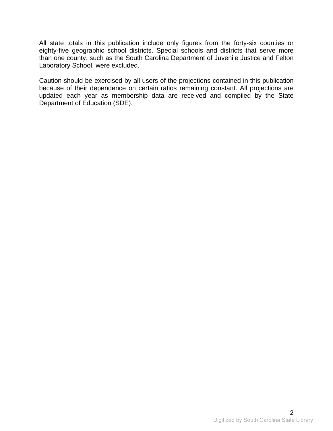All state totals in this publication include only figures from the forty-six counties or eighty-five geographic school districts. Special schools and districts that serve more than one county, such as the South Carolina Department of Juvenile Justice and Felton Laboratory School, were excluded.

Caution should be exercised by all users of the projections contained in this publication because of their dependence on certain ratios remaining constant. All projections are updated each year as membership data are received and compiled by the State Department of Education (SDE).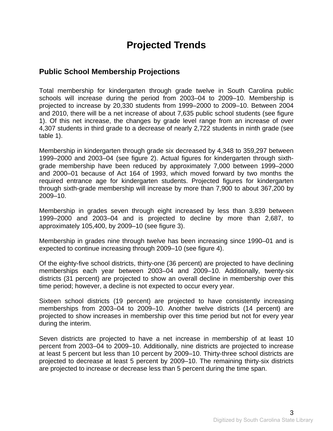# **Projected Trends**

### <span id="page-6-2"></span><span id="page-6-1"></span><span id="page-6-0"></span>**Public School Membership Projections**

Total membership for kindergarten through grade twelve in South Carolina public schools will increase during the period from 2003–04 to 2009–10. Membership is projected to increase by 20,330 students from 1999–2000 to 2009–10. Between 2004 and 2010, there will be a net increase of about 7,635 public school students (see figure 1). Of this net increase, the changes by grade level range from an increase of over 4,307 students in third grade to a decrease of nearly 2,722 students in ninth grade (see table 1).

Membership in kindergarten through grade six decreased by 4,348 to 359,297 between 1999–2000 and 2003–04 (see figure 2). Actual figures for kindergarten through sixthgrade membership have been reduced by approximately 7,000 between 1999–2000 and 2000–01 because of Act 164 of 1993, which moved forward by two months the required entrance age for kindergarten students. Projected figures for kindergarten through sixth-grade membership will increase by more than 7,900 to about 367,200 by 2009–10.

Membership in grades seven through eight increased by less than 3,839 between 1999–2000 and 2003–04 and is projected to decline by more than 2,687, to approximately 105,400, by 2009–10 (see figure 3).

Membership in grades nine through twelve has been increasing since 1990–01 and is expected to continue increasing through 2009–10 (see figure 4).

Of the eighty-five school districts, thirty-one (36 percent) are projected to have declining memberships each year between 2003–04 and 2009–10. Additionally, twenty-six districts (31 percent) are projected to show an overall decline in membership over this time period; however, a decline is not expected to occur every year.

Sixteen school districts (19 percent) are projected to have consistently increasing memberships from 2003–04 to 2009–10. Another twelve districts (14 percent) are projected to show increases in membership over this time period but not for every year during the interim.

Seven districts are projected to have a net increase in membership of at least 10 percent from 2003–04 to 2009–10. Additionally, nine districts are projected to increase at least 5 percent but less than 10 percent by 2009–10. Thirty-three school districts are projected to decrease at least 5 percent by 2009–10. The remaining thirty-six districts are projected to increase or decrease less than 5 percent during the time span.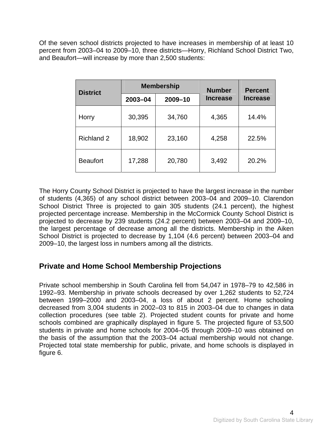<span id="page-7-0"></span>Of the seven school districts projected to have increases in membership of at least 10 percent from 2003–04 to 2009–10, three districts—Horry, Richland School District Two, and Beaufort—will increase by more than 2,500 students:

| <b>District</b>   |         | <b>Membership</b> | <b>Number</b>   | <b>Percent</b>  |
|-------------------|---------|-------------------|-----------------|-----------------|
|                   | 2003-04 | 2009-10           | <b>Increase</b> | <b>Increase</b> |
| Horry             | 30,395  | 34,760            | 4,365           | 14.4%           |
| <b>Richland 2</b> | 18,902  | 23,160            | 4,258           | 22.5%           |
| <b>Beaufort</b>   | 17,288  | 20,780            | 3,492           | 20.2%           |

The Horry County School District is projected to have the largest increase in the number of students (4,365) of any school district between 2003–04 and 2009–10. Clarendon School District Three is projected to gain 305 students (24.1 percent), the highest projected percentage increase. Membership in the McCormick County School District is projected to decrease by 239 students (24.2 percent) between 2003–04 and 2009–10, the largest percentage of decrease among all the districts. Membership in the Aiken School District is projected to decrease by 1,104 (4.6 percent) between 2003–04 and 2009–10, the largest loss in numbers among all the districts.

### <span id="page-7-1"></span>**Private and Home School Membership Projections**

Private school membership in South Carolina fell from 54,047 in 1978–79 to 42,586 in 1992–93. Membership in private schools decreased by over 1,262 students to 52,724 between 1999–2000 and 2003–04, a loss of about 2 percent. Home schooling decreased from 3,004 students in 2002–03 to 815 in 2003–04 due to changes in data collection procedures (see table 2). Projected student counts for private and home schools combined are graphically displayed in figure 5. The projected figure of 53,500 students in private and home schools for 2004–05 through 2009–10 was obtained on the basis of the assumption that the 2003–04 actual membership would not change. Projected total state membership for public, private, and home schools is displayed in figure 6.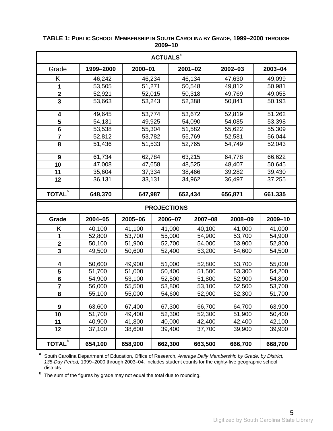<span id="page-8-1"></span>

| <b>ACTUALS<sup>ª</sup></b> |           |         |                  |        |             |         |         |                  |  |  |  |  |
|----------------------------|-----------|---------|------------------|--------|-------------|---------|---------|------------------|--|--|--|--|
| Grade                      | 1999-2000 | 2000-01 |                  |        | $2001 - 02$ |         | 2002-03 | 2003-04          |  |  |  |  |
| Κ                          | 46,242    | 46,234  |                  | 46,134 |             | 47,630  |         | 49,099           |  |  |  |  |
| 1                          | 53,505    | 51,271  |                  | 50,548 |             | 49,812  |         | 50,981           |  |  |  |  |
| $\overline{\mathbf{2}}$    | 52,921    |         | 52,015           |        | 50,318      |         | 49,769  | 49,055           |  |  |  |  |
| $\overline{\mathbf{3}}$    | 53,663    | 53,243  |                  |        | 52,388      |         | 50,841  | 50,193           |  |  |  |  |
|                            |           |         |                  |        |             |         |         |                  |  |  |  |  |
| 4                          | 49,645    | 53,774  |                  |        | 53,672      |         | 52,819  | 51,262           |  |  |  |  |
| 5                          | 54,131    | 49,925  |                  |        | 54,090      |         | 54,085  | 53,398           |  |  |  |  |
| 6                          | 53,538    |         | 55,304           |        | 51,582      |         | 55,622  | 55,309           |  |  |  |  |
| $\overline{\mathbf{r}}$    | 52,812    |         | 53,782           |        | 55,769      |         | 52,581  | 56,044           |  |  |  |  |
| 8                          | 51,436    | 51,533  |                  |        | 52,765      |         | 54,749  | 52,043           |  |  |  |  |
| 9                          | 61,734    | 62,784  |                  |        | 63,215      |         | 64,778  | 66,622           |  |  |  |  |
| 10                         | 47,008    | 47,658  |                  |        | 48,525      |         | 48,407  | 50,645           |  |  |  |  |
| 11                         | 35,604    |         | 37,334           |        | 38,466      |         | 39,282  | 39,430           |  |  |  |  |
| 12                         | 36,131    | 33,131  |                  |        | 34,962      |         | 36,497  | 37,255           |  |  |  |  |
|                            |           |         |                  |        |             |         |         |                  |  |  |  |  |
| <b>TOTAL</b> <sup>b</sup>  | 648,370   | 647,987 | 652,434          |        |             | 656,871 |         | 661,335          |  |  |  |  |
| <b>PROJECTIONS</b>         |           |         |                  |        |             |         |         |                  |  |  |  |  |
|                            |           |         |                  |        |             |         |         |                  |  |  |  |  |
| Grade                      | 2004-05   | 2005-06 | 2006-07          |        | 2007-08     |         | 2008-09 | 2009-10          |  |  |  |  |
| Κ                          | 40,100    | 41,100  | 41,000           |        | 40,100      |         | 41,000  | 41,000           |  |  |  |  |
| 1                          | 52,800    | 53,700  | 55,000           |        | 54,900      |         | 53,700  | 54,900           |  |  |  |  |
| $\mathbf{2}$               | 50,100    | 51,900  | 52,700           |        | 54,000      |         | 53,900  | 52,800           |  |  |  |  |
| 3                          | 49,500    | 50,600  | 52,400           |        | 53,200      |         | 54,600  | 54,500           |  |  |  |  |
|                            |           |         |                  |        |             |         |         |                  |  |  |  |  |
| $\overline{\mathbf{4}}$    | 50,600    | 49,900  | 51,000           |        | 52,800      |         | 53,700  | 55,000           |  |  |  |  |
| 5                          | 51,700    | 51,000  | 50,400           |        | 51,500      |         | 53,300  | 54,200           |  |  |  |  |
| $6\phantom{1}$             | 54,900    | 53,100  | 52,500           |        | 51,800      |         | 52,900  | 54,800           |  |  |  |  |
| $\overline{7}$             | 56,000    | 55,500  | 53,800           |        | 53,100      |         | 52,500  | 53,700           |  |  |  |  |
| 8                          | 55,100    | 55,000  | 54,600           |        | 52,900      |         | 52,300  | 51,700           |  |  |  |  |
| $\boldsymbol{9}$           | 63,600    | 67,400  | 67,300           |        | 66,700      |         | 64,700  | 63,900           |  |  |  |  |
| 10                         | 51,700    | 49,400  |                  |        | 52,300      |         | 51,900  |                  |  |  |  |  |
| 11                         | 40,900    | 41,800  | 52,300<br>40,000 |        | 42,400      |         | 42,400  | 50,400<br>42,100 |  |  |  |  |
| 12                         | 37,100    | 38,600  | 39,400           |        | 37,700      |         | 39,900  | 39,900           |  |  |  |  |
| <b>TOTAL</b> <sup>b</sup>  |           |         |                  |        |             |         |         |                  |  |  |  |  |

#### <span id="page-8-0"></span>**TABLE 1: PUBLIC SCHOOL MEMBERSHIP IN SOUTH CAROLINA BY GRADE, 1999–2000 THROUGH 2009–10**

**a** South Carolina Department of Education, Office of Research, *Average Daily Membership by Grade, by District, 135-Day Period,* 1999–2000 through 2003–04. Includes student counts for the eighty-five geographic school districts.

**<sup>b</sup>** The sum of the figures by grade may not equal the total due to rounding.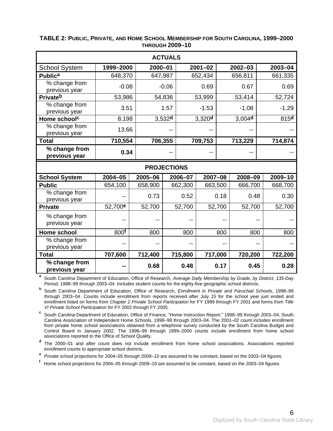|                                |                     |                    | <b>ACTUALS</b>     |         |                    |        |                    |  |                  |
|--------------------------------|---------------------|--------------------|--------------------|---------|--------------------|--------|--------------------|--|------------------|
| <b>School System</b>           | 1999-2000           | 2000-01            |                    |         | $2001 - 02$        |        | $2002 - 03$        |  | 2003-04          |
| <b>Publica</b>                 | 648,370             | 647,987            |                    |         | 652,434            |        | 656,811            |  | 661,335          |
| % change from<br>previous year | $-0.08$             |                    | $-0.06$            |         | 0.69               |        | 0.67               |  | 0.69             |
| Privateb                       | 53,986              |                    | 54,836             |         | 53,999             |        | 53,414             |  | 52,724           |
| % change from<br>previous year | 3.51                |                    | 1.57               |         | $-1.53$            |        | $-1.08$            |  | $-1.29$          |
| Home school <sup>c</sup>       | 8,198               |                    | 3,532 <sup>d</sup> |         | 3,320 <sup>d</sup> |        | 3,004 <sup>d</sup> |  | 815 <sup>d</sup> |
| % change from<br>previous year | 13.66               |                    |                    |         |                    |        |                    |  |                  |
| <b>Total</b>                   | 710,554             | 706,355            |                    |         | 709,753            |        | 713,229            |  | 714,874          |
| % change from<br>previous year | 0.34                |                    |                    |         |                    |        |                    |  |                  |
|                                |                     | <b>PROJECTIONS</b> |                    |         |                    |        |                    |  |                  |
| <b>School System</b>           | 2004-05             | 2005-06            |                    | 2006-07 | $2007 - 08$        |        | 2008-09            |  | 2009-10          |
| <b>Public</b>                  | 654,100             | 658,900            |                    | 662,300 | 663,500            |        | 666,700            |  | 668,700          |
| % change from<br>previous year |                     | 0.73               |                    | 0.52    |                    | 0.18   | 0.48               |  | 0.30             |
| <b>Private</b>                 | 52,700 <sup>e</sup> | 52,700             |                    | 52,700  |                    | 52,700 | 52,700             |  | 52,700           |
| % change from<br>previous year |                     |                    |                    |         |                    |        |                    |  |                  |
|                                |                     |                    |                    |         |                    |        |                    |  |                  |
| Home school                    | 800 <sup>f</sup>    | 800                |                    | 800     |                    | 800    | 800                |  | 800              |
| % change from<br>previous year |                     |                    |                    | --      |                    |        |                    |  |                  |
| <b>Total</b>                   | 707,600             | 712,400            |                    | 715,800 | 717,000            |        | 720,200            |  | 722,200          |

#### <span id="page-9-1"></span><span id="page-9-0"></span>**TABLE 2: PUBLIC, PRIVATE, AND HOME SCHOOL MEMBERSHIP FOR SOUTH CAROLINA, 1999–2000 THROUGH 2009–10**

**<sup>a</sup>** South Carolina Department of Education, Office of Research, *Average Daily Membership by Grade, by District, 135-Day Period,* 1998–99 through 2003–04. Includes student counts for the eighty-five geographic school districts.

**b** South Carolina Department of Education, Office of Research, *Enrollment in Private and Parochial Schools*, 1998–99 through 2003–04. Counts include enrollment from reports received after July 15 for the school year just ended and enrollment listed on forms from *Chapter 2 Private School Participation* for FY 1999 through FY 2001 and forms from *Title VI Private School Participation* for FY 2002 through FY 2005.

<sup>c</sup> South Carolina Department of Education, Office of Finance, "Home Instruction Report," 1998–99 through 2003–04, South Carolina Association of Independent Home Schools, 1998–99 through 2003–04. The 2001–02 count includes enrollment from private home school associations obtained from a telephone survey conducted by the South Carolina Budget and Control Board in January 2002. The 1998–99 through 1999–2000 counts include enrollment from home school associations reported to the Office of School Quality.

**<sup>d</sup>**The 2000–01 and after count does not include enrollment from home school associations. Associations reported enrollment counts to appropriate school districts.

<sup>e</sup> Private school projections for 2004–05 through 2009–10 are assumed to be constant, based on the 2003–04 figures.

**<sup>f</sup>**Home school projections for 2004–05 through 2009–10 are assumed to be constant, based on the 2003–04 figures.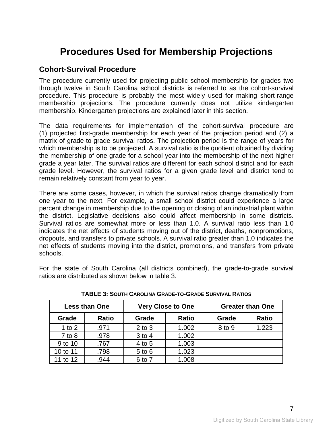# <span id="page-10-0"></span>**Procedures Used for Membership Projections**

### <span id="page-10-2"></span><span id="page-10-1"></span>**Cohort-Survival Procedure**

The procedure currently used for projecting public school membership for grades two through twelve in South Carolina school districts is referred to as the cohort-survival procedure. This procedure is probably the most widely used for making short-range membership projections. The procedure currently does not utilize kindergarten membership. Kindergarten projections are explained later in this section.

The data requirements for implementation of the cohort-survival procedure are (1) projected first-grade membership for each year of the projection period and (2) a matrix of grade-to-grade survival ratios. The projection period is the range of years for which membership is to be projected. A survival ratio is the quotient obtained by dividing the membership of one grade for a school year into the membership of the next higher grade a year later. The survival ratios are different for each school district and for each grade level. However, the survival ratios for a given grade level and district tend to remain relatively constant from year to year.

There are some cases, however, in which the survival ratios change dramatically from one year to the next. For example, a small school district could experience a large percent change in membership due to the opening or closing of an industrial plant within the district. Legislative decisions also could affect membership in some districts. Survival ratios are somewhat more or less than 1.0. A survival ratio less than 1.0 indicates the net effects of students moving out of the district, deaths, nonpromotions, dropouts, and transfers to private schools. A survival ratio greater than 1.0 indicates the net effects of students moving into the district, promotions, and transfers from private schools.

<span id="page-10-3"></span>For the state of South Carolina (all districts combined), the grade-to-grade survival ratios are distributed as shown below in table 3.

|            | <b>Less than One</b> |            | <b>Very Close to One</b> | <b>Greater than One</b> |              |  |  |  |
|------------|----------------------|------------|--------------------------|-------------------------|--------------|--|--|--|
| Grade      | <b>Ratio</b>         | Grade      | Ratio                    | Grade                   | <b>Ratio</b> |  |  |  |
| 1 to $2$   | .971                 | $2$ to $3$ | 1.002                    | 8 to 9                  | 1.223        |  |  |  |
| $7$ to $8$ | .978                 | 3 to 4     | 1.002                    |                         |              |  |  |  |
| 9 to 10    | .767                 | 4 to 5     | 1.003                    |                         |              |  |  |  |
| 10 to 11   | .798                 | $5$ to $6$ | 1.023                    |                         |              |  |  |  |
| 11 to 12   | .944                 | 6 to 7     | 1.008                    |                         |              |  |  |  |

**TABLE 3: SOUTH CAROLINA GRADE-TO-GRADE SURVIVAL RATIOS**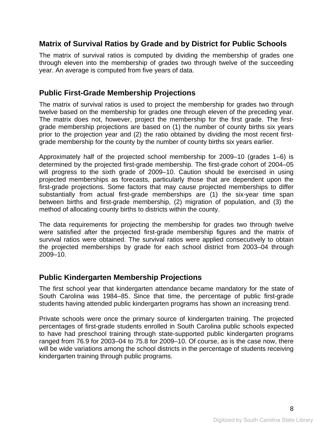### <span id="page-11-1"></span><span id="page-11-0"></span>**Matrix of Survival Ratios by Grade and by District for Public Schools**

The matrix of survival ratios is computed by dividing the membership of grades one through eleven into the membership of grades two through twelve of the succeeding year. An average is computed from five years of data.

### <span id="page-11-2"></span>**Public First-Grade Membership Projections**

The matrix of survival ratios is used to project the membership for grades two through twelve based on the membership for grades one through eleven of the preceding year. The matrix does not, however, project the membership for the first grade. The firstgrade membership projections are based on (1) the number of county births six years prior to the projection year and (2) the ratio obtained by dividing the most recent firstgrade membership for the county by the number of county births six years earlier.

Approximately half of the projected school membership for 2009–10 (grades 1–6) is determined by the projected first-grade membership. The first-grade cohort of 2004–05 will progress to the sixth grade of 2009–10. Caution should be exercised in using projected memberships as forecasts, particularly those that are dependent upon the first-grade projections. Some factors that may cause projected memberships to differ substantially from actual first-grade memberships are (1) the six-year time span between births and first-grade membership, (2) migration of population, and (3) the method of allocating county births to districts within the county.

The data requirements for projecting the membership for grades two through twelve were satisfied after the projected first-grade membership figures and the matrix of survival ratios were obtained. The survival ratios were applied consecutively to obtain the projected memberships by grade for each school district from 2003–04 through 2009–10.

### <span id="page-11-3"></span>**Public Kindergarten Membership Projections**

The first school year that kindergarten attendance became mandatory for the state of South Carolina was 1984–85. Since that time, the percentage of public first-grade students having attended public kindergarten programs has shown an increasing trend.

Private schools were once the primary source of kindergarten training. The projected percentages of first-grade students enrolled in South Carolina public schools expected to have had preschool training through state-supported public kindergarten programs ranged from 76.9 for 2003–04 to 75.8 for 2009–10. Of course, as is the case now, there will be wide variations among the school districts in the percentage of students receiving kindergarten training through public programs.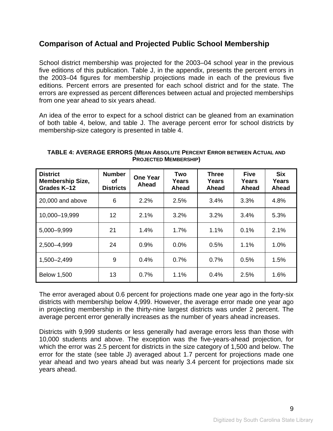### <span id="page-12-1"></span><span id="page-12-0"></span>**Comparison of Actual and Projected Public School Membership**

School district membership was projected for the 2003–04 school year in the previous five editions of this publication. Table J, in the appendix, presents the percent errors in the 2003–04 figures for membership projections made in each of the previous five editions. Percent errors are presented for each school district and for the state. The errors are expressed as percent differences between actual and projected memberships from one year ahead to six years ahead.

An idea of the error to expect for a school district can be gleaned from an examination of both table 4, below, and table J. The average percent error for school districts by membership-size category is presented in table 4.

<span id="page-12-2"></span>

| <b>District</b><br><b>Membership Size,</b><br>Grades K-12 | <b>Number</b><br>οf<br><b>Districts</b> | <b>One Year</b><br>Ahead | Two<br><b>Years</b><br>Ahead | <b>Three</b><br>Years<br>Ahead | <b>Five</b><br>Years<br>Ahead | <b>Six</b><br>Years<br>Ahead |
|-----------------------------------------------------------|-----------------------------------------|--------------------------|------------------------------|--------------------------------|-------------------------------|------------------------------|
| 20,000 and above                                          | 6                                       | 2.2%                     | 2.5%                         | 3.4%                           | 3.3%                          | 4.8%                         |
| 10,000-19,999                                             | 12                                      | 2.1%                     | 3.2%                         | 3.2%                           | 3.4%                          | 5.3%                         |
| 5,000-9,999                                               | 21                                      | 1.4%                     | 1.7%                         | 1.1%                           | 0.1%                          | 2.1%                         |
| 2,500-4,999                                               | 24                                      | 0.9%                     | $0.0\%$                      | 0.5%                           | 1.1%                          | 1.0%                         |
| 1,500-2,499                                               | 9                                       | 0.4%                     | 0.7%                         | 0.7%                           | 0.5%                          | 1.5%                         |
| <b>Below 1,500</b>                                        | 13                                      | 0.7%                     | 1.1%                         | 0.4%                           | 2.5%                          | 1.6%                         |

#### **TABLE 4: AVERAGE ERRORS (MEAN ABSOLUTE PERCENT ERROR BETWEEN ACTUAL AND PROJECTED MEMBERSHIP)**

The error averaged about 0.6 percent for projections made one year ago in the forty-six districts with membership below 4,999. However, the average error made one year ago in projecting membership in the thirty-nine largest districts was under 2 percent. The average percent error generally increases as the number of years ahead increases.

Districts with 9,999 students or less generally had average errors less than those with 10,000 students and above. The exception was the five-years-ahead projection, for which the error was 2.5 percent for districts in the size category of 1,500 and below. The error for the state (see table J) averaged about 1.7 percent for projections made one year ahead and two years ahead but was nearly 3.4 percent for projections made six years ahead.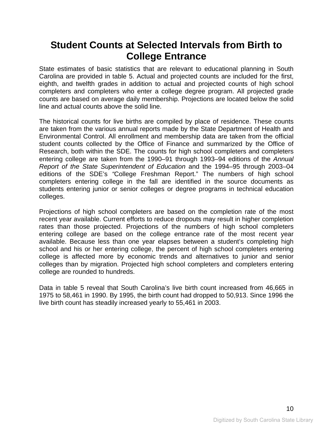## <span id="page-13-0"></span>**Student Counts at Selected Intervals from Birth to College Entrance**

<span id="page-13-1"></span>State estimates of basic statistics that are relevant to educational planning in South Carolina are provided in table 5. Actual and projected counts are included for the first, eighth, and twelfth grades in addition to actual and projected counts of high school completers and completers who enter a college degree program. All projected grade counts are based on average daily membership. Projections are located below the solid line and actual counts above the solid line.

The historical counts for live births are compiled by place of residence. These counts are taken from the various annual reports made by the State Department of Health and Environmental Control. All enrollment and membership data are taken from the official student counts collected by the Office of Finance and summarized by the Office of Research, both within the SDE. The counts for high school completers and completers entering college are taken from the 1990–91 through 1993–94 editions of the *Annual Report of the State Superintendent of Education* and the 1994–95 through 2003–04 editions of the SDE's *"*College Freshman Report." The numbers of high school completers entering college in the fall are identified in the source documents as students entering junior or senior colleges or degree programs in technical education colleges.

Projections of high school completers are based on the completion rate of the most recent year available. Current efforts to reduce dropouts may result in higher completion rates than those projected. Projections of the numbers of high school completers entering college are based on the college entrance rate of the most recent year available. Because less than one year elapses between a student's completing high school and his or her entering college, the percent of high school completers entering college is affected more by economic trends and alternatives to junior and senior colleges than by migration. Projected high school completers and completers entering college are rounded to hundreds.

Data in table 5 reveal that South Carolina's live birth count increased from 46,665 in 1975 to 58,461 in 1990. By 1995, the birth count had dropped to 50,913. Since 1996 the live birth count has steadily increased yearly to 55,461 in 2003.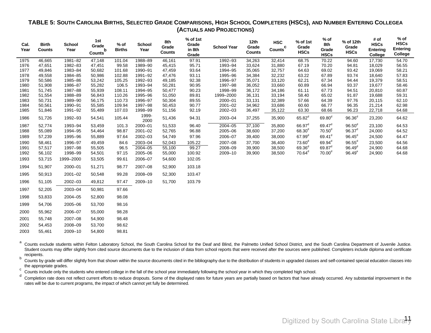#### **TABLE 5: SOUTH CAROLINA BIRTHS, SELECTED GRADE COMPARISONS, HIGH SCHOOL COMPLETERS (HSCS), AND NUMBER ENTERING COLLEGEA (ACTUALS AND PROJECTIONS)**

| Cal.<br>Year | <b>Birth</b><br><b>Counts</b> | <b>School</b><br>Year | 1st<br>Grade<br>b<br>Counts | $%$ of<br><b>Births</b> | <b>School</b><br>Year | 8th<br>Grade<br>Counts | % of 1st<br>Grade<br>in 8th<br>Grade | <b>School Year</b> | 12th<br>Grade<br><b>Counts</b> | <b>HSC</b><br>c<br>Counts | % of 1st<br>Grade<br><b>HSCs</b> | $%$ of<br>8th<br>Grade<br><b>HSCs</b> | % of 12th<br>Grade<br><b>HSCs</b> | # of<br><b>HSCs</b><br><b>Entering</b><br>College | % of<br><b>HSCs</b><br><b>Entering</b><br>College |
|--------------|-------------------------------|-----------------------|-----------------------------|-------------------------|-----------------------|------------------------|--------------------------------------|--------------------|--------------------------------|---------------------------|----------------------------------|---------------------------------------|-----------------------------------|---------------------------------------------------|---------------------------------------------------|
| 1975         | 46,665                        | 1981-82               | 47,148                      | 101.04                  | 1988-89               | 46,161                 | 97.91                                | 1992-93            | 34,263                         | 32,414                    | 68.75                            | 70.22                                 | 94.60                             | 17,730                                            | 54.70                                             |
| 1976         | 47,651                        | 1982-83               | 47,451                      | 99.58                   | 1989-90               | 45,415                 | 95.71                                | 1993-94            | 33,624                         | 31,880                    | 67.19                            | 70.20                                 | 94.81                             | 18,029                                            | 56.55                                             |
| 1977         | 49,846                        | 1983-84               | 50,682                      | 101.68                  | 1990-91               | 47,459                 | 93.64                                | 1994-95            | 35,065                         | 32,757                    | 64.63                            | 69.02                                 | 93.42                             | 19,069                                            | 58.21                                             |
| 1978         | 49,558                        | 1984-85               | 50,986                      | 102.88                  | 1991-92               | 47,476                 | 93.11                                | 1995-96            | 34,384                         | 32,232                    | 63.22                            | 67.89                                 | 93.74                             | 18,640                                            | 57.83                                             |
| 1979         | 50,586                        | 1985-86               | 53,242                      | 105.25                  | 1992-93               | 49,185                 | 92.38                                | 1996-97            | 35,071                         | 33,120                    | 62.21                            | 67.34                                 | 94.44                             | 19,379                                            | 58.51                                             |
| 1980         | 51,908                        | 1986-87               | 55,282                      | 106.5                   | 1993-94               | 50,281                 | 90.95                                | 1997-98            | 36,052                         | 33,660                    | 60.89                            | 66.94                                 | 93.37                             | 19,677                                            | 58.46                                             |
| 1981         | 51,745                        | 1987-88               | 55,939                      | 108.11                  | 1994-95               | 50,477                 | 90.23                                | 1998-99            | 36,172                         | 34,186                    | 61.11                            | 67.73                                 | 94.51                             | 20,810                                            | 60.87                                             |
| 1982         | 51,554                        | 1988-89               | 56,843                      | 110.26                  | 1995-96               | 51,050                 | 89.81                                | 1999-2000          | 36,131                         | 33,194                    | 58.40                            | 65.02                                 | 91.87                             | 19,688                                            | 59.31                                             |
| 1983         | 50,731                        | 1989-90               | 56,175                      | 110.73                  | 1996-97               | 50,304                 | 89.55                                | 2000-01            | 33,131                         | 32,389                    | 57.66                            | 64.39                                 | 97.76                             | 20,115                                            | 62.10                                             |
| 1984         | 50,561                        | 1990-91               | 55,585                      | 109.94                  | 1997-98               | 50,453                 | 90.77                                | $2001 - 02$        | 34,962                         | 33,686                    | 60.60                            | 66.77                                 | 96.35                             | 21,214                                            | 62.98                                             |
| 1985         | 51,846                        | 1991-92               | 55,489                      | 107.03                  | 1998-99               | 51,156                 | 92.19                                | 2002-03            | 36,497                         | 35,122                    | 63.30                            | 68.66                                 | 96.23                             | 22,718                                            | 64.68                                             |
| 1986         | 51,726                        | 1992-93               | 54,541                      | 105.44                  | 1999-<br>2000         | 51,436                 | 94.31                                | 2003-04            | 37,255                         | 35,900                    | $65.82^\circ$                    | 69.80 <sup>d</sup>                    | 96.36 <sup>d</sup>                | 23,200                                            | 64.62                                             |
| 1987         | 52,774                        | 1993-94               | 53,459                      | 101.3                   | 2000-01               | 51,533                 | 96.40                                | 2004-05            | 37,100                         | 35,800                    | $66.97^{\circ}$                  | $69.47^{\circ}$                       | 96.50 <sup>d</sup>                | 23,100                                            | 64.53                                             |
| 1988         | 55,089                        | 1994-95               | 54,464                      | 98.87                   | $2001 - 02$           | 52,765                 | 96.88                                | 2005-06            | 38,600                         | 37,200                    | 68.30 <sup>d</sup>               | 70.50 <sup>d</sup>                    | $96.37^d$                         | 24,000                                            | 64.52                                             |
| 1989         | 57,239                        | 1995-96               | 55,889                      | 97.64                   | $2002 - 03$           | 54,749                 | 97.96                                | 2006-07            | 39,400                         | 38,000                    | $67.99^d$                        | $69.41^d$                             | $96.45^{\circ}$                   | 24,500                                            | 64.47                                             |
| 1990         | 58,461                        | 1996-97               | 49,459                      | 84.6                    | 2003-04               | 52,043                 | 105.22                               | 2007-08            | 37,700                         | 36,400                    | 73.60 <sup>d</sup>               | $69.94^{\circ}$                       | $96.55^{\circ}$                   | 23,500                                            | 64.56                                             |
| 1991         | 57,517                        | 1997-98               | 55,505                      | 96.5                    | $2004 - 05$           | 55,100                 | 99.27                                | 2008-09            | 39,900                         | 38,500                    | 69.36 <sup>d</sup>               | $69.87$ <sup>d</sup>                  | $96.49^d$                         | 24,900                                            | 64.68                                             |
| 1992         | 56,102                        | 1998-99               | 54,501                      | 97.15                   | 2005-06               | 55,000                 | 100.92                               | 2009-10            | 39,900                         | 38,500                    | $70.64^\circ$                    | 70.00 <sup>d</sup>                    | 96.49 <sup>e</sup>                | 24,900                                            | 64.68                                             |
| 1993         | 53,715                        | 1999-2000             | 53,505                      | 99.61                   | 2006-07               | 54,600                 | 102.05                               |                    |                                |                           |                                  |                                       |                                   |                                                   |                                                   |
| 1994         | 51,907                        | 2000-01               | 51,271                      | 98.77                   | 2007-08               | 52,900                 | 103.18                               |                    |                                |                           |                                  |                                       |                                   |                                                   |                                                   |
| 1995         | 50,913                        | $2001 - 02$           | 50,548                      | 99.28                   | 2008-09               | 52,300                 | 103.47                               |                    |                                |                           |                                  |                                       |                                   |                                                   |                                                   |
| 1996         | 51,105                        | 2002-03               | 49,812                      | 97.47                   | 2009-10               | 51,700                 | 103.79                               |                    |                                |                           |                                  |                                       |                                   |                                                   |                                                   |
| 1997         | 52,205                        | 2003-04               | 50,981                      | 97.66                   |                       |                        |                                      |                    |                                |                           |                                  |                                       |                                   |                                                   |                                                   |
| 1998         | 53,833                        | 2004-05               | 52,800                      | 98.08                   |                       |                        |                                      |                    |                                |                           |                                  |                                       |                                   |                                                   |                                                   |
| 1999         | 54,706                        | 2005-06               | 53,700                      | 98.16                   |                       |                        |                                      |                    |                                |                           |                                  |                                       |                                   |                                                   |                                                   |
| 2000         | 55,962                        | 2006-07               | 55,000                      | 98.28                   |                       |                        |                                      |                    |                                |                           |                                  |                                       |                                   |                                                   |                                                   |
| 2001         | 55,748                        | 2007-08               | 54,900                      | 98.48                   |                       |                        |                                      |                    |                                |                           |                                  |                                       |                                   |                                                   |                                                   |
| 2002         | 54,453                        | 2008-09               | 53,700                      | 98.62                   |                       |                        |                                      |                    |                                |                           |                                  |                                       |                                   |                                                   |                                                   |
| 2003         | 55.461                        | 2009-10               | 54.800                      | 98.81                   |                       |                        |                                      |                    |                                |                           |                                  |                                       |                                   |                                                   |                                                   |

aCounts exclude students within Felton Laboratory School, the South Carolina School for the Deaf and Blind, the Palmetto Unified School District, and the South Carolina Department of Juvenile Justice. Student counts may differ slightly from cited source documents due to the inclusion of data from school reports that were received after the sources were published. Completers include diploma and certificate recipients.

Counts by grade will differ slightly from that shown within the source documents cited in the bibliography due to the distribution of students in upgraded classes and self-contained special education classes into the appropriate grades.

<sup>c</sup> Counts include only the students who entered college in the fall of the school year immediately following the school year in which they completed high school.

<span id="page-14-1"></span><span id="page-14-0"></span>d Completion rate does not reflect current efforts to reduce dropouts. Some of the displayed rates for future years are partially based on factors that have already occurred. Any substantial improvement in the rates will be due to current programs, the impact of which cannot yet fully be determined.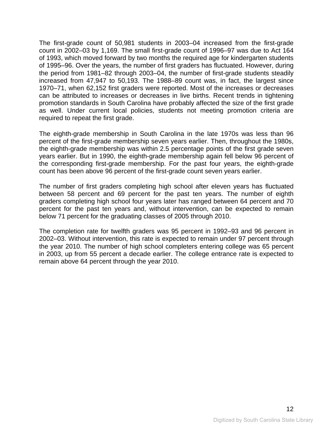The first-grade count of 50,981 students in 2003–04 increased from the first-grade count in 2002–03 by 1,169. The small first-grade count of 1996–97 was due to Act 164 of 1993, which moved forward by two months the required age for kindergarten students of 1995–96. Over the years, the number of first graders has fluctuated. However, during the period from 1981–82 through 2003–04, the number of first-grade students steadily increased from 47,947 to 50,193. The 1988–89 count was, in fact, the largest since 1970–71, when 62,152 first graders were reported. Most of the increases or decreases can be attributed to increases or decreases in live births. Recent trends in tightening promotion standards in South Carolina have probably affected the size of the first grade as well. Under current local policies, students not meeting promotion criteria are required to repeat the first grade.

The eighth-grade membership in South Carolina in the late 1970s was less than 96 percent of the first-grade membership seven years earlier. Then, throughout the 1980s, the eighth-grade membership was within 2.5 percentage points of the first grade seven years earlier. But in 1990, the eighth-grade membership again fell below 96 percent of the corresponding first-grade membership. For the past four years, the eighth-grade count has been above 96 percent of the first-grade count seven years earlier.

The number of first graders completing high school after eleven years has fluctuated between 58 percent and 69 percent for the past ten years. The number of eighth graders completing high school four years later has ranged between 64 percent and 70 percent for the past ten years and, without intervention, can be expected to remain below 71 percent for the graduating classes of 2005 through 2010.

The completion rate for twelfth graders was 95 percent in 1992–93 and 96 percent in 2002–03. Without intervention, this rate is expected to remain under 97 percent through the year 2010. The number of high school completers entering college was 65 percent in 2003, up from 55 percent a decade earlier. The college entrance rate is expected to remain above 64 percent through the year 2010.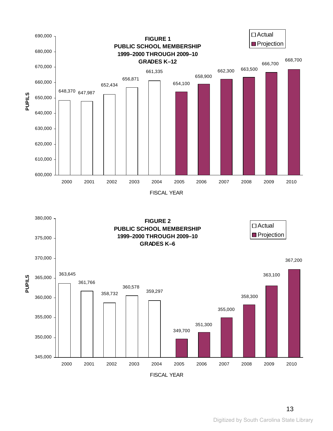

<span id="page-16-0"></span>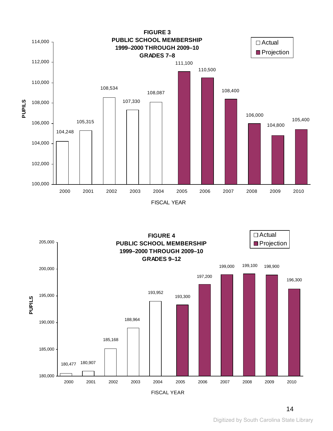<span id="page-17-0"></span>

FISCAL YEAR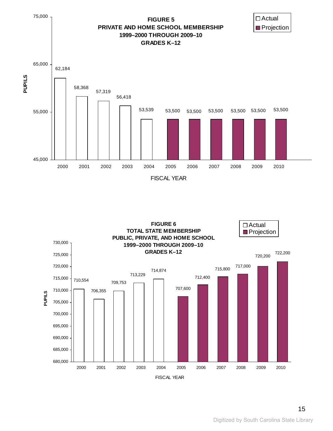<span id="page-18-0"></span>

<span id="page-18-1"></span>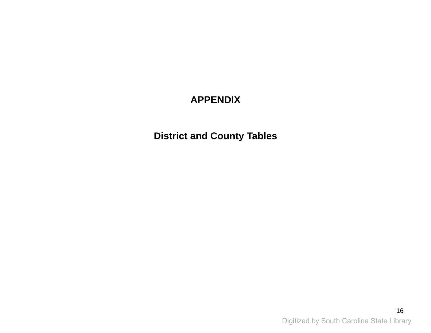# **APPENDIX**

<span id="page-19-2"></span><span id="page-19-1"></span><span id="page-19-0"></span>**District and County Tables**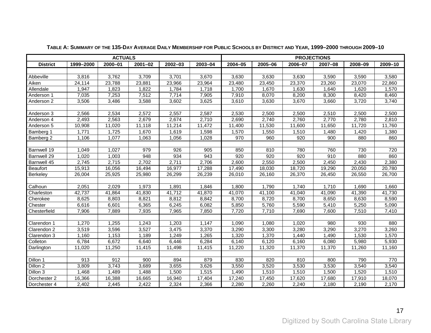<span id="page-20-1"></span><span id="page-20-0"></span>

|                 |           | <b>ACTUALS</b> |             |         | <b>PROJECTIONS</b> |         |         |         |         |         |         |  |  |  |  |
|-----------------|-----------|----------------|-------------|---------|--------------------|---------|---------|---------|---------|---------|---------|--|--|--|--|
| <b>District</b> | 1999-2000 | 2000-01        | $2001 - 02$ | 2002-03 | 2003-04            | 2004-05 | 2005-06 | 2006-07 | 2007-08 | 2008-09 | 2009-10 |  |  |  |  |
|                 |           |                |             |         |                    |         |         |         |         |         |         |  |  |  |  |
| Abbeville       | 3,816     | 3,762          | 3,709       | 3,701   | 3,670              | 3,630   | 3,630   | 3,630   | 3,590   | 3,590   | 3,580   |  |  |  |  |
| Aiken           | 24,114    | 23,788         | 23,881      | 23,966  | 23,964             | 23,480  | 23,450  | 23,370  | 23,260  | 23,070  | 22,860  |  |  |  |  |
| Allendale       | 1,947     | 1,823          | 1,822       | 1,784   | 1,718              | 1,700   | 1,670   | 1,630   | 1,640   | 1,620   | 1,570   |  |  |  |  |
| Anderson 1      | 7,035     | 7,253          | 7,512       | 7,714   | 7,905              | 7,910   | 8,070   | 8,200   | 8,300   | 8,420   | 8,460   |  |  |  |  |
| Anderson 2      | 3,506     | 3,486          | 3,588       | 3,602   | 3,625              | 3,610   | 3,630   | 3,670   | 3,660   | 3,720   | 3,740   |  |  |  |  |
|                 |           |                |             |         |                    |         |         |         |         |         |         |  |  |  |  |
| Anderson 3      | 2,566     | 2,534          | 2,572       | 2,557   | 2,587              | 2,530   | 2,500   | 2,500   | 2,510   | 2,500   | 2,500   |  |  |  |  |
| Anderson 4      | 2,493     | 2,563          | 2,679       | 2,674   | 2,710              | 2,690   | 2,740   | 2,760   | 2,770   | 2,780   | 2,810   |  |  |  |  |
| Anderson 5      | 10,908    | 11,020         | 11,118      | 11,214  | 11,472             | 11,400  | 11,530  | 11,600  | 11,650  | 11,720  | 11,760  |  |  |  |  |
| Bamberg 1       | 1,771     | 1,725          | 1,670       | 1,619   | 1,598              | 1,570   | 1,550   | 1,510   | 1,480   | 1,420   | 1,380   |  |  |  |  |
| Bamberg 2       | 1,106     | 1,077          | 1,063       | 1,056   | 1,028              | 970     | 960     | 920     | 900     | 880     | 860     |  |  |  |  |
|                 |           |                |             |         |                    |         |         |         |         |         |         |  |  |  |  |
| Barnwell 19     | 1,049     | 1,027          | 979         | 926     | 905                | 850     | 810     | 780     | 760     | 730     | 720     |  |  |  |  |
| Barnwell 29     | 1,020     | 1,003          | 948         | 934     | 943                | 920     | 920     | 920     | 910     | 880     | 860     |  |  |  |  |
| Barnwell 45     | 2,745     | 2,715          | 2,702       | 2,711   | 2,706              | 2,600   | 2,550   | 2,500   | 2,450   | 2,430   | 2,380   |  |  |  |  |
| Beaufort        | 15,913    | 16,056         | 16,494      | 16,977  | 17,288             | 17,490  | 18,030  | 18,720  | 19,290  | 20,050  | 20,780  |  |  |  |  |
| Berkeley        | 26,004    | 25,925         | 25,980      | 26,299  | 26,239             | 26,010  | 26,160  | 26,370  | 26,450  | 26,550  | 26,700  |  |  |  |  |
|                 |           |                |             |         |                    |         |         |         |         |         |         |  |  |  |  |
| Calhoun         | 2,051     | 2,029          | 1,973       | 1,891   | 1,846              | 1,800   | 1,790   | 1,740   | 1,710   | 1,690   | 1,660   |  |  |  |  |
| Charleston      | 42,737    | 41,864         | 41,830      | 41,712  | 41,870             | 41,070  | 41,100  | 41,040  | 41,090  | 41,390  | 41,730  |  |  |  |  |
| Cherokee        | 8,625     | 8,803          | 8,821       | 8,812   | 8,842              | 8,700   | 8,720   | 8,700   | 8,650   | 8,630   | 8,590   |  |  |  |  |
| Chester         | 6,616     | 6,601          | 6,365       | 6,245   | 6,082              | 5,850   | 5,760   | 5,590   | 5,410   | 5,250   | 5,090   |  |  |  |  |
| Chesterfield    | 7,906     | 7,889          | 7,935       | 7,965   | 7,850              | 7,720   | 7,710   | 7,690   | 7,600   | 7,510   | 7,410   |  |  |  |  |
|                 |           |                |             |         |                    |         |         |         |         |         |         |  |  |  |  |
| Clarendon 1     | 1,270     | 1,255          | 1,243       | 1,203   | 1,147              | 1,090   | 1,080   | 1,020   | 980     | 930     | 880     |  |  |  |  |
| Clarendon 2     | 3,519     | 3,596          | 3,527       | 3,475   | 3,370              | 3,290   | 3,300   | 3,280   | 3,290   | 3,270   | 3,260   |  |  |  |  |
| Clarendon 3     | 1,160     | 1,153          | 1,189       | 1,249   | 1,265              | 1,320   | 1,370   | 1,440   | 1,490   | 1,530   | 1,570   |  |  |  |  |
| Colleton        | 6,784     | 6,672          | 6,640       | 6,446   | 6,284              | 6,140   | 6,120   | 6,160   | 6,080   | 5,980   | 5,930   |  |  |  |  |
| Darlington      | 11,020    | 11,250         | 11,415      | 11,498  | 11,415             | 11,220  | 11,320  | 11,370  | 11,370  | 11,260  | 11,160  |  |  |  |  |
|                 |           |                |             |         |                    |         |         |         |         |         |         |  |  |  |  |
| Dillon 1        | 913       | 912            | 900         | 894     | 879                | 830     | 820     | 810     | 800     | 790     | 770     |  |  |  |  |
| Dillon 2        | 3,809     | 3,743          | 3,689       | 3,655   | 3,626              | 3,550   | 3,520   | 3,530   | 3,530   | 3,540   | 3,540   |  |  |  |  |
| Dillon 3        | 1,468     | 1,489          | 1,488       | 1,500   | 1,515              | 1,490   | 1,510   | 1,510   | 1,500   | 1,520   | 1,510   |  |  |  |  |
| Dorchester 2    | 16,366    | 16,388         | 16,665      | 16,940  | 17,404             | 17,240  | 17,450  | 17,620  | 17,680  | 17,910  | 18,070  |  |  |  |  |
| Dorchester 4    | 2,402     | 2,445          | 2,422       | 2,324   | 2,366              | 2,280   | 2,260   | 2,240   | 2,180   | 2,190   | 2,170   |  |  |  |  |

**TABLE A: SUMMARY OF THE 135-DAY AVERAGE DAILY MEMBERSHIP FOR PUBLIC SCHOOLS BY DISTRICT AND YEAR, 1999–2000 THROUGH 2009–10**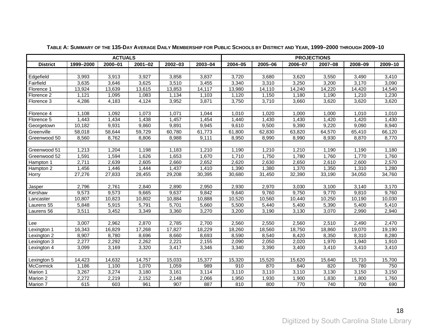|                 |           | <b>ACTUALS</b> |             | <b>PROJECTIONS</b> |         |         |         |         |         |         |         |  |  |  |  |
|-----------------|-----------|----------------|-------------|--------------------|---------|---------|---------|---------|---------|---------|---------|--|--|--|--|
| <b>District</b> | 1999-2000 | 2000-01        | $2001 - 02$ | 2002-03            | 2003-04 | 2004-05 | 2005-06 | 2006-07 | 2007-08 | 2008-09 | 2009-10 |  |  |  |  |
|                 |           |                |             |                    |         |         |         |         |         |         |         |  |  |  |  |
| Edgefield       | 3,993     | 3,913          | 3,927       | 3,858              | 3,837   | 3,720   | 3,680   | 3,620   | 3,550   | 3,490   | 3,410   |  |  |  |  |
| Fairfield       | 3,635     | 3,646          | 3,625       | 3,510              | 3,455   | 3,340   | 3,310   | 3,250   | 3,200   | 3,170   | 3,090   |  |  |  |  |
| Florence 1      | 13,924    | 13,639         | 13,615      | 13,853             | 14,117  | 13,980  | 14,110  | 14,240  | 14,220  | 14,420  | 14,540  |  |  |  |  |
| Florence 2      | 1,121     | 1,095          | 1,083       | 1,134              | 1,103   | 1,120   | 1,150   | 1,180   | 1,190   | 1,210   | 1,230   |  |  |  |  |
| Florence 3      | 4,286     | 4,183          | 4,124       | 3,952              | 3,871   | 3,750   | 3,710   | 3,660   | 3,620   | 3,620   | 3,620   |  |  |  |  |
|                 |           |                |             |                    |         |         |         |         |         |         |         |  |  |  |  |
| Florence 4      | 1,108     | 1,092          | 1,073       | 1,071              | 1,044   | 1,010   | 1,020   | 1,000   | 1,000   | 1,010   | 1,010   |  |  |  |  |
| Florence 5      | 1,443     | 1,434          | 1,438       | 1,457              | 1,454   | 1,440   | 1,430   | 1,430   | 1,420   | 1,420   | 1,430   |  |  |  |  |
| Georgetown      | 10,182    | 9,931          | 9,860       | 9,891              | 9,945   | 9,610   | 9,500   | 9,390   | 9,220   | 9,090   | 8,940   |  |  |  |  |
| Greenville      | 58,018    | 58,644         | 59,729      | 60,780             | 61,773  | 61,800  | 62,830  | 63,820  | 64,570  | 65,410  | 66,120  |  |  |  |  |
| Greenwood 50    | 8,560     | 8,762          | 8,806       | 8,988              | 9,111   | 8,950   | 8,990   | 8,990   | 8,930   | 8,870   | 8,770   |  |  |  |  |
|                 |           |                |             |                    |         |         |         |         |         |         |         |  |  |  |  |
| Greenwood 51    | 1,213     | 1,204          | 1,198       | 1,183              | 1,210   | 1,190   | 1,210   | 1,210   | 1,190   | 1,190   | 1,180   |  |  |  |  |
| Greenwood 52    | 1,591     | 1,594          | 1,626       | 1,653              | 1,670   | 1,710   | 1,750   | 1,780   | 1,760   | 1,770   | 1,760   |  |  |  |  |
| Hampton 1       | 2,711     | 2,639          | 2,605       | 2,660              | 2,652   | 2,620   | 2,630   | 2,650   | 2,610   | 2,600   | 2,570   |  |  |  |  |
| Hampton 2       | 1,456     | 1,446          | 1,444       | 1,437              | 1,410   | 1,390   | 1,380   | 1,370   | 1,350   | 1,310   | 1,280   |  |  |  |  |
| Horry           | 27,276    | 27,833         | 28,455      | 29,208             | 30,395  | 30,680  | 31,450  | 32,390  | 33,190  | 34,050  | 34,760  |  |  |  |  |
|                 |           |                |             |                    |         |         |         |         |         |         |         |  |  |  |  |
| Jasper          | 2,796     | 2,761          | 2,840       | 2,890              | 2,950   | 2,930   | 2,970   | 3,030   | 3,100   | 3,140   | 3,170   |  |  |  |  |
| Kershaw         | 9,573     | 9,573          | 9,665       | 9,637              | 9,842   | 9,640   | 9,760   | 9,750   | 9,770   | 9,810   | 9,760   |  |  |  |  |
| Lancaster       | 10,807    | 10,823         | 10,802      | 10,884             | 10,888  | 10,520  | 10,560  | 10,440  | 10,250  | 10,190  | 10,030  |  |  |  |  |
| Laurens 55      | 5,848     | 5,915          | 5,791       | 5,701              | 5,660   | 5,500   | 5,440   | 5,400   | 5,390   | 5,400   | 5,410   |  |  |  |  |
| Laurens 56      | 3,511     | 3,452          | 3,349       | 3,360              | 3,270   | 3,200   | 3,190   | 3,130   | 3,070   | 2,990   | 2,940   |  |  |  |  |
|                 |           |                |             |                    |         |         |         |         |         |         |         |  |  |  |  |
| Lee             | 3,007     | 2,962          | 2,870       | 2,785              | 2,700   | 2,560   | 2,550   | 2,560   | 2,510   | 2,490   | 2,470   |  |  |  |  |
| Lexington 1     | 16,343    | 16,829         | 17,268      | 17,827             | 18,229  | 18,260  | 18,560  | 18,750  | 18,860  | 19,070  | 19,190  |  |  |  |  |
| Lexington 2     | 8,907     | 8,780          | 8,696       | 8,660              | 8,693   | 8,590   | 8,540   | 8,420   | 8,350   | 8,310   | 8,280   |  |  |  |  |
| Lexington 3     | 2,277     | 2,292          | 2,262       | 2,221              | 2,155   | 2,090   | 2,050   | 2,020   | 1,970   | 1,940   | 1,910   |  |  |  |  |
| Lexington 4     | 3,099     | 3,169          | 3,320       | 3,417              | 3,346   | 3,340   | 3,390   | 3,400   | 3,410   | 3,410   | 3,410   |  |  |  |  |
|                 |           |                |             |                    |         |         |         |         |         |         |         |  |  |  |  |
| Lexington 5     | 14,423    | 14,632         | 14,757      | 15,033             | 15,377  | 15,320  | 15,520  | 15,620  | 15,640  | 15,710  | 15,700  |  |  |  |  |
| McCormick       | 1,186     | 1,100          | 1,070       | 1,059              | 989     | 910     | 870     | 840     | 820     | 780     | 750     |  |  |  |  |
| Marion 1        | 3,267     | 3,274          | 3,180       | 3,161              | 3,114   | 3,110   | 3,110   | 3,110   | 3,130   | 3,150   | 3,150   |  |  |  |  |
| Marion 2        | 2,272     | 2,219          | 2,152       | 2,148              | 2,066   | 1,950   | 1,930   | 1,900   | 1,830   | 1,800   | 1,760   |  |  |  |  |
| Marion 7        | 615       | 603            | 961         | 907                | 887     | 810     | 800     | 770     | 740     | 700     | 690     |  |  |  |  |

**TABLE A: SUMMARY OF THE 135-DAY AVERAGE DAILY MEMBERSHIP FOR PUBLIC SCHOOLS BY DISTRICT AND YEAR, 1999–2000 THROUGH 2009–10**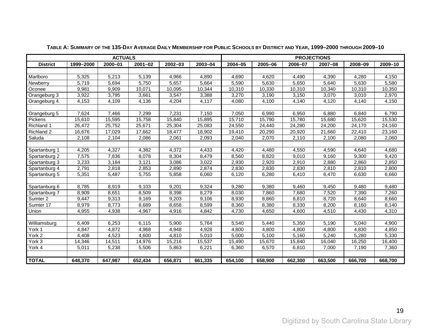|                 |           | <b>ACTUALS</b> |             |             |         |             | <b>PROJECTIONS</b> |         |         |         |         |  |  |
|-----------------|-----------|----------------|-------------|-------------|---------|-------------|--------------------|---------|---------|---------|---------|--|--|
| <b>District</b> | 1999-2000 | $2000 - 01$    | $2001 - 02$ | $2002 - 03$ | 2003-04 | $2004 - 05$ | 2005-06            | 2006-07 | 2007-08 | 2008-09 | 2009-10 |  |  |
|                 |           |                |             |             |         |             |                    |         |         |         |         |  |  |
| Marlboro        | 5,325     | 5,213          | 5,139       | 4,966       | 4,890   | 4,690       | 4,620              | 4,490   | 4,390   | 4,280   | 4,150   |  |  |
| Newberry        | 5,719     | 5,694          | 5,750       | 5,657       | 5,664   | 5,590       | 5,630              | 5,650   | 5,640   | 5,630   | 5,580   |  |  |
| Oconee          | 9,981     | 9,909          | 10,071      | 10,095      | 10,344  | 10,310      | 10,330             | 10,310  | 10,340  | 10,310  | 10,350  |  |  |
| Orangeburg 3    | 3,922     | 3,795          | 3,661       | 3,547       | 3,388   | 3,270       | 3,190              | 3,150   | 3,070   | 3,010   | 2,970   |  |  |
| Orangeburg 4    | 4,153     | 4,109          | 4,136       | 4,204       | 4,117   | 4,080       | 4,100              | 4,140   | 4,120   | 4,140   | 4,150   |  |  |
|                 |           |                |             |             |         |             |                    |         |         |         |         |  |  |
| Orangeburg 5    | 7,624     | 7,466          | 7,299       | 7,231       | 7,150   | 7,050       | 6,990              | 6,950   | 6,880   | 6,840   | 6,790   |  |  |
| Pickens         | 15,610    | 15,595         | 15,758      | 15,840      | 15,895  | 15,710      | 15,790             | 15,780  | 15,680  | 15,620  | 15,530  |  |  |
| Richland 1      | 26,472    | 25,752         | 25,671      | 25,304      | 25,083  | 24,550      | 24,440             | 24,280  | 24,200  | 24,170  | 24,160  |  |  |
| Richland 2      | 16,676    | 17,029         | 17,662      | 18,477      | 18,902  | 19,410      | 20,290             | 20,920  | 21,660  | 22,410  | 23,160  |  |  |
| Saluda          | 2,108     | 2,104          | 2,086       | 2,061       | 2,093   | 2,040       | 2,070              | 2,110   | 2,100   | 2,080   | 2,060   |  |  |
|                 |           |                |             |             |         |             |                    |         |         |         |         |  |  |
| Spartanburg 1   | 4,205     | 4,327          | 4,382       | 4,372       | 4,433   | 4,420       | 4,480              | 4,550   | 4,590   | 4,640   | 4,680   |  |  |
| Spartanburg 2   | 7,575     | 7,836          | 8,078       | 8,304       | 8,479   | 8,560       | 8,820              | 9,010   | 9,160   | 9,300   | 9,420   |  |  |
| Spartanburg 3   | 3,233     | 3,184          | 3,121       | 3,086       | 3,022   | 2,930       | 2,920              | 2,910   | 2,880   | 2,860   | 2,850   |  |  |
| Spartanburg 4   | 2,791     | 2,818          | 2,853       | 2,890       | 2,874   | 2,830       | 2,830              | 2,830   | 2,810   | 2,810   | 2,800   |  |  |
| Spartanburg 5   | 5,351     | 5,487          | 5,755       | 5,858       | 6,060   | 6,120       | 6,280              | 6,410   | 6,470   | 6,630   | 6,660   |  |  |
|                 |           |                |             |             |         |             |                    |         |         |         |         |  |  |
| Spartanburg 6   | 8,785     | 8,919          | 9,103       | 9,201       | 9,324   | 9,280       | 9,380              | 9,460   | 9,450   | 9,480   | 9,480   |  |  |
| Spartanburg 7   | 8,909     | 8,651          | 8,509       | 8,398       | 8,279   | 8,030       | 7,860              | 7,680   | 7,520   | 7,390   | 7,260   |  |  |
| Sumter 2        | 9,447     | 9,313          | 9,169       | 9,203       | 9,106   | 8,930       | 8,860              | 8,810   | 8,720   | 8,640   | 8,660   |  |  |
| Sumter 17       | 8,979     | 8,773          | 8,689       | 8,658       | 8,599   | 8,360       | 8,380              | 8,330   | 8,200   | 8,160   | 8,140   |  |  |
| Union           | 4,955     | 4,938          | 4,967       | 4,916       | 4,842   | 4,730       | 4,650              | 4,600   | 4,510   | 4,430   | 4,310   |  |  |
|                 |           |                |             |             |         |             |                    |         |         |         |         |  |  |
| Williamsburg    | 6,409     | 6,253          | 6,115       | 5,900       | 5,764   | 5,540       | 5,440              | 5,350   | 5,190   | 5,040   | 4,900   |  |  |
| York 1          | 4,847     | 4,872          | 4,968       | 4,948       | 4,928   | 4,800       | 4,800              | 4,800   | 4,800   | 4,830   | 4,850   |  |  |
| York 2          | 4,408     | 4,523          | 4,600       | 4,810       | 5,010   | 5,000       | 5,100              | 5,160   | 5,240   | 5,280   | 5,330   |  |  |
| York 3          | 14,346    | 14,511         | 14,976      | 15,216      | 15,537  | 15,490      | 15,670             | 15,840  | 16,040  | 16,250  | 16,400  |  |  |
| York 4          | 5,011     | 5,238          | 5,506       | 5,863       | 6,221   | 6,360       | 6,570              | 6,810   | 7,000   | 7,190   | 7,360   |  |  |
|                 |           |                |             |             |         |             |                    |         |         |         |         |  |  |
| <b>TOTAL</b>    | 648,370   | 647,987        | 652,434     | 656,871     | 661,335 | 654,100     | 658,900            | 662,300 | 663,500 | 666,700 | 668,700 |  |  |

**TABLE A: SUMMARY OF THE 135-DAY AVERAGE DAILY MEMBERSHIP FOR PUBLIC SCHOOLS BY DISTRICT AND YEAR, 1999–2000 THROUGH 2009–10**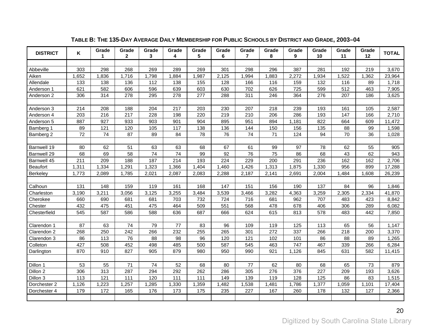<span id="page-23-1"></span><span id="page-23-0"></span>

| <b>DISTRICT</b> | Κ     | Grade<br>1 | Grade<br>$\mathbf{2}$ | Grade<br>3 | Grade<br>4 | Grade<br>5 | Grade<br>6 | Grade<br>$\overline{7}$ | Grade<br>8 | Grade<br>9 | Grade<br>10 | Grade<br>11 | Grade<br>12 | <b>TOTAL</b> |
|-----------------|-------|------------|-----------------------|------------|------------|------------|------------|-------------------------|------------|------------|-------------|-------------|-------------|--------------|
|                 |       |            |                       |            |            |            |            |                         |            |            |             |             |             |              |
| Abbeville       | 303   | 298        | 268                   | 269        | 289        | 269        | 301        | 298                     | 296        | 387        | 281         | 192         | 219         | 3,670        |
| Aiken           | 1,652 | 1,836      | 1,716                 | 1,798      | 1,884      | 1,987      | 2,125      | 1,994                   | 1,883      | 2,272      | 1,934       | 1,522       | 1,362       | 23,964       |
| Allendale       | 133   | 138        | 136                   | 112        | 138        | 155        | 128        | 166                     | 116        | 159        | 132         | 116         | 89          | 1,718        |
| Anderson 1      | 621   | 582        | 606                   | 596        | 639        | 603        | 630        | 702                     | 626        | 725        | 599         | 512         | 463         | 7,905        |
| Anderson 2      | 306   | 314        | 278                   | 295        | 278        | 277        | 288        | 311                     | 246        | 364        | 276         | 207         | 186         | 3,625        |
|                 |       |            |                       |            |            |            |            |                         |            |            |             |             |             |              |
| Anderson 3      | 214   | 208        | 188                   | 204        | 217        | 203        | 230        | 207                     | 218        | 239        | 193         | 161         | 105         | 2,587        |
| Anderson 4      | 203   | 216        | 217                   | 228        | 198        | 220        | 219        | 210                     | 206        | 286        | 193         | 147         | 166         | 2,710        |
| Anderson 5      | 887   | 927        | 933                   | 903        | 901        | 904        | 895        | 951                     | 894        | 1,181      | 822         | 664         | 609         | 11,472       |
| Bamberg 1       | 89    | 121        | 120                   | 105        | 117        | 138        | 136        | 144                     | 150        | 156        | 135         | 88          | 99          | 1,598        |
| Bamberg 2       | 72    | 74         | 87                    | 89         | 84         | 78         | 76         | 74                      | 71         | 124        | 94          | 70          | 36          | 1,028        |
|                 |       |            |                       |            |            |            |            |                         |            |            |             |             |             |              |
| Barnwell 19     | 80    | 62         | 51                    | 63         | 63         | 68         | 67         | 61                      | 99         | 97         | 78          | 62          | 55          | 905          |
| Barnwell 29     | 68    | 69         | 58                    | 74         | 74         | 99         | 92         | 76                      | 75         | 86         | 68          | 43          | 62          | 943          |
| Barnwell 45     | 211   | 209        | 188                   | 187        | 214        | 193        | 224        | 229                     | 200        | 291        | 236         | 162         | 162         | 2,706        |
| Beaufort        | 1,311 | 1,334      | 1,291                 | 1,323      | 1,366      | 1,404      | 1,460      | 1,426                   | 1,313      | 1,875      | 1,330       | 956         | 899         | 17,288       |
| <b>Berkeley</b> | 1,773 | 2,089      | 1,785                 | 2,021      | 2,087      | 2,083      | 2,288      | 2,187                   | 2,141      | 2,691      | 2,004       | 1,484       | 1,608       | 26,239       |
|                 |       |            |                       |            |            |            |            |                         |            |            |             |             |             |              |
| Calhoun         | 131   | 148        | 159                   | 119        | 161        | 168        | 147        | 151                     | 156        | 190        | 137         | 84          | 96          | 1,846        |
| Charleston      | 3,190 | 3,211      | 3,056                 | 3,125      | 3,255      | 3,484      | 3,539      | 3,466                   | 3,282      | 4,363      | 3,259       | 2,305       | 2,334       | 41,870       |
| Cherokee        | 660   | 690        | 681                   | 681        | 703        | 732        | 724        | 716                     | 681        | 962        | 707         | 483         | 423         | 8,842        |
| Chester         | 432   | 475        | 451                   | 475        | 464        | 509        | 551        | 568                     | 478        | 678        | 406         | 306         | 289         | 6,082        |
| Chesterfield    | 545   | 587        | 586                   | 588        | 636        | 687        | 666        | 624                     | 615        | 813        | 578         | 483         | 442         | 7,850        |
|                 |       |            |                       |            |            |            |            |                         |            |            |             |             |             |              |
| Clarendon 1     | 87    | 63         | 74                    | 79         | 77         | 83         | 96         | 109                     | 119        | 125        | 113         | 65          | 56          | 1,147        |
| Clarendon 2     | 268   | 250        | 242                   | 266        | 232        | 255        | 265        | 301                     | 272        | 337        | 266         | 218         | 200         | 3,370        |
| Clarendon 3     | 86    | 113        | 76                    | 88         | 98         | 96         | 120        | 121                     | 102        | 101        | 86          | 88          | 89          | 1,265        |
| Colleton        | 427   | 508        | 452                   | 498        | 485        | 500        | 587        | 545                     | 463        | 747        | 467         | 339         | 266         | 6,284        |
| Darlington      | 870   | 910        | 827                   | 905        | 879        | 980        | 950        | 990                     | 921        | 1,126      | 845         | 631         | 582         | 11,415       |
|                 |       |            |                       |            |            |            |            |                         |            |            |             |             |             |              |
| Dillon 1        | 53    | 55         | 71                    | 74         | 52         | 68         | 80         | 77                      | 62         | 80         | 68          | 65          | 73          | 879          |
| Dillon 2        | 306   | 313        | 287                   | 294        | 292        | 262        | 286        | 305                     | 276        | 376        | 227         | 209         | 193         | 3,626        |
| Dillon 3        | 113   | 121        | 111                   | 120        | 111        | 111        | 149        | 139                     | 119        | 128        | 125         | 86          | 83          | 1,515        |
| Dorchester 2    | 1,126 | 1,223      | 1,257                 | 1,285      | 1,330      | 1,359      | 1,482      | 1,538                   | 1,481      | 1,786      | 1,377       | 1,059       | 1,101       | 17,404       |
| Dorchester 4    | 179   | 172        | 165                   | 176        | 173        | 175        | 235        | 227                     | 167        | 260        | 178         | 132         | 127         | 2,366        |
|                 |       |            |                       |            |            |            |            |                         |            |            |             |             |             |              |

### **TABLE B: THE 135-DAY AVERAGE DAILY MEMBERSHIP FOR PUBLIC SCHOOLS BY DISTRICT AND GRADE, 2003–04**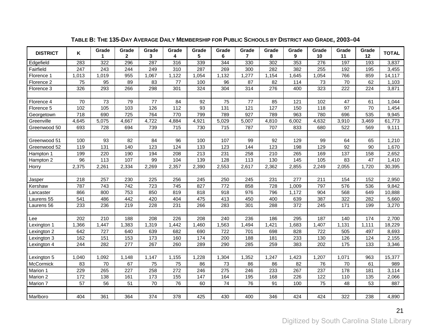| <b>DISTRICT</b> | Κ     | Grade<br>1. | Grade<br>$\mathbf{2}$ | Grade<br>3 | Grade<br>4 | Grade<br>5 | Grade<br>6 | Grade<br>$\overline{7}$ | Grade<br>8 | Grade<br>9 | Grade<br>10 | Grade<br>11 | Grade<br>12 | <b>TOTAL</b> |
|-----------------|-------|-------------|-----------------------|------------|------------|------------|------------|-------------------------|------------|------------|-------------|-------------|-------------|--------------|
| Edgefield       | 283   | 322         | 296                   | 287        | 316        | 339        | 344        | 330                     | 302        | 353        | 276         | 197         | 193         | 3,837        |
| Fairfield       | 247   | 243         | 244                   | 249        | 310        | 287        | 269        | 300                     | 282        | 382        | 255         | 192         | 195         | 3,455        |
| Florence 1      | 1,013 | 1,019       | 955                   | 1,067      | 1,122      | 1,054      | 1,132      | 1,277                   | 1,154      | 1,645      | 1,054       | 766         | 859         | 14,117       |
| Florence 2      | 75    | 95          | 89                    | 83         | 77         | 100        | 96         | 87                      | 82         | 114        | 73          | 70          | 62          | 1,103        |
| Florence 3      | 326   | 293         | 266                   | 298        | 301        | 324        | 304        | 314                     | 276        | 400        | 323         | 222         | 224         | 3,871        |
|                 |       |             |                       |            |            |            |            |                         |            |            |             |             |             |              |
| Florence 4      | 70    | 73          | 79                    | 77         | 84         | 92         | 75         | 77                      | 85         | 121        | 102         | 47          | 61          | 1,044        |
| Florence 5      | 102   | 105         | 103                   | 126        | 112        | 93         | 131        | 121                     | 127        | 150        | 118         | 97          | 70          | 1,454        |
| Georgetown      | 718   | 690         | 725                   | 764        | 770        | 799        | 789        | 927                     | 789        | 963        | 780         | 696         | 535         | 9,945        |
| Greenville      | 4,645 | 5,075       | 4,667                 | 4,722      | 4,884      | 4,921      | 5,029      | 5,007                   | 4,810      | 6,002      | 4,632       | 3,910       | 3,469       | 61,773       |
| Greenwood 50    | 693   | 728         | 694                   | 739        | 715        | 730        | 715        | 787                     | 707        | 833        | 680         | 522         | 569         | 9,111        |
|                 |       |             |                       |            |            |            |            |                         |            |            |             |             |             |              |
| Greenwood 51    | 100   | 93          | 82                    | 84         | 96         | 100        | 107        | 99                      | 92         | 129        | 99          | 64          | 65          | 1,210        |
| Greenwood 52    | 119   | 131         | 140                   | 123        | 124        | 133        | 123        | 144                     | 123        | 198        | 129         | 92          | 90          | 1,670        |
| Hampton 1       | 199   | 220         | 190                   | 194        | 208        | 213        | 231        | 258                     | 210        | 265        | 169         | 137         | 158         | 2,652        |
| Hampton 2       | 96    | 113         | 107                   | 99         | 104        | 139        | 128        | 113                     | 130        | 145        | 105         | 83          | 47          | 1,410        |
| Horry           | 2,375 | 2,261       | 2,334                 | 2,269      | 2,357      | 2,390      | 2,553      | 2,617                   | 2,362      | 2,855      | 2,249       | 2,055       | 1,720       | 30,395       |
|                 |       |             |                       |            |            |            |            |                         |            |            |             |             |             |              |
| Jasper          | 218   | 257         | 230                   | 225        | 256        | 245        | 250        | 245                     | 231        | 277        | 211         | 154         | 152         | 2,950        |
| Kershaw         | 787   | 743         | 742                   | 723        | 745        | 827        | 772        | 858                     | 728        | 1,009      | 797         | 576         | 536         | 9,842        |
| Lancaster       | 866   | 800         | 753                   | 850        | 819        | 818        | 918        | 976                     | 796        | 1,172      | 904         | 568         | 649         | 10,888       |
| Laurens 55      | 541   | 486         | 442                   | 420        | 404        | 475        | 413        | 450                     | 400        | 639        | 387         | 322         | 282         | 5,660        |
| Laurens 56      | 233   | 236         | 219                   | 228        | 231        | 266        | 283        | 301                     | 288        | 372        | 245         | 171         | 199         | 3,270        |
|                 |       |             |                       |            |            |            |            |                         |            |            |             |             |             |              |
| Lee             | 202   | 210         | 188                   | 208        | 226        | 208        | 240        | 236                     | 186        | 295        | 187         | 140         | 174         | 2,700        |
| Lexington 1     | 1,366 | 1,447       | 1,383                 | 1,319      | 1,442      | 1,460      | 1,563      | 1,494                   | 1,421      | 1,683      | 1,407       | 1,131       | 1,111       | 18,229       |
| Lexington 2     | 642   | 727         | 640                   | 639        | 682        | 690        | 722        | 701                     | 698        | 828        | 722         | 505         | 497         | 8,693        |
| Lexington 3     | 162   | 151         | 153                   | 173        | 160        | 174        | 200        | 188                     | 181        | 233        | 130         | 126         | 124         | 2,155        |
| Lexington 4     | 244   | 282         | 277                   | 267        | 260        | 289        | 290        | 285                     | 259        | 383        | 202         | 175         | 133         | 3,346        |
|                 |       |             |                       |            |            |            |            |                         |            |            |             |             |             |              |
| Lexington 5     | 1,040 | 1,092       | 1,148                 | 1,147      | 1,155      | 1,228      | 1,304      | 1,352                   | 1,247      | 1,423      | 1,207       | 1,071       | 963         | 15,377       |
| McCormick       | 83    | 70          | 67                    | 75         | 75         | 86         | 73         | 86                      | 86         | 82         | 76          | 70          | 61          | 989          |
| Marion 1        | 229   | 265         | 227                   | 258        | 272        | 246        | 275        | 246                     | 233        | 267        | 237         | 178         | 181         | 3,114        |
| Marion 2        | 172   | 138         | 161                   | 173        | 155        | 147        | 164        | 195                     | 168        | 226        | 122         | 110         | 135         | 2,066        |
| Marion 7        | 57    | 56          | 51                    | 70         | 76         | 60         | 74         | 76                      | 91         | 100        | 75          | 48          | 53          | 887          |
|                 |       |             |                       |            |            |            |            |                         |            |            |             |             |             |              |
| Marlboro        | 404   | 361         | 364                   | 374        | 378        | 425        | 430        | 400                     | 346        | 424        | 424         | 322         | 238         | 4,890        |

### **TABLE B: THE 135-DAY AVERAGE DAILY MEMBERSHIP FOR PUBLIC SCHOOLS BY DISTRICT AND GRADE, 2003–04**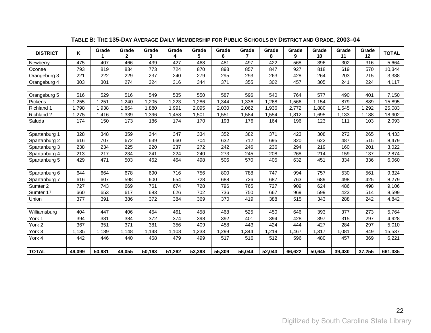| <b>DISTRICT</b> | K      | Grade  | Grade<br>$\mathbf{2}$ | Grade<br>3 | Grade<br>4 | Grade<br>5 | Grade<br>6 | Grade<br>7 | Grade<br>8 | Grade<br>9 | Grade<br>10 | Grade<br>11 | Grade<br>12      | <b>TOTAL</b> |
|-----------------|--------|--------|-----------------------|------------|------------|------------|------------|------------|------------|------------|-------------|-------------|------------------|--------------|
| Newberry        | 475    | 407    | 466                   | 439        | 427        | 468        | 481        | 497        | 422        | 568        | 396         | 302         | $\overline{316}$ | 5,664        |
| Oconee          | 793    | 819    | 834                   | 773        | 724        | 870        | 893        | 857        | 847        | 927        | 818         | 619         | 570              | 10,344       |
| Orangeburg 3    | 221    | 222    | 229                   | 237        | 240        | 279        | 295        | 293        | 263        | 428        | 264         | 203         | 215              | 3,388        |
| Orangeburg 4    | 303    | 301    | 274                   | 324        | 316        | 344        | 371        | 355        | 302        | 457        | 305         | 241         | 224              | 4,117        |
|                 |        |        |                       |            |            |            |            |            |            |            |             |             |                  |              |
| Orangeburg 5    | 516    | 529    | 516                   | 549        | 535        | 550        | 587        | 596        | 540        | 764        | 577         | 490         | 401              | 7,150        |
| Pickens         | 1,255  | 1,251  | 1,240                 | 1,205      | 1,223      | 1,286      | 1,344      | 1,336      | 1,268      | 1,566      | 1,154       | 879         | 889              | 15,895       |
| Richland 1      | 1,798  | 1,938  | 1,864                 | 1,880      | 1,991      | 2,095      | 2,030      | 2,062      | 1,936      | 2,772      | 1,880       | 1,545       | ,292             | 25,083       |
| Richland 2      | 1,275  | 1,416  | 1,339                 | 1,396      | 1,458      | 1,501      | 1,551      | 1,584      | 1,554      | 1,812      | 1,695       | 1,133       | 1,188            | 18,902       |
| Saluda          | 174    | 150    | 173                   | 186        | 174        | 170        | 193        | 176        | 164        | 196        | 123         | 111         | 103              | 2,093        |
|                 |        |        |                       |            |            |            |            |            |            |            |             |             |                  |              |
| Spartanburg 1   | 328    | 348    | 359                   | 344        | 347        | 334        | 352        | 382        | 371        | 423        | 308         | 272         | 265              | 4,433        |
| Spartanburg 2   | 616    | 707    | 672                   | 639        | 660        | 704        | 632        | 712        | 695        | 820        | 622         | 487         | 515              | 8,479        |
| Spartanburg 3   | 238    | 234    | 225                   | 220        | 237        | 272        | 242        | 246        | 236        | 294        | 219         | 160         | 201              | 3,022        |
| Spartanburg 4   | 213    | 217    | 234                   | 241        | 224        | 240        | 273        | 245        | 208        | 268        | 214         | 159         | 137              | 2,874        |
| Spartanburg 5   | 429    | 471    | 503                   | 462        | 464        | 498        | 506        | 570        | 405        | 632        | 451         | 334         | 336              | 6,060        |
|                 |        |        |                       |            |            |            |            |            |            |            |             |             |                  |              |
| Spartanburg 6   | 644    | 664    | 678                   | 690        | 716        | 756        | 800        | 788        | 747        | 994        | 757         | 530         | 561              | 9,324        |
| Spartanburg 7   | 616    | 607    | 598                   | 600        | 654        | 728        | 688        | 726        | 687        | 763        | 689         | 498         | 425              | 8,279        |
| Sumter 2        | 727    | 743    | 669                   | 761        | 674        | 728        | 796        | 765        | 727        | 909        | 624         | 486         | 498              | 9,106        |
| Sumter 17       | 660    | 653    | 617                   | 683        | 626        | 702        | 736        | 750        | 667        | 969        | 599         | 423         | 514              | 8,599        |
| Union           | 377    | 391    | 386                   | 372        | 384        | 369        | 370        | 419        | 388        | 515        | 343         | 288         | 242              | 4,842        |
|                 |        |        |                       |            |            |            |            |            |            |            |             |             |                  |              |
| Williamsburg    | 404    | 447    | 406                   | 454        | 461        | 458        | 468        | 525        | 450        | 646        | 393         | 377         | 273              | 5,764        |
| York 1          | 394    | 381    | 384                   | 372        | 374        | 398        | 392        | 401        | 394        | 428        | 397         | 315         | 297              | 4,928        |
| York 2          | 367    | 351    | 371                   | 381        | 356        | 409        | 458        | 443        | 424        | 444        | 427         | 284         | 297              | 5,010        |
| York 3          | 1,135  | 1,189  | 1,148                 | 1,148      | 1,108      | ,233       | ,299       | 1,344      | 1,219      | ,467       | 1,317       | 1,081       | 849              | 15,537       |
| York 4          | 442    | 446    | 440                   | 468        | 479        | 499        | 517        | 516        | 512        | 596        | 480         | 457         | 369              | 6,221        |
|                 |        |        |                       |            |            |            |            |            |            |            |             |             |                  |              |
| <b>TOTAL</b>    | 49,099 | 50,981 | 49,055                | 50,193     | 51,262     | 53,398     | 55,309     | 56,044     | 52,043     | 66,622     | 50,645      | 39,430      | 37,255           | 661,335      |

### **TABLE B: THE 135-DAY AVERAGE DAILY MEMBERSHIP FOR PUBLIC SCHOOLS BY DISTRICT AND GRADE, 2003–04**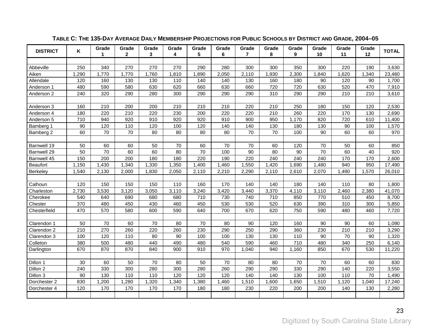<span id="page-26-1"></span><span id="page-26-0"></span>

| <b>DISTRICT</b> | Κ     | Grade<br>1 | Grade<br>$\mathbf{2}$ | Grade<br>3 | Grade<br>4 | Grade<br>5 | Grade<br>6 | Grade<br>$\overline{7}$ | Grade<br>8 | Grade<br>9 | Grade<br>10 | Grade<br>11 | Grade<br>12 | <b>TOTAL</b> |
|-----------------|-------|------------|-----------------------|------------|------------|------------|------------|-------------------------|------------|------------|-------------|-------------|-------------|--------------|
|                 |       |            |                       |            |            |            |            |                         |            |            |             |             |             |              |
| Abbeville       | 250   | 340        | 270                   | 270        | 270        | 290        | 280        | 300                     | 300        | 350        | 300         | 220         | 190         | 3,630        |
| Aiken           | 1,290 | 1,770      | 1,770                 | 1,760      | 1,810      | 1,890      | 2,050      | 2,110                   | 1,930      | 2,300      | 1,840       | 1,620       | 1,340       | 23,480       |
| Allendale       | 120   | 160        | 130                   | 130        | 110        | 140        | 140        | 130                     | 160        | 180        | 90          | 120         | 90          | 1,700        |
| Anderson 1      | 480   | 590        | 580                   | 630        | 620        | 660        | 630        | 660                     | 720        | 720        | 630         | 520         | 470         | 7,910        |
| Anderson 2      | 240   | 320        | 290                   | 280        | 300        | 290        | 290        | 290                     | 310        | 290        | 290         | 210         | 210         | 3,610        |
|                 |       |            |                       |            |            |            |            |                         |            |            |             |             |             |              |
| Anderson 3      | 160   | 210        | 200                   | 200        | 210        | 210        | 210        | 220                     | 210        | 250        | 180         | 150         | 120         | 2,530        |
| Anderson 4      | 180   | 220        | 210                   | 220        | 230        | 200        | 220        | 220                     | 210        | 260        | 220         | 170         | 130         | 2,690        |
| Anderson 5      | 710   | 940        | 920                   | 910        | 920        | 920        | 910        | 900                     | 950        | 1,170      | 820         | 720         | 610         | 11,400       |
| Bamberg 1       | 90    | 120        | 110                   | 120        | 100        | 120        | 140        | 140                     | 130        | 180        | 130         | 90          | 100         | 1,570        |
| Bamberg 2       | 60    | 70         | 70                    | 80         | 80         | 80         | 80         | 70                      | 70         | 100        | 90          | 60          | 60          | 970          |
|                 |       |            |                       |            |            |            |            |                         |            |            |             |             |             |              |
| Barnwell 19     | 50    | 60         | 60                    | 50         | 70         | 60         | 70         | 70                      | 60         | 120        | 70          | 50          | 60          | 850          |
| Barnwell 29     | 50    | 70         | 60                    | 60         | 80         | 70         | 100        | 90                      | 80         | 90         | 70          | 60          | 40          | 920          |
| Barnwell 45     | 150   | 200        | 200                   | 180        | 180        | 220        | 190        | 220                     | 240        | 240        | 240         | 170         | 170         | 2,600        |
| <b>Beaufort</b> | 1,150 | 1,430      | 1,340                 | 1,330      | 1,350      | 1,400      | 1,460      | 1,550                   | 1,420      | 1,690      | 1,480       | 940         | 950         | 17,490       |
| Berkeley        | 1,540 | 2,130      | 2,000                 | 1,830      | 2,050      | 2,110      | 2,210      | 2,290                   | 2,110      | 2,610      | 2,070       | 1,490       | 1,570       | 26,010       |
|                 |       |            |                       |            |            |            |            |                         |            |            |             |             |             |              |
| Calhoun         | 120   | 150        | 150                   | 150        | 110        | 160        | 170        | 140                     | 140        | 180        | 140         | 110         | 80          | 1,800        |
| Charleston      | 2,730 | 3,530      | 3,120                 | 3,050      | 3,110      | 3,240      | 3,420      | 3,440                   | 3,370      | 4,110      | 3,110       | 2,460       | 2,380       | 41,070       |
| Cherokee        | 540   | 640        | 690                   | 680        | 680        | 710        | 730        | 740                     | 710        | 850        | 770         | 510         | 450         | 8,700        |
| Chester         | 370   | 480        | 450                   | 430        | 460        | 450        | 530        | 530                     | 520        | 630        | 390         | 310         | 300         | 5,850        |
| Chesterfield    | 470   | 570        | 580                   | 600        | 590        | 640        | 700        | 670                     | 620        | 750        | 590         | 480         | 460         | 7,720        |
|                 |       |            |                       |            |            |            |            |                         |            |            |             |             |             |              |
| Clarendon 1     | 50    | 70         | 60                    | 70         | 80         | 70         | 80         | 90                      | 120        | 160        | 90          | 90          | 60          | 1,090        |
| Clarendon 2     | 210   | 270        | 260                   | 220        | 260        | 230        | 290        | 250                     | 290        | 360        | 230         | 210         | 210         | 3,290        |
| Clarendon 3     | 100   | 120        | 110                   | 80         | 90         | 100        | 100        | 130                     | 130        | 110        | 90          | 70          | 90          | 1,320        |
| Colleton        | 380   | 500        | 480                   | 440        | 490        | 480        | 540        | 590                     | 460        | 710        | 480         | 340         | 250         | 6,140        |
| Darlington      | 670   | 870        | 870                   | 840        | 900        | 910        | 970        | 1,040                   | 940        | 1,160      | 850         | 670         | 530         | 11,220       |
|                 |       |            |                       |            |            |            |            |                         |            |            |             |             |             |              |
| Dillon 1        | 30    | 60         | 50                    | 70         | 80         | 50         | 70         | 80                      | 80         | 70         | 70          | 60          | 60          | 830          |
| Dillon 2        | 240   | 330        | 300                   | 280        | 300        | 280        | 260        | 290                     | 290        | 330        | 290         | 140         | 220         | 3,550        |
| Dillon 3        | 90    | 130        | 110                   | 110        | 120        | 120        | 120        | 140                     | 140        | 130        | 100         | 110         | 70          | 1,490        |
| Dorchester 2    | 830   | 1,200      | 1,280                 | 1,320      | 1,340      | 1,380      | 1,460      | 1,510                   | 1,600      | 1,650      | 1,510       | 1,120       | 1,040       | 17,240       |
| Dorchester 4    | 120   | 170        | 170                   | 170        | 170        | 180        | 180        | 230                     | 220        | 200        | 200         | 140         | 130         | 2,280        |
|                 |       |            |                       |            |            |            |            |                         |            |            |             |             |             |              |

### **TABLE C: THE 135-DAY AVERAGE DAILY MEMBERSHIP PROJECTIONS FOR PUBLIC SCHOOLS BY DISTRICT AND GRADE, 2004–05**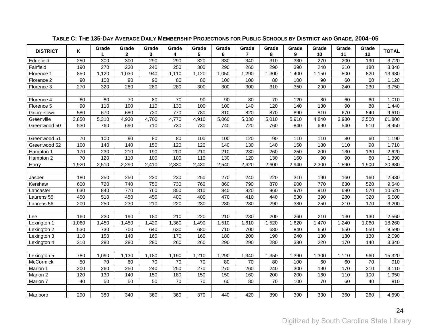| <b>DISTRICT</b> | Κ     | Grade<br>1. | Grade<br>$\mathbf{2}$ | Grade<br>3 | Grade<br>4 | Grade<br>5 | Grade<br>6 | Grade<br>7 | Grade<br>8 | Grade<br>9 | Grade<br>10 | Grade<br>11      | Grade<br>12 | <b>TOTAL</b> |
|-----------------|-------|-------------|-----------------------|------------|------------|------------|------------|------------|------------|------------|-------------|------------------|-------------|--------------|
| Edgefield       | 250   | 300         | 300                   | 290        | 290        | 320        | 330        | 340        | 310        | 330        | 270         | $\overline{200}$ | 190         | 3,720        |
| Fairfield       | 190   | 270         | 230                   | 240        | 250        | 300        | 290        | 260        | 290        | 390        | 240         | 210              | 180         | 3,340        |
| Florence 1      | 850   | 1,120       | 1,030                 | 940        | 1,110      | 1,120      | 1,050      | 1,290      | 1,300      | 1,400      | 1,150       | 800              | 820         | 13,980       |
| Florence 2      | 90    | 100         | 90                    | 90         | 80         | 80         | 100        | 100        | 80         | 100        | 90          | 60               | 60          | 1,120        |
| Florence 3      | 270   | 320         | 280                   | 280        | 280        | 300        | 300        | 300        | 310        | 350        | 290         | 240              | 230         | 3,750        |
|                 |       |             |                       |            |            |            |            |            |            |            |             |                  |             |              |
| Florence 4      | 60    | 80          | 70                    | 80         | 70         | 90         | 90         | 80         | 70         | 120        | 80          | 60               | 60          | 1,010        |
| Florence 5      | 90    | 110         | 100                   | 110        | 130        | 100        | 100        | 140        | 120        | 140        | 130         | 90               | 80          | 1,440        |
| Georgetown      | 580   | 670         | 680                   | 720        | 770        | 780        | 810        | 820        | 870        | 890        | 810         | 670              | 540         | 9,610        |
| Greenville      | 3,850 | 5,310       | 4,930                 | 4,700      | 4,770      | 4,910      | 5,060      | 5,030      | 5,010      | 5,910      | 4,840       | 3,980            | 3,500       | 61,800       |
| Greenwood 50    | 530   | 760         | 690                   | 710        | 730        | 730        | 740        | 720        | 760        | 840        | 690         | 540              | 510         | 8,950        |
|                 |       |             |                       |            |            |            |            |            |            |            |             |                  |             |              |
| Greenwood 51    | 70    | 100         | 90                    | 80         | 80         | 100        | 100        | 120        | 90         | 110        | 110         | 80               | 60          | 1,190        |
| Greenwood 52    | 100   | 140         | 140                   | 150        | 120        | 120        | 140        | 130        | 140        | 150        | 180         | 110              | 90          | 1,710        |
| Hampton 1       | 170   | 230         | 210                   | 190        | 200        | 210        | 210        | 230        | 260        | 250        | 200         | 130              | 130         | 2,620        |
| Hampton 2       | 70    | 120         | 110                   | 100        | 100        | 110        | 130        | 120        | 130        | 160        | 90          | 90               | 60          | 1,390        |
| Horry           | 1,920 | 2,510       | 2,290                 | 2,410      | 2,330      | 2,430      | 2,540      | 2,620      | 2,600      | 2,940      | 2,300       | 1,890            | 1,900       | 30,680       |
|                 |       |             |                       |            |            |            |            |            |            |            |             |                  |             |              |
| Jasper          | 180   | 250         | 250                   | 220        | 230        | 250        | 270        | 240        | 220        | 310        | 190         | 160              | 160         | 2,930        |
| Kershaw         | 600   | 720         | 740                   | 750        | 730        | 760        | 860        | 790        | 870        | 900        | 770         | 630              | 520         | 9,640        |
| Lancaster       | 630   | 840         | 770                   | 760        | 850        | 810        | 840        | 920        | 960        | 970        | 910         | 690              | 570         | 10,520       |
| Laurens 55      | 450   | 510         | 450                   | 450        | 400        | 400        | 470        | 410        | 440        | 530        | 390         | 280              | 320         | 5,500        |
| Laurens 56      | 200   | 250         | 230                   | 210        | 220        | 230        | 280        | 280        | 290        | 380        | 250         | 210              | 170         | 3,200        |
|                 |       |             |                       |            |            |            |            |            |            |            |             |                  |             |              |
| Lee             | 160   | 230         | 190                   | 180        | 210        | 220        | 210        | 230        | 200        | 260        | 210         | 130              | 130         | 2,560        |
| Lexington 1     | 1,060 | 1,450       | 1,450                 | 1,420      | 1,360      | 1,490      | 1,510      | 1,610      | 1,520      | 1,620      | 1,470       | 1,240            | 1,060       | 18,260       |
| Lexington 2     | 530   | 730         | 700                   | 640        | 630        | 680        | 710        | 700        | 680        | 840        | 650         | 550              | 550         | 8,590        |
| Lexington 3     | 110   | 150         | 140                   | 160        | 170        | 160        | 180        | 200        | 190        | 240        | 130         | 130              | 130         | 2,090        |
| Lexington 4     | 210   | 280         | 280                   | 280        | 260        | 260        | 290        | 290        | 280        | 380        | 220         | 170              | 140         | 3,340        |
|                 |       |             |                       |            |            |            |            |            |            |            |             |                  |             |              |
| Lexington 5     | 780   | 1,090       | 1,130                 | 1,180      | 1,190      | 1,210      | 1,290      | 1,340      | 1,350      | 1,390      | 1,300       | 1,110            | 960         | 15,320       |
| McCormick       | 50    | 70          | 60                    | 70         | 70         | 70         | 80         | 70         | 80         | 100        | 60          | 60               | 70          | 910          |
| Marion 1        | 200   | 260         | 250                   | 240        | 250        | 270        | 270        | 260        | 240        | 300        | 190         | 170              | 210         | 3,110        |
| Marion 2        | 120   | 130         | 140                   | 150        | 180        | 150        | 150        | 160        | 200        | 200        | 160         | 110              | 100         | 1,950        |
| Marion 7        | 40    | 50          | 50                    | 50         | 70         | 70         | 60         | 80         | 70         | 100        | 70          | 60               | 40          | 810          |
|                 |       |             |                       |            |            |            |            |            |            |            |             |                  |             |              |
| Marlboro        | 290   | 380         | 340                   | 360        | 360        | 370        | 440        | 420        | 390        | 390        | 330         | 360              | 260         | 4,690        |

### **TABLE C: THE 135-DAY AVERAGE DAILY MEMBERSHIP PROJECTIONS FOR PUBLIC SCHOOLS BY DISTRICT AND GRADE, 2004–05**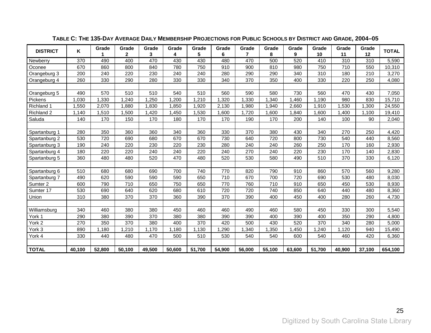| <b>DISTRICT</b> | Κ      | Grade  | Grade<br>$\mathbf{2}$ | Grade<br>3 | Grade<br>4 | Grade<br>5 | Grade<br>6 | Grade<br>7 | Grade<br>8 | Grade<br>9 | Grade<br>10 | Grade<br>11 | Grade<br>12      | <b>TOTAL</b> |
|-----------------|--------|--------|-----------------------|------------|------------|------------|------------|------------|------------|------------|-------------|-------------|------------------|--------------|
| Newberry        | 370    | 490    | 400                   | 470        | 430        | 430        | 480        | 470        | 500        | 520        | 410         | 310         | $\overline{310}$ | 5,590        |
| Oconee          | 670    | 860    | 800                   | 840        | 780        | 750        | 910        | 900        | 810        | 980        | 750         | 710         | 550              | 10,310       |
| Orangeburg 3    | 200    | 240    | 220                   | 230        | 240        | 240        | 280        | 290        | 290        | 340        | 310         | 180         | 210              | 3,270        |
| Orangeburg 4    | 260    | 330    | 290                   | 280        | 330        | 330        | 340        | 370        | 350        | 400        | 330         | 220         | 250              | 4,080        |
|                 |        |        |                       |            |            |            |            |            |            |            |             |             |                  |              |
| Orangeburg 5    | 490    | 570    | 510                   | 510        | 540        | 510        | 560        | 590        | 580        | 730        | 560         | 470         | 430              | 7,050        |
| Pickens         | 1,030  | 1,330  | 1,240                 | 1,250      | 1,200      | 1,210      | ,320       | 1,330      | 1,340      | 1,460      | 1,190       | 980         | 830              | 15,710       |
| Richland 1      | 1,550  | 2,070  | 1,880                 | 1,830      | ,850       | 1,920      | 2,130      | 1,980      | ,940       | 2,660      | 1,910       | 1,530       | 1,300            | 24,550       |
| Richland 2      | 1,140  | 1,510  | 1,500                 | 1,420      | 1,450      | 1,530      | 1,600      | 1,720      | 1,600      | 1,840      | 1.600       | 1,400       | 1,100            | 19,410       |
| Saluda          | 140    | 170    | 150                   | 170        | 180        | 170        | 170        | 190        | 170        | 200        | 140         | 100         | 90               | 2,040        |
|                 |        |        |                       |            |            |            |            |            |            |            |             |             |                  |              |
| Spartanburg 1   | 280    | 350    | 360                   | 360        | 340        | 360        | 330        | 370        | 380        | 430        | 340         | 270         | 250              | 4,420        |
| Spartanburg 2   | 530    | 720    | 690                   | 680        | 670        | 670        | 730        | 640        | 720        | 800        | 730         | 540         | 440              | 8,560        |
| Spartanburg 3   | 190    | 240    | 220                   | 230        | 220        | 230        | 280        | 240        | 240        | 260        | 250         | 170         | 160              | 2,930        |
| Spartanburg 4   | 180    | 220    | 220                   | 240        | 240        | 220        | 240        | 270        | 240        | 220        | 230         | 170         | 140              | 2,830        |
| Spartanburg 5   | 360    | 480    | 480                   | 520        | 470        | 480        | 520        | 530        | 580        | 490        | 510         | 370         | 330              | 6,120        |
|                 |        |        |                       |            |            |            |            |            |            |            |             |             |                  |              |
| Spartanburg 6   | 510    | 680    | 680                   | 690        | 700        | 740        | 770        | 820        | 790        | 910        | 860         | 570         | 560              | 9,280        |
| Spartanburg 7   | 490    | 620    | 590                   | 590        | 590        | 650        | 710        | 670        | 700        | 720        | 690         | 530         | 480              | 8,030        |
| Sumter 2        | 600    | 790    | 710                   | 650        | 750        | 650        | 770        | 760        | 710        | 910        | 650         | 450         | 530              | 8,930        |
| Sumter 17       | 530    | 690    | 640                   | 620        | 680        | 610        | 720        | 720        | 740        | 850        | 640         | 440         | 480              | 8,360        |
| Union           | 310    | 380    | 370                   | 370        | 360        | 390        | 370        | 390        | 400        | 450        | 400         | 280         | 260              | 4,730        |
|                 |        |        |                       |            |            |            |            |            |            |            |             |             |                  |              |
| Williamsburg    | 340    | 460    | 380                   | 380        | 450        | 460        | 460        | 490        | 460        | 580        | 450         | 330         | 300              | 5,540        |
| York 1          | 290    | 380    | 390                   | 370        | 380        | 380        | 390        | 390        | 400        | 390        | 400         | 350         | 290              | 4,800        |
| York 2          | 270    | 350    | 370                   | 380        | 400        | 370        | 420        | 500        | 430        | 520        | 370         | 340         | 280              | 5,000        |
| York 3          | 890    | 1,180  | ,210                  | 1,170      | 1,180      | 1,130      | ,290       | ,340       | ,350       | ,450       | ,240        | 1,120       | 940              | 15,490       |
| York 4          | 330    | 440    | 480                   | 470        | 500        | 510        | 530        | 540        | 540        | 600        | 540         | 460         | 420              | 6,360        |
|                 |        |        |                       |            |            |            |            |            |            |            |             |             |                  |              |
| <b>TOTAL</b>    | 40,100 | 52,800 | 50,100                | 49,500     | 50,600     | 51,700     | 54,900     | 56.000     | 55,100     | 63,600     | 51,700      | 40.900      | 37,100           | 654,100      |

### **TABLE C: THE 135-DAY AVERAGE DAILY MEMBERSHIP PROJECTIONS FOR PUBLIC SCHOOLS BY DISTRICT AND GRADE, 2004–05**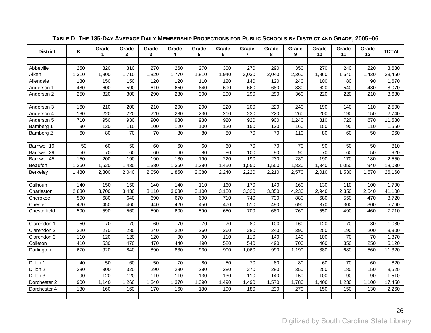<span id="page-29-1"></span><span id="page-29-0"></span>

| <b>District</b> | Κ     | Grade<br>1 | Grade<br>$\mathbf{2}$ | Grade<br>3 | Grade<br>4 | Grade<br>5 | Grade<br>6 | Grade<br>$\overline{7}$ | Grade<br>8 | Grade<br>9 | Grade<br>10 | Grade<br>11 | Grade<br>12 | <b>TOTAL</b> |
|-----------------|-------|------------|-----------------------|------------|------------|------------|------------|-------------------------|------------|------------|-------------|-------------|-------------|--------------|
|                 |       |            |                       |            |            |            |            |                         |            |            |             |             |             |              |
| Abbeville       | 250   | 320        | 310                   | 270        | 260        | 270        | 300        | 270                     | 290        | 350        | 270         | 240         | 220         | 3,630        |
| Aiken           | 1,310 | 1,800      | 1,710                 | 1,820      | 1,770      | 1,810      | 1,940      | 2,030                   | 2,040      | 2,360      | 1,860       | 1,540       | 1,430       | 23,450       |
| Allendale       | 130   | 150        | 150                   | 120        | 120        | 110        | 120        | 140                     | 120        | 240        | 100         | 80          | 90          | 1,670        |
| Anderson 1      | 480   | 600        | 590                   | 610        | 650        | 640        | 690        | 660                     | 680        | 830        | 620         | 540         | 480         | 8,070        |
| Anderson 2      | 250   | 320        | 300                   | 290        | 280        | 300        | 290        | 290                     | 290        | 360        | 220         | 220         | 210         | 3,630        |
|                 |       |            |                       |            |            |            |            |                         |            |            |             |             |             |              |
| Anderson 3      | 160   | 210        | 200                   | 210        | 200        | 200        | 220        | 200                     | 220        | 240        | 190         | 140         | 110         | 2,500        |
| Anderson 4      | 180   | 220        | 220                   | 220        | 230        | 230        | 210        | 230                     | 220        | 260        | 200         | 190         | 150         | 2,740        |
| Anderson 5      | 710   | 950        | 930                   | 900        | 930        | 930        | 920        | 920                     | 900        | 1,240      | 810         | 720         | 670         | 11,530       |
| Bamberg 1       | 90    | 130        | 110                   | 100        | 120        | 100        | 120        | 150                     | 130        | 160        | 150         | 90          | 110         | 1,550        |
| Bamberg 2       | 60    | 80         | 70                    | 70         | 80         | 80         | 80         | 70                      | 70         | 110        | 80          | 60          | 50          | 960          |
|                 |       |            |                       |            |            |            |            |                         |            |            |             |             |             |              |
| Barnwell 19     | 50    | 60         | 50                    | 60         | 60         | 60         | 60         | 70                      | 70         | 70         | 90          | 50          | 50          | 810          |
| Barnwell 29     | 50    | 70         | 60                    | 60         | 60         | 80         | 80         | 100                     | 90         | 90         | 70          | 60          | 50          | 920          |
| Barnwell 45     | 150   | 200        | 190                   | 190        | 180        | 190        | 220        | 190                     | 230        | 280        | 190         | 170         | 180         | 2,550        |
| <b>Beaufort</b> | 1,260 | 1,520      | 1,430                 | 1,380      | 1,360      | 1,380      | 1,450      | 1,550                   | 1,550      | 1,830      | 1,340       | 1,050       | 940         | 18,030       |
| <b>Berkeley</b> | 1,480 | 2,300      | 2,040                 | 2,050      | 1,850      | 2,080      | 2,240      | 2,220                   | 2,210      | 2,570      | 2,010       | 1,530       | 1,570       | 26,160       |
|                 |       |            |                       |            |            |            |            |                         |            |            |             |             |             |              |
| Calhoun         | 140   | 150        | 150                   | 140        | 140        | 110        | 160        | 170                     | 140        | 160        | 130         | 110         | 100         | 1,790        |
| Charleston      | 2,830 | 3,700      | 3,430                 | 3,110      | 3,030      | 3,100      | 3,180      | 3,320                   | 3,350      | 4,230      | 2,940       | 2,350       | 2,540       | 41,100       |
| Cherokee        | 590   | 680        | 640                   | 690        | 670        | 690        | 710        | 740                     | 730        | 880        | 680         | 550         | 470         | 8,720        |
| Chester         | 420   | 450        | 460                   | 440        | 420        | 450        | 470        | 510                     | 490        | 690        | 370         | 300         | 300         | 5,760        |
| Chesterfield    | 500   | 590        | 560                   | 590        | 600        | 590        | 650        | 700                     | 660        | 760        | 550         | 490         | 460         | 7,710        |
|                 |       |            |                       |            |            |            |            |                         |            |            |             |             |             |              |
| Clarendon 1     | 50    | 70         | 70                    | 60         | 70         | 70         | 70         | 80                      | 100        | 160        | 120         | 70          | 80          | 1,080        |
| Clarendon 2     | 220   | 270        | 280                   | 240        | 220        | 260        | 260        | 280                     | 240        | 390        | 250         | 190         | 200         | 3,300        |
| Clarendon 3     | 110   | 120        | 120                   | 120        | 90         | 90         | 110        | 110                     | 140        | 140        | 100         | 70          | 70          | 1,370        |
| Colleton        | 410   | 530        | 470                   | 470        | 440        | 490        | 520        | 540                     | 490        | 700        | 460         | 350         | 250         | 6,120        |
| Darlington      | 670   | 920        | 840                   | 890        | 830        | 930        | 900        | 1,060                   | 990        | 1,190      | 880         | 680         | 560         | 11,320       |
|                 |       |            |                       |            |            |            |            |                         |            |            |             |             |             |              |
| Dillon 1        | 40    | 50         | 60                    | 50         | 70         | 80         | 50         | 70                      | 80         | 80         | 60          | 70          | 60          | 820          |
| Dillon 2        | 280   | 300        | 320                   | 290        | 280        | 280        | 280        | 270                     | 280        | 350        | 250         | 180         | 150         | 3,520        |
| Dillon 3        | 90    | 120        | 120                   | 110        | 110        | 130        | 130        | 110                     | 140        | 150        | 100         | 90          | 90          | 1,510        |
| Dorchester 2    | 900   | 1,140      | 1,260                 | 1,340      | 1,370      | 1,390      | 1,490      | 1,490                   | 1,570      | 1,780      | 1,400       | 1,230       | 1,100       | 17,450       |
| Dorchester 4    | 130   | 160        | 160                   | 170        | 160        | 180        | 190        | 180                     | 230        | 270        | 150         | 150         | 130         | 2,260        |
|                 |       |            |                       |            |            |            |            |                         |            |            |             |             |             |              |

### **TABLE D: THE 135-DAY AVERAGE DAILY MEMBERSHIP PROJECTIONS FOR PUBLIC SCHOOLS BY DISTRICT AND GRADE, 2005–06**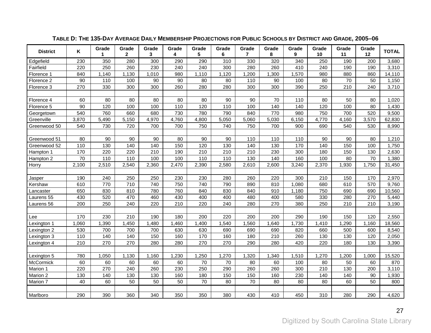| <b>District</b> | Κ     | Grade<br>1 | Grade<br>$\mathbf{2}$ | Grade<br>3 | Grade<br>4 | Grade<br>5 | Grade<br>6 | Grade<br>$\overline{7}$ | Grade<br>8 | Grade<br>9 | Grade<br>10 | Grade<br>11 | Grade<br>12 | <b>TOTAL</b> |
|-----------------|-------|------------|-----------------------|------------|------------|------------|------------|-------------------------|------------|------------|-------------|-------------|-------------|--------------|
| Edgefield       | 230   | 350        | 280                   | 300        | 290        | 290        | 310        | 330                     | 320        | 340        | 250         | 190         | 200         | 3,680        |
| Fairfield       | 220   | 250        | 260                   | 230        | 240        | 240        | 300        | 280                     | 260        | 410        | 240         | 190         | 190         | 3,310        |
| Florence 1      | 840   | 1,140      | 1,130                 | 1,010      | 980        | 1,110      | 1,120      | 1,200                   | 1,300      | 1,570      | 980         | 880         | 860         | 14,110       |
| Florence 2      | 90    | 110        | 100                   | 90         | 90         | 80         | 80         | 110                     | 90         | 100        | 80          | 70          | 50          | 1,150        |
| Florence 3      | 270   | 330        | 300                   | 300        | 260        | 280        | 280        | 300                     | 300        | 390        | 250         | 210         | 240         | 3,710        |
|                 |       |            |                       |            |            |            |            |                         |            |            |             |             |             |              |
| Florence 4      | 60    | 80         | 80                    | 80         | 80         | 80         | 90         | 90                      | 70         | 110        | 80          | 50          | 80          | 1,020        |
| Florence 5      | 90    | 120        | 100                   | 100        | 110        | 120        | 110        | 100                     | 140        | 140        | 120         | 100         | 80          | 1,430        |
| Georgetown      | 540   | 760        | 660                   | 680        | 730        | 780        | 790        | 840                     | 770        | 980        | 750         | 700         | 520         | 9,500        |
| Greenville      | 3,870 | 5,490      | 5,150                 | 4,970      | 4,760      | 4,800      | 5,050      | 5,060                   | 5,030      | 6,150      | 4,770       | 4,160       | 3,570       | 62,830       |
| Greenwood 50    | 540   | 730        | 720                   | 700        | 700        | 750        | 740        | 750                     | 700        | 900        | 690         | 540         | 530         | 8,990        |
|                 |       |            |                       |            |            |            |            |                         |            |            |             |             |             |              |
| Greenwood 51    | 80    | 90         | 90                    | 90         | 80         | 90         | 90         | 110                     | 110        | 110        | 90          | 90          | 80          | 1,210        |
| Greenwood 52    | 110   | 130        | 140                   | 140        | 150        | 120        | 130        | 140                     | 130        | 170        | 140         | 150         | 100         | 1,750        |
| Hampton 1       | 170   | 220        | 220                   | 210        | 190        | 210        | 210        | 210                     | 230        | 300        | 180         | 150         | 130         | 2,630        |
| Hampton 2       | 70    | 110        | 110                   | 100        | 100        | 110        | 110        | 130                     | 140        | 160        | 100         | 80          | 70          | 1,380        |
| Horry           | 2,100 | 2,510      | 2,540                 | 2,360      | 2,470      | 2,390      | 2,580      | 2,610                   | 2,600      | 3,240      | 2,370       | 1,930       | 1,750       | 31,450       |
|                 |       |            |                       |            |            |            |            |                         |            |            |             |             |             |              |
| Jasper          | 190   | 240        | 250                   | 250        | 230        | 230        | 280        | 260                     | 220        | 300        | 210         | 150         | 170         | 2,970        |
| Kershaw         | 610   | 770        | 710                   | 740        | 750        | 740        | 790        | 890                     | 810        | 1,080      | 680         | 610         | 570         | 9,760        |
| Lancaster       | 650   | 830        | 810                   | 780        | 760        | 840        | 830        | 840                     | 910        | 1,180      | 750         | 690         | 690         | 10,560       |
| Laurens 55      | 430   | 520        | 470                   | 460        | 430        | 400        | 400        | 480                     | 400        | 580        | 330         | 280         | 270         | 5,440        |
| Laurens 56      | 200   | 250        | 240                   | 220        | 210        | 220        | 240        | 280                     | 270        | 380        | 250         | 210         | 210         | 3,190        |
|                 |       |            |                       |            |            |            |            |                         |            |            |             |             |             |              |
| Lee             | 170   | 230        | 210                   | 190        | 180        | 200        | 220        | 200                     | 200        | 290        | 190         | 150         | 120         | 2,550        |
| Lexington 1     | 1,060 | 1,390      | 1,450                 | 1,480      | 1,460      | 1,400      | 1,540      | 1,560                   | 1,640      | 1,730      | 1,410       | 1,290       | 1,160       | 18,560       |
| Lexington 2     | 530   | 700        | 700                   | 700        | 630        | 630        | 690        | 690                     | 690        | 820        | 660         | 500         | 600         | 8,540        |
| Lexington 3     | 110   | 140        | 140                   | 150        | 160        | 170        | 160        | 180                     | 210        | 260        | 130         | 130         | 120         | 2,050        |
| Lexington 4     | 210   | 270        | 270                   | 280        | 280        | 270        | 270        | 290                     | 280        | 420        | 220         | 180         | 130         | 3,390        |
|                 |       |            |                       |            |            |            |            |                         |            |            |             |             |             |              |
| Lexington 5     | 780   | 1,050      | 1,130                 | 1,160      | 1,230      | 1,250      | 1,270      | 1,320                   | 1,340      | 1,510      | 1,270       | 1,200       | 1,000       | 15,520       |
| McCormick       | 60    | 60         | 60                    | 60         | 60         | 70         | 70         | 80                      | 60         | 100        | 80          | 50          | 60          | 870          |
| Marion 1        | 220   | 270        | 240                   | 260        | 230        | 250        | 290        | 260                     | 260        | 300        | 210         | 130         | 200         | 3,110        |
| Marion 2        | 130   | 140        | 130                   | 130        | 160        | 180        | 150        | 150                     | 160        | 230        | 140         | 140         | 90          | 1,930        |
| Marion 7        | 40    | 60         | 50                    | 50         | 50         | 70         | 80         | 70                      | 80         | 80         | 80          | 60          | 50          | 800          |
|                 |       |            |                       |            |            |            |            |                         |            |            |             |             |             |              |
| Marlboro        | 290   | 390        | 360                   | 340        | 350        | 350        | 380        | 430                     | 410        | 450        | 310         | 280         | 290         | 4,620        |

### **TABLE D: THE 135-DAY AVERAGE DAILY MEMBERSHIP PROJECTIONS FOR PUBLIC SCHOOLS BY DISTRICT AND GRADE, 2005–06**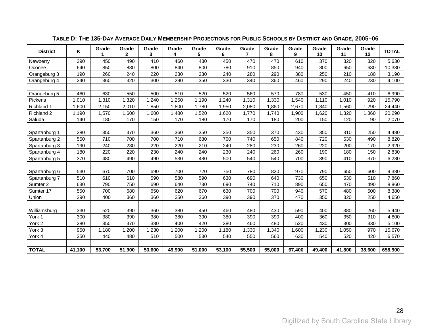| <b>District</b> | ĸ      | Grade  | Grade<br>$\mathbf{2}$ | Grade<br>3 | Grade<br>4 | Grade<br>5 | Grade<br>6 | Grade<br>$\overline{7}$ | Grade<br>8 | Grade<br>9 | Grade<br>10 | Grade<br>11 | Grade<br>12 | <b>TOTAL</b> |
|-----------------|--------|--------|-----------------------|------------|------------|------------|------------|-------------------------|------------|------------|-------------|-------------|-------------|--------------|
| Newberry        | 390    | 450    | 490                   | 410        | 460        | 430        | 450        | 470                     | 470        | 610        | 370         | 320         | 320         | 5,630        |
| Oconee          | 640    | 850    | 830                   | 800        | 840        | 800        | 780        | 910                     | 850        | 940        | 800         | 650         | 630         | 10,330       |
| Orangeburg 3    | 190    | 260    | 240                   | 220        | 230        | 230        | 240        | 280                     | 290        | 380        | 250         | 210         | 180         | 3,190        |
| Orangeburg 4    | 240    | 360    | 320                   | 300        | 290        | 350        | 330        | 340                     | 360        | 460        | 290         | 240         | 230         | 4,100        |
|                 |        |        |                       |            |            |            |            |                         |            |            |             |             |             |              |
| Orangeburg 5    | 460    | 630    | 550                   | 500        | 510        | 520        | 520        | 560                     | 570        | 780        | 530         | 450         | 410         | 6,990        |
| Pickens         | 1,010  | 1,310  | 1,320                 | 1,240      | 1,250      | 1,190      | 1,240      | 1,310                   | 1,330      | 1,540      | 1,110       | 1,010       | 920         | 15,790       |
| Richland 1      | 1,600  | 2,150  | 2,010                 | 1,850      | 1,800      | 1,780      | 1,950      | 2,080                   | 1,860      | 2,670      | 1,840       | 1,560       | 1,290       | 24,440       |
| Richland 2      | 1,190  | ,570   | 1,600                 | ,600       | ,480       | ,520       | ,620       | 1,770                   | 1,740      | 1,900      | 1,620       | 1,320       | 1,360       | 20,290       |
| Saluda          | 140    | 180    | 170                   | 150        | 170        | 180        | 170        | 170                     | 180        | 200        | 150         | 120         | 90          | 2,070        |
|                 |        |        |                       |            |            |            |            |                         |            |            |             |             |             |              |
| Spartanburg 1   | 280    | 350    | 370                   | 360        | 360        | 350        | 350        | 350                     | 370        | 430        | 350         | 310         | 250         | 4,480        |
| Spartanburg 2   | 550    | 710    | 700                   | 700        | 710        | 680        | 700        | 740                     | 650        | 840        | 720         | 630         | 490         | 8,820        |
| Spartanburg 3   | 190    | 240    | 230                   | 220        | 220        | 210        | 240        | 280                     | 230        | 260        | 220         | 200         | 170         | 2,920        |
| Spartanburg 4   | 180    | 220    | 220                   | 230        | 240        | 240        | 230        | 240                     | 260        | 260        | 190         | 180         | 150         | 2,830        |
| Spartanburg 5   | 370    | 480    | 490                   | 490        | 530        | 480        | 500        | 540                     | 540        | 700        | 390         | 410         | 370         | 6,280        |
|                 |        |        |                       |            |            |            |            |                         |            |            |             |             |             |              |
| Spartanburg 6   | 530    | 670    | 700                   | 690        | 700        | 720        | 750        | 780                     | 820        | 970        | 790         | 650         | 600         | 9,380        |
| Spartanburg 7   | 510    | 610    | 610                   | 590        | 580        | 590        | 630        | 690                     | 640        | 730        | 650         | 530         | 510         | 7,860        |
| Sumter 2        | 630    | 790    | 750                   | 690        | 640        | 730        | 690        | 740                     | 710        | 890        | 650         | 470         | 490         | 8,860        |
| Sumter 17       | 550    | 700    | 680                   | 650        | 620        | 670        | 630        | 700                     | 700        | 940        | 570         | 480         | 500         | 8,380        |
| Union           | 290    | 400    | 360                   | 360        | 350        | 360        | 390        | 390                     | 370        | 470        | 350         | 320         | 250         | 4,650        |
|                 |        |        |                       |            |            |            |            |                         |            |            |             |             |             |              |
| Williamsburg    | 330    | 520    | 390                   | 360        | 380        | 450        | 460        | 480                     | 430        | 590        | 400         | 380         | 260         | 5,440        |
| York 1          | 300    | 380    | 390                   | 380        | 380        | 390        | 380        | 390                     | 390        | 400        | 360         | 350         | 310         | 4,800        |
| York 2          | 280    | 350    | 370                   | 380        | 400        | 420        | 380        | 460                     | 480        | 520        | 430         | 300         | 330         | 5,100        |
| York 3          | 950    | 1,180  | ,200                  | ,230       | ,200       | ,200       | 1,180      | 1,330                   | 1,340      | 1,600      | ,230        | 1,050       | 970         | 15,670       |
| York 4          | 350    | 440    | 480                   | 510        | 500        | 530        | 540        | 550                     | 560        | 630        | 540         | 520         | 420         | 6,570        |
|                 |        |        |                       |            |            |            |            |                         |            |            |             |             |             |              |
| <b>TOTAL</b>    | 41,100 | 53,700 | 51,900                | 50,600     | 49,900     | 51,000     | 53,100     | 55,500                  | 55,000     | 67,400     | 49,400      | 41,800      | 38,600      | 658,900      |

### **TABLE D: THE 135-DAY AVERAGE DAILY MEMBERSHIP PROJECTIONS FOR PUBLIC SCHOOLS BY DISTRICT AND GRADE, 2005–06**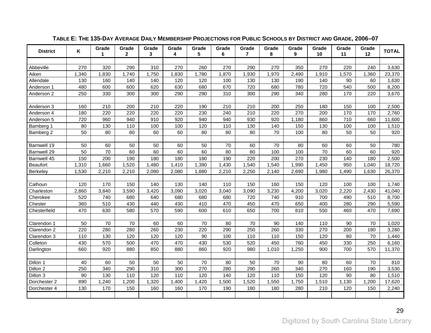<span id="page-32-1"></span><span id="page-32-0"></span>

| <b>District</b> | Κ     | Grade<br>1 | Grade<br>$\mathbf{2}$ | Grade<br>3 | Grade<br>4 | Grade<br>5 | Grade<br>6 | Grade<br>$\overline{7}$ | Grade<br>8 | Grade<br>9 | Grade<br>10 | Grade<br>11 | Grade<br>12 | <b>TOTAL</b> |
|-----------------|-------|------------|-----------------------|------------|------------|------------|------------|-------------------------|------------|------------|-------------|-------------|-------------|--------------|
|                 |       |            |                       |            |            |            |            |                         |            |            |             |             |             |              |
| Abbeville       | 270   | 320        | 290                   | 310        | 270        | 260        | 270        | 290                     | 270        | 350        | 270         | 220         | 240         | 3,630        |
| Aiken           | 1,340 | 1,830      | 1,740                 | 1,750      | 1,830      | 1,780      | 1,870      | 1,930                   | 1,970      | 2,490      | 1,910       | 1,570       | 1,360       | 23,370       |
| Allendale       | 130   | 160        | 140                   | 140        | 120        | 120        | 100        | 130                     | 130        | 190        | 140         | 90          | 60          | 1,630        |
| Anderson 1      | 480   | 600        | 600                   | 620        | 630        | 680        | 670        | 720                     | 680        | 780        | 720         | 540         | 500         | 8,200        |
| Anderson 2      | 250   | 330        | 300                   | 300        | 290        | 290        | 310        | 300                     | 290        | 340        | 280         | 170         | 220         | 3,670        |
|                 |       |            |                       |            |            |            |            |                         |            |            |             |             |             |              |
| Anderson 3      | 160   | 210        | 200                   | 210        | 220        | 190        | 210        | 210                     | 200        | 250        | 180         | 150         | 100         | 2,500        |
| Anderson 4      | 180   | 220        | 220                   | 220        | 220        | 230        | 240        | 210                     | 220        | 270        | 200         | 170         | 170         | 2,760        |
| Anderson 5      | 720   | 960        | 940                   | 910        | 920        | 940        | 940        | 930                     | 920        | 1,180      | 860         | 710         | 660         | 11,600       |
| Bamberg 1       | 80    | 130        | 110                   | 100        | 100        | 120        | 110        | 130                     | 140        | 150        | 130         | 100         | 100         | 1,510        |
| Bamberg 2       | 50    | 80         | 80                    | 60         | 60         | 80         | 80         | 80                      | 70         | 100        | 80          | 50          | 50          | 920          |
|                 |       |            |                       |            |            |            |            |                         |            |            |             |             |             |              |
| Barnwell 19     | 50    | 60         | 50                    | 50         | 60         | 50         | 70         | 60                      | 70         | 80         | 60          | 60          | 50          | 780          |
| Barnwell 29     | 50    | 70         | 60                    | 60         | 60         | 60         | 80         | 80                      | 100        | 100        | 70          | 60          | 60          | 920          |
| Barnwell 45     | 150   | 200        | 190                   | 180        | 180        | 180        | 190        | 220                     | 200        | 270        | 230         | 140         | 180         | 2,500        |
| <b>Beaufort</b> | 1,310 | 1,660      | 1,520                 | 1,480      | 1,410      | 1,390      | 1,430      | 1,540                   | 1,540      | 1,990      | 1,450       | 950         | 1,040       | 18,720       |
| Berkeley        | 1,530 | 2,210      | 2,210                 | 2,090      | 2,080      | 1,880      | 2,210      | 2,250                   | 2,140      | 2,690      | 1,980       | 1,490       | 1,630       | 26,370       |
|                 |       |            |                       |            |            |            |            |                         |            |            |             |             |             |              |
| Calhoun         | 120   | 170        | 150                   | 140        | 130        | 140        | 110        | 150                     | 160        | 150        | 120         | 100         | 100         | 1,740        |
| Charleston      | 2,860 | 3,840      | 3,590                 | 3,420      | 3,090      | 3,020      | 3,040      | 3,090                   | 3,230      | 4,200      | 3,020       | 2,220       | 2,430       | 41,040       |
| Cherokee        | 520   | 740        | 680                   | 640        | 680        | 680        | 680        | 720                     | 740        | 910        | 700         | 490         | 510         | 8,700        |
| Chester         | 360   | 510        | 430                   | 440        | 430        | 410        | 470        | 450                     | 470        | 650        | 400         | 280         | 290         | 5,590        |
| Chesterfield    | 470   | 630        | 580                   | 570        | 590        | 600        | 610        | 650                     | 700        | 810        | 550         | 460         | 470         | 7,690        |
|                 |       |            |                       |            |            |            |            |                         |            |            |             |             |             |              |
| Clarendon 1     | 50    | 70         | 70                    | 60         | 60         | 70         | 80         | 70                      | 90         | 140        | 110         | 90          | 70          | 1,020        |
| Clarendon 2     | 220   | 280        | 280                   | 260        | 230        | 220        | 290        | 250                     | 260        | 330        | 270         | 200         | 180         | 3,280        |
| Clarendon 3     | 110   | 130        | 120                   | 120        | 120        | 90         | 100        | 110                     | 110        | 150        | 120         | 80          | 70          | 1,440        |
| Colleton        | 430   | 570        | 500                   | 470        | 470        | 430        | 530        | 520                     | 450        | 760        | 450         | 330         | 250         | 6,160        |
| Darlington      | 660   | 920        | 880                   | 850        | 880        | 860        | 920        | 980                     | 1,010      | 1,250      | 900         | 700         | 570         | 11,370       |
|                 |       |            |                       |            |            |            |            |                         |            |            |             |             |             |              |
| Dillon 1        | 40    | 60         | 50                    | 50         | 50         | 70         | 80         | 50                      | 70         | 90         | 80          | 60          | 70          | 810          |
| Dillon 2        | 250   | 340        | 290                   | 310        | 300        | 270        | 280        | 290                     | 260        | 340        | 270         | 160         | 190         | 3,530        |
| Dillon 3        | 90    | 130        | 110                   | 120        | 110        | 120        | 140        | 120                     | 110        | 150        | 120         | 90          | 80          | 1,510        |
| Dorchester 2    | 890   | 1,240      | 1,200                 | 1,320      | 1,400      | 1,420      | 1,500      | 1,520                   | 1,550      | 1,750      | 1,510       | 1,130       | 1,200       | 17,620       |
| Dorchester 4    | 130   | 170        | 150                   | 160        | 160        | 170        | 190        | 180                     | 180        | 280        | 210         | 120         | 150         | 2,240        |
|                 |       |            |                       |            |            |            |            |                         |            |            |             |             |             |              |

### **TABLE E: THE 135-DAY AVERAGE DAILY MEMBERSHIP PROJECTIONS FOR PUBLIC SCHOOLS BY DISTRICT AND GRADE, 2006–07**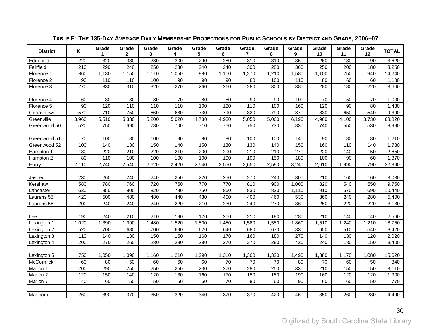| <b>District</b> | Κ     | Grade<br>1 | Grade<br>$\mathbf{2}$ | Grade<br>3 | Grade<br>4 | Grade<br>5 | Grade<br>6 | Grade<br>7 | Grade<br>8 | Grade<br>9 | Grade<br>10 | Grade<br>11 | Grade<br>12 | <b>TOTAL</b> |
|-----------------|-------|------------|-----------------------|------------|------------|------------|------------|------------|------------|------------|-------------|-------------|-------------|--------------|
| Edgefield       | 220   | 320        | 330                   | 280        | 300        | 290        | 280        | 310        | 310        | 360        | 260         | 180         | 190         | 3,620        |
| Fairfield       | 210   | 290        | 240                   | 250        | 230        | 240        | 240        | 300        | 280        | 360        | 250         | 200         | 180         | 3,250        |
| Florence 1      | 860   | 1,130      | 1,150                 | 1,110      | 1,050      | 980        | 1,100      | 1,270      | 1,210      | 1,580      | 1,100       | 750         | 940         | 14,240       |
| Florence 2      | 90    | 110        | 110                   | 100        | 90         | 90         | 90         | 80         | 100        | 110        | 80          | 60          | 60          | 1,180        |
| Florence 3      | 270   | 330        | 310                   | 320        | 270        | 260        | 260        | 280        | 300        | 380        | 280         | 180         | 220         | 3,660        |
|                 |       |            |                       |            |            |            |            |            |            |            |             |             |             |              |
| Florence 4      | 60    | 80         | 80                    | 80         | 70         | 80         | 80         | 90         | 90         | 100        | 70          | 50          | 70          | 1,000        |
| Florence 5      | 90    | 120        | 110                   | 110        | 110        | 100        | 120        | 110        | 100        | 160        | 120         | 90          | 80          | 1,430        |
| Georgetown      | 570   | 710        | 750                   | 660        | 680        | 730        | 790        | 820        | 790        | 870        | 830         | 650         | 540         | 9,390        |
| Greenville      | 3,960 | 5,510      | 5,330                 | 5,200      | 5,020      | 4,780      | 4,930      | 5,050      | 5,060      | 6,190      | 4,960       | 4,100       | 3,730       | 63,820       |
| Greenwood 50    | 520   | 750        | 690                   | 730        | 700        | 710        | 760        | 750        | 730        | 830        | 740         | 550         | 530         | 8,990        |
|                 |       |            |                       |            |            |            |            |            |            |            |             |             |             |              |
| Greenwood 51    | 70    | 100        | 80                    | 100        | 90         | 80         | 80         | 100        | 100        | 140        | 90          | 80          | 80          | 1,210        |
| Greenwood 52    | 100   | 140        | 130                   | 150        | 140        | 150        | 130        | 130        | 140        | 150        | 160         | 110         | 140         | 1,780        |
| Hampton 1       | 180   | 220        | 210                   | 220        | 210        | 200        | 200        | 210        | 210        | 270        | 220         | 140         | 150         | 2,650        |
| Hampton 2       | 80    | 110        | 100                   | 100        | 100        | 100        | 100        | 100        | 150        | 180        | 100         | 90          | 60          | 1,370        |
| Horry           | 2,110 | 2,740      | 2,540                 | 2,620      | 2,420      | 2,540      | 2,550      | 2,650      | 2,590      | 3,240      | 2,610       | 1,990       | 1,790       | 32,390       |
|                 |       |            |                       |            |            |            |            |            |            |            |             |             |             |              |
| Jasper          | 230   | 260        | 240                   | 240        | 250        | 220        | 250        | 270        | 240        | 300        | 210         | 160         | 160         | 3,030        |
| Kershaw         | 580   | 780        | 760                   | 720        | 750        | 770        | 770        | 810        | 900        | 1,000      | 820         | 540         | 550         | 9,750        |
| Lancaster       | 630   | 850        | 800                   | 820        | 780        | 750        | 860        | 830        | 830        | 1,110      | 910         | 570         | 690         | 10,440       |
| Laurens 55      | 420   | 500        | 480                   | 480        | 440        | 430        | 400        | 400        | 460        | 530        | 360         | 240         | 280         | 5,400        |
| Laurens 56      | 200   | 240        | 240                   | 240        | 220        | 210        | 230        | 240        | 270        | 360        | 250         | 220         | 220         | 3,130        |
|                 |       |            |                       |            |            |            |            |            |            |            |             |             |             |              |
| Lee             | 190   | 240        | 210                   | 210        | 190        | 170        | 200        | 210        | 180        | 280        | 210         | 140         | 140         | 2,560        |
| Lexington 1     | 1,020 | 1,390      | 1,390                 | 1,480      | 1,520      | 1,500      | 1,450      | 1,580      | 1,580      | 1,860      | 1,510       | 1,240       | 1,210       | 18,750       |
| Lexington 2     | 520   | 700        | 680                   | 700        | 690        | 620        | 640        | 680        | 670        | 830        | 650         | 510         | 540         | 8,420        |
| Lexington 3     | 110   | 140        | 130                   | 150        | 150        | 160        | 170        | 160        | 180        | 270        | 140         | 130         | 120         | 2,020        |
| Lexington 4     | 200   | 270        | 260                   | 280        | 280        | 290        | 270        | 270        | 290        | 420        | 240         | 180         | 150         | 3,400        |
|                 |       |            |                       |            |            |            |            |            |            |            |             |             |             |              |
| Lexington 5     | 750   | 1,050      | 1,090                 | 1,160      | 1,210      | 1,290      | 1,310      | 1,300      | 1,320      | 1,490      | 1,380       | 1,170       | 1,080       | 15,620       |
| McCormick       | 60    | 80         | 50                    | 60         | 60         | 60         | 70         | 70         | 70         | 80         | 70          | 60          | 50          | 840          |
| Marion 1        | 200   | 290        | 250                   | 250        | 250        | 230        | 270        | 280        | 250        | 330        | 210         | 150         | 150         | 3,110        |
| Marion 2        | 120   | 150        | 140                   | 120        | 130        | 160        | 170        | 150        | 150        | 190        | 160         | 120         | 120         | 1,900        |
| Marion 7        | 40    | 60         | 50                    | 50         | 50         | 50         | 70         | 80         | 60         | 90         | 60          | 60          | 50          | 770          |
|                 |       |            |                       |            |            |            |            |            |            |            |             |             |             |              |
| Marlboro        | 260   | 390        | 370                   | 350        | 320        | 340        | 370        | 370        | 420        | 460        | 350         | 260         | 230         | 4,490        |

### **TABLE E: THE 135-DAY AVERAGE DAILY MEMBERSHIP PROJECTIONS FOR PUBLIC SCHOOLS BY DISTRICT AND GRADE, 2006–07**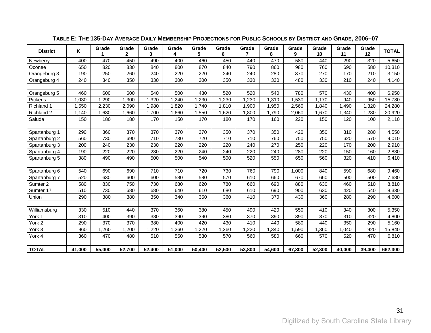| <b>District</b> | ĸ      | Grade  | Grade<br>$\mathbf{2}$ | Grade<br>3 | Grade<br>4 | Grade<br>5 | Grade<br>6 | Grade<br>7 | Grade<br>8 | Grade<br>9 | Grade<br>10 | Grade<br>11 | Grade<br>12 | <b>TOTAL</b> |
|-----------------|--------|--------|-----------------------|------------|------------|------------|------------|------------|------------|------------|-------------|-------------|-------------|--------------|
| Newberry        | 400    | 470    | 450                   | 490        | 400        | 460        | 450        | 440        | 470        | 580        | 440         | 290         | 320         | 5,650        |
| Oconee          | 650    | 820    | 830                   | 840        | 800        | 870        | 840        | 790        | 860        | 980        | 760         | 690         | 580         | 10,310       |
| Orangeburg 3    | 190    | 250    | 260                   | 240        | 220        | 220        | 240        | 240        | 280        | 370        | 270         | 170         | 210         | 3,150        |
| Orangeburg 4    | 240    | 340    | 350                   | 330        | 300        | 300        | 350        | 330        | 330        | 480        | 330         | 210         | 240         | 4,140        |
|                 |        |        |                       |            |            |            |            |            |            |            |             |             |             |              |
| Orangeburg 5    | 460    | 600    | 600                   | 540        | 500        | 480        | 520        | 520        | 540        | 780        | 570         | 430         | 400         | 6,950        |
| Pickens         | 1,030  | 1,290  | 1,300                 | ,320       | 1,240      | 1,230      | 1,230      | 1,230      | 1,310      | 1,530      | 1,170       | 940         | 950         | 15,780       |
| Richland 1      | 1,550  | 2,230  | 2,090                 | 1,980      | 1,820      | 1.740      | 1,810      | 1,900      | 1,950      | 2,560      | 1,840       | 1,490       | 1,320       | 24,280       |
| Richland 2      | 1,140  | 1,630  | 1,660                 | 1,700      | 1,660      | 1,550      | 1,620      | 1,800      | 1,790      | 2,060      | 1,670       | 1,340       | 1,280       | 20,920       |
| Saluda          | 150    | 180    | 180                   | 170        | 150        | 170        | 180        | 170        | 160        | 220        | 150         | 120         | 100         | 2,110        |
|                 |        |        |                       |            |            |            |            |            |            |            |             |             |             |              |
| Spartanburg 1   | 290    | 360    | 370                   | 370        | 370        | 370        | 350        | 370        | 350        | 420        | 350         | 310         | 280         | 4,550        |
| Spartanburg 2   | 560    | 730    | 690                   | 710        | 730        | 720        | 710        | 710        | 760        | 750        | 750         | 620         | 570         | 9,010        |
| Spartanburg 3   | 200    | 240    | 230                   | 230        | 220        | 220        | 220        | 240        | 270        | 250        | 220         | 170         | 200         | 2,910        |
| Spartanburg 4   | 190    | 220    | 220                   | 230        | 220        | 240        | 240        | 220        | 240        | 280        | 220         | 150         | 160         | 2,830        |
| Spartanburg 5   | 380    | 490    | 490                   | 500        | 500        | 540        | 500        | 520        | 550        | 650        | 560         | 320         | 410         | 6,410        |
|                 |        |        |                       |            |            |            |            |            |            |            |             |             |             |              |
| Spartanburg 6   | 540    | 690    | 690                   | 710        | 710        | 720        | 730        | 760        | 790        | 1,000      | 840         | 590         | 680         | 9,460        |
| Spartanburg 7   | 520    | 630    | 600                   | 600        | 580        | 580        | 570        | 610        | 660        | 670        | 660         | 500         | 500         | 7,680        |
| Sumter 2        | 580    | 830    | 750                   | 730        | 680        | 620        | 780        | 660        | 690        | 880        | 630         | 460         | 510         | 8,810        |
| Sumter 17       | 510    | 730    | 680                   | 680        | 640        | 610        | 680        | 610        | 690        | 900        | 630         | 420         | 540         | 8,330        |
| Union           | 290    | 380    | 380                   | 350        | 340        | 350        | 360        | 410        | 370        | 430        | 360         | 280         | 290         | 4,600        |
|                 |        |        |                       |            |            |            |            |            |            |            |             |             |             |              |
| Williamsburg    | 330    | 510    | 440                   | 370        | 360        | 380        | 450        | 490        | 420        | 550        | 410         | 340         | 300         | 5,350        |
| York 1          | 310    | 400    | 390                   | 380        | 390        | 390        | 380        | 370        | 390        | 390        | 370         | 310         | 320         | 4,800        |
| York 2          | 290    | 370    | 370                   | 380        | 400        | 420        | 430        | 410        | 440        | 580        | 440         | 350         | 290         | 5.160        |
| York 3          | 960    | ,260   | ,200                  | ,220       | ,260       | ,220       | ,260       | ,220       | ,340       | 1,590      | ,360        | 1,040       | 920         | 15,840       |
| York 4          | 360    | 470    | 480                   | 510        | 550        | 530        | 570        | 560        | 580        | 660        | 570         | 520         | 470         | 6,810        |
|                 |        |        |                       |            |            |            |            |            |            |            |             |             |             |              |
| <b>TOTAL</b>    | 41,000 | 55,000 | 52,700                | 52,400     | 51.000     | 50,400     | 52,500     | 53,800     | 54,600     | 67,300     | 52,300      | 40,000      | 39,400      | 662,300      |

### **TABLE E: THE 135-DAY AVERAGE DAILY MEMBERSHIP PROJECTIONS FOR PUBLIC SCHOOLS BY DISTRICT AND GRADE, 2006–07**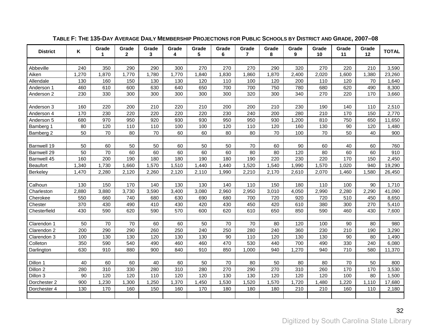<span id="page-35-1"></span><span id="page-35-0"></span>

| <b>District</b> | Κ     | Grade<br>1 | Grade<br>$\mathbf{2}$ | Grade<br>3 | Grade<br>4 | Grade<br>5 | Grade<br>6 | Grade<br>$\overline{7}$ | Grade<br>8 | Grade<br>9 | Grade<br>10 | Grade<br>11 | Grade<br>12 | <b>TOTAL</b> |
|-----------------|-------|------------|-----------------------|------------|------------|------------|------------|-------------------------|------------|------------|-------------|-------------|-------------|--------------|
|                 |       |            |                       |            |            |            |            |                         |            |            |             |             |             |              |
| Abbeville       | 240   | 350        | 290                   | 290        | 300        | 270        | 270        | 270                     | 290        | 320        | 270         | 220         | 210         | 3,590        |
| Aiken           | 1,270 | 1,870      | 1,770                 | 1,780      | 1,770      | 1,840      | 1,830      | 1,860                   | 1,870      | 2,400      | 2,020       | 1,600       | 1,380       | 23,260       |
| Allendale       | 130   | 160        | 150                   | 130        | 130        | 120        | 110        | 100                     | 120        | 200        | 110         | 120         | 70          | 1,640        |
| Anderson 1      | 460   | 610        | 600                   | 630        | 640        | 650        | 700        | 700                     | 750        | 780        | 680         | 620         | 490         | 8,300        |
| Anderson 2      | 230   | 330        | 300                   | 300        | 300        | 300        | 300        | 320                     | 300        | 340        | 270         | 220         | 170         | 3,660        |
|                 |       |            |                       |            |            |            |            |                         |            |            |             |             |             |              |
| Anderson 3      | 160   | 220        | 200                   | 210        | 220        | 210        | 200        | 200                     | 210        | 230        | 190         | 140         | 110         | 2,510        |
| Anderson 4      | 170   | 230        | 220                   | 220        | 220        | 220        | 230        | 240                     | 200        | 280        | 210         | 170         | 150         | 2,770        |
| Anderson 5      | 680   | 970        | 950                   | 920        | 930        | 930        | 950        | 950                     | 930        | 1,200      | 810         | 750         | 650         | 11,650       |
| Bamberg 1       | 80    | 120        | 110                   | 110        | 100        | 100        | 120        | 110                     | 120        | 160        | 130         | 90          | 120         | 1,480        |
| Bamberg 2       | 50    | 70         | 80                    | 70         | 60         | 60         | 80         | 80                      | 70         | 100        | 70          | 50          | 40          | 900          |
|                 |       |            |                       |            |            |            |            |                         |            |            |             |             |             |              |
| Barnwell 19     | 50    | 60         | 50                    | 50         | 60         | 50         | 50         | 70                      | 60         | 90         | 60          | 40          | 60          | 760          |
| Barnwell 29     | 50    | 70         | 60                    | 60         | 60         | 60         | 60         | 80                      | 80         | 120        | 80          | 60          | 60          | 910          |
| Barnwell 45     | 160   | 200        | 190                   | 180        | 180        | 190        | 180        | 190                     | 220        | 230        | 220         | 170         | 150         | 2,450        |
| <b>Beaufort</b> | 1,340 | 1,730      | 1,660                 | 1,570      | 1,510      | 1,440      | 1,440      | 1,520                   | 1,540      | 1,990      | 1,570       | 1,020       | 940         | 19,290       |
| <b>Berkeley</b> | 1,470 | 2,280      | 2,120                 | 2,260      | 2,120      | 2,110      | 1,990      | 2,210                   | 2,170      | 2,610      | 2,070       | 1,460       | 1,580       | 26,450       |
|                 |       |            |                       |            |            |            |            |                         |            |            |             |             |             |              |
| Calhoun         | 130   | 150        | 170                   | 140        | 130        | 130        | 140        | 110                     | 150        | 180        | 110         | 100         | 90          | 1,710        |
| Charleston      | 2,880 | 3,880      | 3,730                 | 3,590      | 3,400      | 3,080      | 2,960      | 2,950                   | 3,010      | 4,050      | 2,990       | 2,280       | 2,290       | 41,090       |
| Cherokee        | 550   | 660        | 740                   | 680        | 630        | 690        | 680        | 700                     | 720        | 920        | 720         | 510         | 450         | 8,650        |
| Chester         | 370   | 430        | 490                   | 410        | 430        | 420        | 430        | 450                     | 420        | 610        | 380         | 300         | 270         | 5,410        |
| Chesterfield    | 430   | 590        | 620                   | 590        | 570        | 600        | 620        | 610                     | 650        | 850        | 590         | 460         | 430         | 7,600        |
|                 |       |            |                       |            |            |            |            |                         |            |            |             |             |             |              |
| Clarendon 1     | 50    | 70         | 70                    | 60         | 60         | 50         | 70         | 70                      | 80         | 120        | 100         | 90          | 80          | 980          |
| Clarendon 2     | 200   | 290        | 290                   | 260        | 250        | 240        | 250        | 280                     | 240        | 360        | 230         | 210         | 190         | 3,290        |
| Clarendon 3     | 100   | 130        | 130                   | 120        | 130        | 130        | 90         | 110                     | 120        | 130        | 130         | 90          | 80          | 1,490        |
| Colleton        | 350   | 590        | 540                   | 490        | 460        | 460        | 470        | 530                     | 440        | 700        | 490         | 330         | 240         | 6,080        |
| Darlington      | 630   | 910        | 880                   | 900        | 840        | 910        | 850        | 1,000                   | 940        | 1,270      | 940         | 710         | 580         | 11,370       |
|                 |       |            |                       |            |            |            |            |                         |            |            |             |             |             |              |
| Dillon 1        | 40    | 60         | 60                    | 40         | 60         | 50         | 70         | 80                      | 50         | 80         | 80          | 70          | 50          | 800          |
| Dillon 2        | 280   | 310        | 330                   | 280        | 310        | 280        | 270        | 290                     | 270        | 310        | 260         | 170         | 170         | 3,530        |
| Dillon 3        | 90    | 120        | 120                   | 110        | 120        | 120        | 130        | 130                     | 120        | 120        | 120         | 100         | 80          | 1,500        |
| Dorchester 2    | 900   | 1,230      | 1,300                 | 1,250      | 1,370      | 1,450      | 1,530      | 1,520                   | 1,570      | 1,720      | 1,480       | 1,220       | 1,110       | 17,680       |
| Dorchester 4    | 130   | 170        | 160                   | 150        | 160        | 170        | 180        | 180                     | 180        | 210        | 210         | 160         | 110         | 2,180        |
|                 |       |            |                       |            |            |            |            |                         |            |            |             |             |             |              |

### **TABLE F: THE 135-DAY AVERAGE DAILY MEMBERSHIP PROJECTIONS FOR PUBLIC SCHOOLS BY DISTRICT AND GRADE, 2007–08**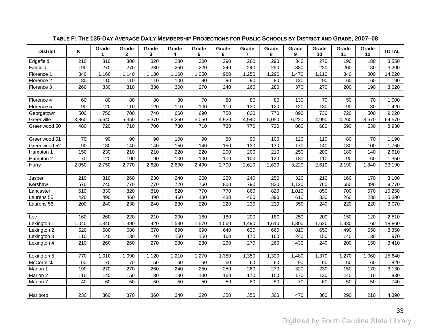| <b>District</b> | Κ     | Grade<br>1       | Grade<br>$\mathbf{2}$ | Grade<br>3 | Grade<br>4 | Grade<br>5 | Grade<br>6 | Grade<br>$\overline{7}$ | Grade<br>8 | Grade<br>9       | Grade<br>10 | Grade<br>11 | Grade<br>12 | <b>TOTAL</b> |
|-----------------|-------|------------------|-----------------------|------------|------------|------------|------------|-------------------------|------------|------------------|-------------|-------------|-------------|--------------|
| Edgefield       | 210   | $\overline{310}$ | 300                   | 320        | 280        | 300        | 290        | 280                     | 290        | $\overline{340}$ | 270         | 190         | 180         | 3,550        |
| Fairfield       | 190   | 270              | 270                   | 230        | 250        | 220        | 240        | 240                     | 290        | 380              | 220         | 200         | 180         | 3,200        |
| Florence 1      | 840   | 1,160            | 1,140                 | 1,130      | 1,160      | 1,050      | 980        | 1,250                   | 1,290      | 1,470            | 1,110       | 840         | 800         | 14,220       |
| Florence 2      | 80    | 110              | 110                   | 110        | 100        | 90         | 90         | 90                      | 80         | 120              | 90          | 60          | 60          | 1,190        |
| Florence 3      | 260   | 330              | 310                   | 330        | 300        | 270        | 240        | 260                     | 280        | 370              | 270         | 200         | 190         | 3,620        |
|                 |       |                  |                       |            |            |            |            |                         |            |                  |             |             |             |              |
| Florence 4      | 60    | 80               | 80                    | 80         | 80         | 70         | 80         | 80                      | 80         | 130              | 70          | 50          | 70          | 1,000        |
| Florence 5      | 90    | 120              | 110                   | 120        | 110        | 100        | 110        | 130                     | 120        | 120              | 130         | 90          | 80          | 1,420        |
| Georgetown      | 500   | 750              | 700                   | 740        | 660        | 690        | 750        | 820                     | 770        | 890              | 730         | 720         | 500         | 9,220        |
| Greenville      | 3,860 | 5,640            | 5,350                 | 5,370      | 5,250      | 5,050      | 4,920      | 4,940                   | 5,050      | 6,220            | 4,990       | 4,260       | 3,670       | 64,570       |
| Greenwood 50    | 480   | 720              | 710                   | 700        | 730        | 710        | 730        | 770                     | 720        | 860              | 680         | 590         | 530         | 8,930        |
|                 |       |                  |                       |            |            |            |            |                         |            |                  |             |             |             |              |
| Greenwood 51    | 70    | 90               | 90                    | 90         | 100        | 90         | 80         | 90                      | 100        | 120              | 110         | 80          | 70          | 1,190        |
| Greenwood 52    | 90    | 130              | 140                   | 140        | 150        | 140        | 150        | 130                     | 130        | 170              | 140         | 130         | 100         | 1,760        |
| Hampton 1       | 150   | 230              | 210                   | 210        | 220        | 220        | 200        | 200                     | 210        | 250              | 200         | 180         | 140         | 2,610        |
| Hampton 2       | 70    | 120              | 100                   | 90         | 100        | 100        | 100        | 100                     | 120        | 180              | 110         | 90          | 60          | 1,350        |
| Horry           | 2,050 | 2,750            | 2,770                 | 2,620      | 2,690      | 2,490      | 2,700      | 2,610                   | 2,630      | 3,220            | 2,610       | 2,190       | 1,840       | 33,190       |
|                 |       |                  |                       |            |            |            |            |                         |            |                  |             |             |             |              |
| Jasper          | 210   | 310              | 260                   | 230        | 240        | 250        | 250        | 240                     | 250        | 320              | 210         | 160         | 170         | 3,100        |
| Kershaw         | 570   | 740              | 770                   | 770        | 720        | 760        | 800        | 790                     | 830        | 1,120            | 760         | 650         | 490         | 9,770        |
| Lancaster       | 610   | 830              | 820                   | 810        | 820        | 770        | 770        | 860                     | 820        | 1,010            | 850         | 700         | 570         | 10,250       |
| Laurens 55      | 420   | 490              | 460                   | 490        | 460        | 430        | 430        | 400                     | 390        | 610              | 330         | 260         | 230         | 5,390        |
| Laurens 56      | 200   | 240              | 230                   | 240        | 230        | 220        | 220        | 230                     | 230        | 350              | 240         | 220         | 220         | 3,070        |
|                 |       |                  |                       |            |            |            |            |                         |            |                  |             |             |             |              |
| Lee             | 160   | 260              | 220                   | 210        | 200        | 180        | 180        | 200                     | 180        | 250              | 200         | 150         | 120         | 2,510        |
| Lexington 1     | 1,040 | 1,340            | 1,390                 | 1,420      | 1,530      | 1,570      | 1,560      | 1,490                   | 1,610      | 1,800            | 1,620       | 1,330       | 1,160       | 18,860       |
| Lexington 2     | 520   | 680              | 680                   | 670        | 690        | 690        | 640        | 630                     | 660        | 810              | 650         | 490         | 550         | 8,350        |
| Lexington 3     | 110   | 140              | 130                   | 140        | 150        | 150        | 160        | 170                     | 160        | 240              | 150         | 140         | 130         | 1,970        |
| Lexington 4     | 210   | 260              | 260                   | 270        | 280        | 280        | 290        | 270                     | 260        | 430              | 240         | 200         | 150         | 3,410        |
|                 |       |                  |                       |            |            |            |            |                         |            |                  |             |             |             |              |
| Lexington 5     | 770   | 1,010            | 1,090                 | 1,120      | 1,210      | 1,270      | 1,350      | 1,350                   | 1,300      | 1,480            | 1,370       | 1,270       | 1,060       | 15,640       |
| McCormick       | 60    | 70               | 70                    | 50         | 60         | 60         | 60         | 60                      | 60         | 90               | 60          | 60          | 60          | 820          |
| Marion 1        | 190   | 270              | 270                   | 260        | 240        | 250        | 250        | 260                     | 270        | 320              | 230         | 150         | 170         | 3,130        |
| Marion 2        | 110   | 140              | 150                   | 130        | 130        | 130        | 160        | 170                     | 150        | 170              | 130         | 140         | 110         | 1,830        |
| Marion 7        | 40    | 60               | 50                    | 50         | 50         | 50         | 50         | 80                      | 80         | 70               | 60          | 50          | 50          | 740          |
|                 |       |                  |                       |            |            |            |            |                         |            |                  |             |             |             |              |
| Marlboro        | 230   | 360              | 370                   | 360        | 340        | 320        | 350        | 350                     | 360        | 470              | 360         | 290         | 210         | 4,390        |

**TABLE F: THE 135-DAY AVERAGE DAILY MEMBERSHIP PROJECTIONS FOR PUBLIC SCHOOLS BY DISTRICT AND GRADE, 2007–08**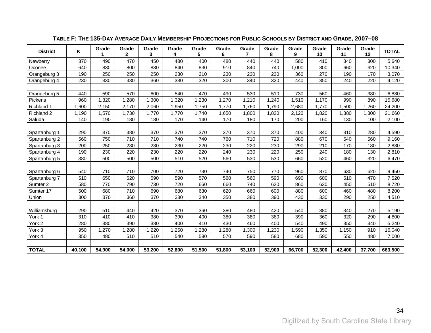| <b>District</b> | ĸ      | Grade  | Grade<br>$\mathbf{2}$ | Grade<br>3 | Grade<br>4 | Grade<br>5 | Grade<br>6 | Grade<br>$\overline{7}$ | Grade<br>8 | Grade<br>9 | Grade<br>10 | Grade<br>11 | Grade<br>12 | <b>TOTAL</b> |
|-----------------|--------|--------|-----------------------|------------|------------|------------|------------|-------------------------|------------|------------|-------------|-------------|-------------|--------------|
| Newberry        | 370    | 490    | 470                   | 450        | 480        | 400        | 480        | 440                     | 440        | 580        | 410         | 340         | 300         | 5,640        |
| Oconee          | 640    | 830    | 800                   | 830        | 840        | 830        | 910        | 840                     | 740        | 1,000      | 800         | 660         | 620         | 10,340       |
| Orangeburg 3    | 190    | 250    | 250                   | 250        | 230        | 210        | 230        | 230                     | 230        | 360        | 270         | 190         | 170         | 3,070        |
| Orangeburg 4    | 230    | 330    | 330                   | 360        | 330        | 320        | 300        | 340                     | 320        | 440        | 350         | 240         | 220         | 4,120        |
|                 |        |        |                       |            |            |            |            |                         |            |            |             |             |             |              |
| Orangeburg 5    | 440    | 590    | 570                   | 600        | 540        | 470        | 490        | 530                     | 510        | 730        | 560         | 460         | 380         | 6,880        |
| Pickens         | 960    | ,320   | 1,280                 | ,300       | 1,320      | 1,230      | 1,270      | 1,210                   | 1,240      | 1,510      | 1,170       | 990         | 890         | 15,680       |
| Richland 1      | ,600   | 2,150  | 2,170                 | 2,060      | 1,950      | 1,750      | 1,770      | 1,760                   | 1,790      | 2,680      | 1,770       | 1,500       | 1,260       | 24,200       |
| Richland 2      | 1,190  | 1,570  | 1,730                 | 1,770      | 1,770      | 1,740      | ,650       | 1,800                   | 1,820      | 2,120      | 1,820       | 1,380       | 1,300       | 21,660       |
| Saluda          | 140    | 190    | 180                   | 180        | 170        | 140        | 170        | 180                     | 170        | 200        | 160         | 130         | 100         | 2,100        |
|                 |        |        |                       |            |            |            |            |                         |            |            |             |             |             |              |
| Spartanburg 1   | 290    | 370    | 380                   | 370        | 370        | 370        | 370        | 370                     | 370        | 400        | 340         | 310         | 280         | 4,590        |
| Spartanburg 2   | 560    | 750    | 710                   | 710        | 740        | 740        | 760        | 710                     | 720        | 880        | 670         | 640         | 560         | 9,160        |
| Spartanburg 3   | 200    | 250    | 230                   | 230        | 230        | 220        | 230        | 220                     | 230        | 290        | 210         | 170         | 180         | 2,880        |
| Spartanburg 4   | 190    | 230    | 220                   | 230        | 220        | 220        | 240        | 230                     | 220        | 250        | 240         | 180         | 130         | 2,810        |
| Spartanburg 5   | 380    | 500    | 500                   | 500        | 510        | 520        | 560        | 530                     | 530        | 660        | 520         | 460         | 320         | 6,470        |
|                 |        |        |                       |            |            |            |            |                         |            |            |             |             |             |              |
| Spartanburg 6   | 540    | 710    | 710                   | 700        | 720        | 730        | 740        | 750                     | 770        | 960        | 870         | 630         | 620         | 9,450        |
| Spartanburg 7   | 510    | 650    | 620                   | 590        | 590        | 570        | 560        | 560                     | 590        | 690        | 600         | 510         | 470         | 7,520        |
| Sumter 2        | 580    | 770    | 790                   | 730        | 720        | 660        | 660        | 740                     | 620        | 860        | 630         | 450         | 510         | 8,720        |
| Sumter 17       | 500    | 680    | 710                   | 690        | 680        | 630        | 620        | 660                     | 600        | 880        | 600         | 460         | 480         | 8,200        |
| Union           | 300    | 370    | 360                   | 370        | 330        | 340        | 350        | 380                     | 390        | 430        | 330         | 290         | 250         | 4,510        |
|                 |        |        |                       |            |            |            |            |                         |            |            |             |             |             |              |
| Williamsburg    | 290    | 510    | 440                   | 420        | 370        | 360        | 380        | 480                     | 420        | 540        | 380         | 340         | 270         | 5,190        |
| York 1          | 310    | 410    | 410                   | 380        | 390        | 400        | 380        | 380                     | 380        | 390        | 360         | 320         | 290         | 4,800        |
| York 2          | 280    | 380    | 390                   | 380        | 400        | 410        | 430        | 460                     | 400        | 540        | 490         | 350         | 340         | 5,240        |
| York 3          | 950    | ,270   | ,280                  | ,220       | ,250       | ,280       | ,280       | 1,300                   | 1,230      | 1,590      | 1,350       | 1,150       | 910         | 16,040       |
| York 4          | 350    | 480    | 510                   | 510        | 540        | 580        | 570        | 590                     | 580        | 680        | 590         | 550         | 480         | 7,000        |
|                 |        |        |                       |            |            |            |            |                         |            |            |             |             |             |              |
| <b>TOTAL</b>    | 40,100 | 54,900 | 54,000                | 53,200     | 52,800     | 51,500     | 51,800     | 53,100                  | 52,900     | 66,700     | 52,300      | 42,400      | 37,700      | 663,500      |

### **TABLE F: THE 135-DAY AVERAGE DAILY MEMBERSHIP PROJECTIONS FOR PUBLIC SCHOOLS BY DISTRICT AND GRADE, 2007–08**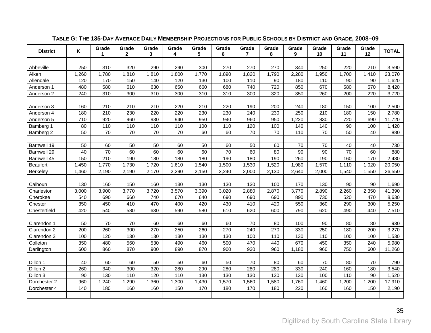<span id="page-38-1"></span><span id="page-38-0"></span>

| <b>District</b> | Κ     | Grade<br>1 | Grade<br>$\mathbf{2}$ | Grade<br>3 | Grade<br>4 | Grade<br>5 | Grade<br>6      | Grade<br>$\overline{7}$ | Grade<br>8 | Grade<br>9 | Grade<br>10 | Grade<br>11     | Grade<br>12 | <b>TOTAL</b> |
|-----------------|-------|------------|-----------------------|------------|------------|------------|-----------------|-------------------------|------------|------------|-------------|-----------------|-------------|--------------|
|                 |       |            |                       |            |            |            |                 |                         |            |            |             |                 |             |              |
| Abbeville       | 250   | 310        | 320                   | 290        | 290        | 300        | 270             | 270                     | 270        | 340        | 250         | 220             | 210         | 3,590        |
| Aiken           | 1,260 | 1,780      | 1,810                 | 1,810      | 1,800      | 1,770      | 1,890           | 1,820                   | 1,790      | 2,280      | 1,950       | 1,700           | 1,410       | 23,070       |
| Allendale       | 120   | 170        | 150                   | 140        | 120        | 130        | 100             | 110                     | 90         | 180        | 110         | 90              | 90          | 1,620        |
| Anderson 1      | 480   | 580        | 610                   | 630        | 650        | 660        | 680             | 740                     | 720        | 850        | 670         | 580             | 570         | 8,420        |
| Anderson 2      | 240   | 310        | 300                   | 310        | 300        | 310        | 310             | 300                     | 320        | 350        | 260         | 200             | 220         | 3,720        |
|                 |       |            |                       |            |            |            |                 |                         |            |            |             |                 |             |              |
| Anderson 3      | 160   | 210        | 210                   | 210        | 220        | 210        | 220             | 190                     | 200        | 240        | 180         | 150             | 100         | 2,500        |
| Anderson 4      | 180   | 210        | 230                   | 220        | 220        | 230        | 230             | 240                     | 230        | 250        | 210         | 180             | 150         | 2,780        |
| Anderson 5      | 710   | 920        | 960                   | 930        | 940        | 950        | 940             | 960                     | 950        | 1,220      | 830         | 720             | 690         | 11,720       |
| Bamberg 1       | 80    | 110        | 110                   | 110        | 110        | 100        | 110             | 120                     | 100        | 140        | 140         | 90              | 100         | 1,420        |
| Bamberg 2       | 50    | 70         | 70                    | 70         | 70         | 60         | 60              | 70                      | 70         | 110        | 70          | 50              | 40          | 880          |
|                 |       |            |                       |            |            |            |                 |                         |            |            |             |                 |             |              |
| Barnwell 19     | 50    | 60         | 50                    | 50         | 60         | 50         | 60              | 50                      | 60         | 70         | 70          | 40              | 40          | 730          |
| Barnwell 29     | 40    | 70         | 60                    | 60         | 60         | 60         | $\overline{70}$ | 60                      | 80         | 90         | 90          | $\overline{70}$ | 60          | 880          |
| Barnwell 45     | 150   | 210        | 190                   | 180        | 180        | 180        | 190             | 180                     | 190        | 260        | 190         | 160             | 170         | 2,430        |
| <b>Beaufort</b> | 1,450 | 1,770      | 1,730                 | 1,720      | 1,610      | 1,540      | 1,500           | 1,530                   | 1,520      | 1,980      | 1,570       | 1,110           | 1,020       | 20,050       |
| Berkeley        | 1,460 | 2,190      | 2,190                 | 2,170      | 2,290      | 2,150      | 2,240           | 2,000                   | 2,130      | 2,640      | 2,000       | 1,540           | 1,550       | 26,550       |
|                 |       |            |                       |            |            |            |                 |                         |            |            |             |                 |             |              |
| Calhoun         | 130   | 160        | 150                   | 160        | 130        | 130        | 130             | 130                     | 100        | 170        | 130         | 90              | 90          | 1,690        |
| Charleston      | 3,000 | 3,900      | 3,770                 | 3,720      | 3,570      | 3,390      | 3,020           | 2,880                   | 2,870      | 3,770      | 2,890       | 2,260           | 2,350       | 41,390       |
| Cherokee        | 540   | 690        | 660                   | 740        | 670        | 640        | 690             | 690                     | 690        | 890        | 730         | 520             | 470         | 8,630        |
| Chester         | 350   | 450        | 410                   | 470        | 400        | 420        | 430             | 410                     | 420        | 550        | 360         | 290             | 300         | 5,250        |
| Chesterfield    | 420   | 540        | 580                   | 630        | 590        | 580        | 610             | 620                     | 600        | 790        | 620         | 490             | 440         | 7,510        |
|                 |       |            |                       |            |            |            |                 |                         |            |            |             |                 |             |              |
| Clarendon 1     | 50    | 70         | 70                    | 60         | 60         | 60         | 60              | 70                      | 80         | 100        | 90          | 80              | 80          | 930          |
| Clarendon 2     | 200   | 260        | 300                   | 270        | 250        | 260        | 270             | 240                     | 270        | 330        | 250         | 180             | 200         | 3,270        |
| Clarendon 3     | 100   | 120        | 130                   | 130        | 130        | 130        | 130             | 100                     | 110        | 130        | 110         | 100             | 100         | 1,530        |
| Colleton        | 350   | 480        | 560                   | 530        | 490        | 460        | 500             | 470                     | 440        | 670        | 450         | 350             | 240         | 5,980        |
| Darlington      | 600   | 860        | 870                   | 900        | 890        | 870        | 900             | 930                     | 960        | 1,180      | 960         | 750             | 600         | 11,260       |
|                 |       |            |                       |            |            |            |                 |                         |            |            |             |                 |             |              |
| Dillon 1        | 40    | 60         | 60                    | 50         | 50         | 60         | 50              | 70                      | 80         | 60         | 70          | 80              | 70          | 790          |
| Dillon 2        | 260   | 340        | 300                   | 320        | 280        | 290        | 280             | 280                     | 280        | 330        | 240         | 160             | 180         | 3,540        |
| Dillon 3        | 90    | 130        | 110                   | 120        | 110        | 130        | 130             | 130                     | 130        | 130        | 100         | 110             | 90          | 1,520        |
| Dorchester 2    | 960   | 1,240      | 1,290                 | 1,360      | 1,300      | 1,430      | 1,570           | 1,560                   | 1,580      | 1,760      | 1,460       | 1,200           | 1,200       | 17,910       |
| Dorchester 4    | 140   | 180        | 160                   | 160        | 150        | 170        | 180             | 170                     | 180        | 220        | 160         | 160             | 150         | 2,190        |
|                 |       |            |                       |            |            |            |                 |                         |            |            |             |                 |             |              |

### **TABLE G: THE 135-DAY AVERAGE DAILY MEMBERSHIP PROJECTIONS FOR PUBLIC SCHOOLS BY DISTRICT AND GRADE, 2008–09**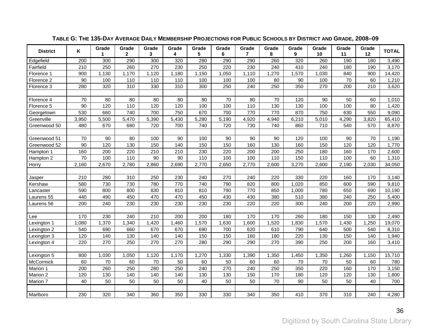| <b>District</b> | Κ               | Grade<br>1 | Grade<br>$\mathbf{2}$ | Grade<br>3 | Grade<br>4 | Grade<br>5 | Grade<br>6 | Grade<br>$\overline{7}$ | Grade<br>8 | Grade<br>9 | Grade<br>10 | Grade<br>11 | Grade<br>12 | <b>TOTAL</b> |
|-----------------|-----------------|------------|-----------------------|------------|------------|------------|------------|-------------------------|------------|------------|-------------|-------------|-------------|--------------|
| Edgefield       | 200             | 300        | 290                   | 300        | 320        | 280        | 290        | 290                     | 260        | 320        | 260         | 190         | 180         | 3,490        |
| Fairfield       | 210             | 250        | 260                   | 270        | 230        | 250        | 220        | 230                     | 240        | 410        | 240         | 180         | 190         | 3,170        |
| Florence 1      | 900             | 1,130      | 1,170                 | 1,120      | 1,180      | 1,150      | 1,050      | 1,110                   | 1,270      | 1,570      | 1,030       | 840         | 900         | 14,420       |
| Florence 2      | 90              | 100        | 110                   | 110        | 110        | 100        | 100        | 100                     | 80         | 90         | 100         | 70          | 60          | 1,210        |
| Florence 3      | 280             | 320        | 310                   | 330        | 310        | 300        | 250        | 240                     | 250        | 350        | 270         | 200         | 210         | 3,620        |
|                 |                 |            |                       |            |            |            |            |                         |            |            |             |             |             |              |
| Florence 4      | 70              | 80         | 80                    | 80         | 80         | 80         | 70         | 80                      | 70         | 120        | 90          | 50          | 60          | 1,010        |
| Florence 5      | 90              | 120        | 110                   | 120        | 120        | 100        | 100        | 110                     | 130        | 130        | 100         | 100         | 80          | 1,420        |
| Georgetown      | 530             | 660        | 740                   | 700        | 750        | 670        | 700        | 770                     | 770        | 870        | 750         | 630         | 550         | 9,090        |
| Greenville      | 3,950           | 5,500      | 5,470                 | 5,390      | 5,430      | 5,280      | 5,190      | 4,920                   | 4,940      | 6,210      | 5,010       | 4,290       | 3,820       | 65,410       |
| Greenwood 50    | 480             | 670        | 680                   | 720        | 700        | 740        | 720        | 730                     | 740        | 860        | 710         | 540         | 570         | 8,870        |
|                 |                 |            |                       |            |            |            |            |                         |            |            |             |             |             |              |
| Greenwood 51    | 70              | 90         | 80                    | 100        | 90         | 100        | 90         | 90                      | 90         | 120        | 100         | 90          | 70          | 1,190        |
| Greenwood 52    | $\overline{90}$ | 120        | 130                   | 150        | 140        | 150        | 150        | 160                     | 130        | 160        | 150         | 120         | 120         | 1,770        |
| Hampton 1       | 160             | 200        | 220                   | 210        | 210        | 230        | 220        | 200                     | 200        | 250        | 180         | 160         | 170         | 2,600        |
| Hampton 2       | 70              | 100        | 110                   | 90         | 90         | 110        | 100        | 100                     | 110        | 150        | 110         | 100         | 60          | 1,310        |
| Horry           | 2,160           | 2,670      | 2,780                 | 2,860      | 2,690      | 2,770      | 2,650      | 2,770                   | 2,600      | 3,270      | 2,600       | 2,190       | 2,030       | 34,050       |
|                 |                 |            |                       |            |            |            |            |                         |            |            |             |             |             |              |
| Jasper          | 210             | 280        | 310                   | 250        | 230        | 240        | 270        | 240                     | 220        | 330        | 220         | 160         | 170         | 3,140        |
| Kershaw         | 580             | 730        | 730                   | 780        | 770        | 740        | 790        | 820                     | 800        | 1,020      | 850         | 600         | 590         | 9,810        |
| Lancaster       | 590             | 800        | 800                   | 830        | 810        | 810        | 790        | 770                     | 850        | 1,000      | 780         | 650         | 690         | 10,190       |
| Laurens 55      | 440             | 490        | 450                   | 470        | 470        | 450        | 430        | 430                     | 380        | 510        | 380         | 240         | 250         | 5,400        |
| Laurens 56      | 200             | 240        | 230                   | 230        | 230        | 230        | 230        | 220                     | 220        | 300        | 240         | 200         | 220         | 2,990        |
|                 |                 |            |                       |            |            |            |            |                         |            |            |             |             |             |              |
| Lee             | 170             | 230        | 240                   | 210        | 200        | 200        | 180        | 170                     | 170        | 260        | 180         | 150         | 130         | 2,490        |
| Lexington 1     | 1,080           | 1,370      | 1,340                 | 1,420      | 1,460      | 1,570      | 1,630      | 1,600                   | 1,520      | 1,830      | 1,570       | 1,430       | 1,250       | 19,070       |
| Lexington 2     | 540             | 690        | 660                   | 670        | 670        | 690        | 700        | 620                     | 610        | 790        | 640         | 500         | 540         | 8,310        |
| Lexington 3     | 120             | 140        | 130                   | 140        | 140        | 150        | 150        | 160                     | 180        | 220        | 130         | 150         | 140         | 1,940        |
| Lexington 4     | 220             | 270        | 250                   | 270        | 270        | 280        | 290        | 290                     | 270        | 390        | 250         | 200         | 160         | 3,410        |
|                 |                 |            |                       |            |            |            |            |                         |            |            |             |             |             |              |
| Lexington 5     | 800             | 1,030      | 1,050                 | 1,120      | 1,170      | 1,270      | 1,330      | 1,390                   | 1,350      | 1,450      | 1,350       | 1,260       | 1,150       | 15,710       |
| McCormick       | 60              | 70         | 60                    | 70         | 50         | 60         | 50         | 60                      | 60         | 70         | 70          | 50          | 60          | 780          |
| Marion 1        | 200             | 260        | 250                   | 280        | 250        | 240        | 270        | 240                     | 250        | 350        | 220         | 160         | 170         | 3,150        |
| Marion 2        | 120             | 130        | 140                   | 140        | 140        | 130        | 130        | 150                     | 170        | 180        | 120         | 120         | 130         | 1,800        |
| Marion 7        | 40              | 50         | 50                    | 50         | 50         | 40         | 50         | 50                      | 70         | 90         | 50          | 50          | 40          | 700          |
|                 |                 |            |                       |            |            |            |            |                         |            |            |             |             |             |              |
| Marlboro        | 230             | 320        | 340                   | 360        | 350        | 330        | 330        | 340                     | 350        | 410        | 370         | 310         | 240         | 4,280        |

### **TABLE G: THE 135-DAY AVERAGE DAILY MEMBERSHIP PROJECTIONS FOR PUBLIC SCHOOLS BY DISTRICT AND GRADE, 2008–09**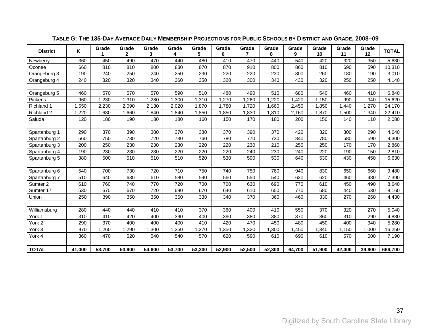| <b>District</b> | ĸ      | Grade  | Grade<br>$\mathbf{2}$ | Grade<br>3 | Grade<br>4 | Grade<br>5 | Grade<br>6 | Grade<br>7 | Grade<br>8 | Grade<br>9 | Grade<br>10 | Grade<br>11 | Grade<br>12 | <b>TOTAL</b> |
|-----------------|--------|--------|-----------------------|------------|------------|------------|------------|------------|------------|------------|-------------|-------------|-------------|--------------|
| Newberry        | 360    | 450    | 490                   | 470        | 440        | 480        | 410        | 470        | 440        | 540        | 420         | 320         | 350         | 5,630        |
| Oconee          | 660    | 810    | 810                   | 800        | 830        | 870        | 870        | 910        | 800        | 860        | 810         | 690         | 590         | 10,310       |
| Orangeburg 3    | 190    | 240    | 250                   | 240        | 250        | 230        | 220        | 220        | 230        | 300        | 260         | 180         | 190         | 3,010        |
| Orangeburg 4    | 240    | 320    | 320                   | 340        | 360        | 350        | 320        | 300        | 340        | 430        | 320         | 250         | 250         | 4,140        |
|                 |        |        |                       |            |            |            |            |            |            |            |             |             |             |              |
| Orangeburg 5    | 460    | 570    | 570                   | 570        | 590        | 510        | 480        | 490        | 510        | 680        | 540         | 460         | 410         | 6,840        |
| Pickens         | 960    | 1,230  | 1,310                 | 1,280      | 1,300      | 1,310      | 1,270      | 1,260      | 1,220      | 1,420      | 1,150       | 990         | 940         | 15,620       |
| Richland 1      | ,650   | 2,230  | 2,090                 | 2,130      | 2,020      | 1,870      | 1,780      | 1,720      | 1,660      | 2,450      | 1,850       | 1,440       | 1,270       | 24,170       |
| Richland 2      | ,220   | ,630   | 1,660                 | 1,840      | 1,840      | 1,850      | 1,850      | 1,830      | 1,810      | 2,160      | 1,870       | 1,500       | 1,340       | 22,410       |
| Saluda          | 120    | 180    | 190                   | 180        | 180        | 160        | 150        | 170        | 180        | 200        | 150         | 140         | 110         | 2,080        |
|                 |        |        |                       |            |            |            |            |            |            |            |             |             |             |              |
| Spartanburg 1   | 290    | 370    | 390                   | 380        | 370        | 380        | 370        | 390        | 370        | 420        | 320         | 300         | 290         | 4,640        |
| Spartanburg 2   | 560    | 750    | 730                   | 720        | 730        | 760        | 780        | 770        | 730        | 840        | 780         | 580         | 590         | 9,300        |
| Spartanburg 3   | 200    | 250    | 230                   | 230        | 230        | 220        | 220        | 230        | 210        | 250        | 250         | 170         | 170         | 2,860        |
| Spartanburg 4   | 190    | 230    | 230                   | 230        | 220        | 220        | 220        | 240        | 230        | 240        | 220         | 190         | 150         | 2,810        |
| Spartanburg 5   | 380    | 500    | 510                   | 510        | 510        | 520        | 530        | 590        | 530        | 640        | 530         | 430         | 450         | 6,630        |
|                 |        |        |                       |            |            |            |            |            |            |            |             |             |             |              |
| Spartanburg 6   | 540    | 700    | 730                   | 720        | 710        | 750        | 740        | 750        | 760        | 940        | 830         | 650         | 660         | 9,480        |
| Spartanburg 7   | 510    | 640    | 630                   | 610        | 580        | 590        | 560        | 550        | 540        | 620        | 620         | 460         | 480         | 7,390        |
| Sumter 2        | 610    | 760    | 740                   | 770        | 720        | 700        | 700        | 630        | 690        | 770        | 610         | 450         | 490         | 8,640        |
| Sumter 17       | 530    | 670    | 670                   | 720        | 690        | 670        | 640        | 610        | 650        | 770        | 580         | 440         | 530         | 8,160        |
| Union           | 250    | 390    | 350                   | 350        | 350        | 330        | 340        | 370        | 360        | 460        | 330         | 270         | 260         | 4,430        |
|                 |        |        |                       |            |            |            |            |            |            |            |             |             |             |              |
| Williamsburg    | 280    | 440    | 440                   | 410        | 410        | 370        | 360        | 400        | 410        | 550        | 370         | 320         | 270         | 5,040        |
| York 1          | 310    | 410    | 420                   | 400        | 390        | 400        | 390        | 380        | 380        | 370        | 360         | 310         | 290         | 4,830        |
| York 2          | 290    | 370    | 400                   | 400        | 400        | 410        | 420        | 470        | 450        | 480        | 450         | 400         | 340         | 5,280        |
| York 3          | 970    | ,260   | ,290                  | ,300       | ,250       | ,270       | ,350       | ,320       | ,300       | 1,450      | ,340        | 1,150       | 1,000       | 16,250       |
| York 4          | 360    | 470    | 520                   | 540        | 540        | 570        | 620        | 590        | 610        | 690        | 610         | 570         | 500         | 7,190        |
|                 |        |        |                       |            |            |            |            |            |            |            |             |             |             |              |
| <b>TOTAL</b>    | 41,000 | 53,700 | 53,900                | 54,600     | 53,700     | 53,300     | 52,900     | 52,500     | 52,300     | 64,700     | 51,900      | 42,400      | 39,900      | 666,700      |

### **TABLE G: THE 135-DAY AVERAGE DAILY MEMBERSHIP PROJECTIONS FOR PUBLIC SCHOOLS BY DISTRICT AND GRADE, 2008–09**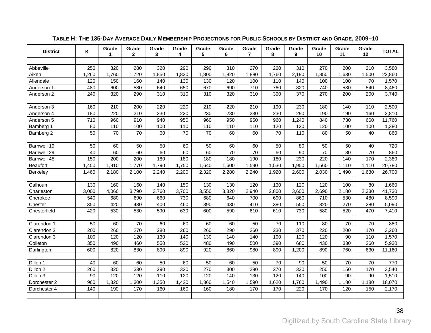<span id="page-41-1"></span><span id="page-41-0"></span>

| <b>District</b> | Κ     | Grade<br>1 | Grade<br>$\overline{2}$ | Grade<br>3 | Grade<br>4 | Grade<br>5 | Grade<br>6 | Grade<br>$\overline{7}$ | Grade<br>8 | Grade<br>9 | Grade<br>10 | Grade<br>11 | Grade<br>12 | <b>TOTAL</b> |
|-----------------|-------|------------|-------------------------|------------|------------|------------|------------|-------------------------|------------|------------|-------------|-------------|-------------|--------------|
|                 |       |            |                         |            |            |            |            |                         |            |            |             |             |             |              |
| Abbeville       | 250   | 320        | 280                     | 320        | 290        | 290        | 310        | 270                     | 260        | 310        | 270         | 200         | 210         | 3,580        |
| Aiken           | 1,260 | 1,760      | 1,720                   | 1,850      | 1,830      | 1,800      | 1,820      | 1,880                   | 1,760      | 2,190      | 1,850       | 1,630       | 1,500       | 22,860       |
| Allendale       | 120   | 150        | 160                     | 140        | 130        | 130        | 120        | 100                     | 110        | 140        | 100         | 100         | 70          | 1,570        |
| Anderson 1      | 480   | 600        | 580                     | 640        | 650        | 670        | 690        | 710                     | 760        | 820        | 740         | 580         | 540         | 8,460        |
| Anderson 2      | 240   | 320        | 290                     | 310        | 310        | 310        | 320        | 310                     | 300        | 370        | 270         | 200         | 200         | 3,740        |
|                 |       |            |                         |            |            |            |            |                         |            |            |             |             |             |              |
| Anderson 3      | 160   | 210        | 200                     | 220        | 220        | 210        | 220        | 210                     | 190        | 230        | 180         | 140         | 110         | 2,500        |
| Anderson 4      | 180   | 220        | 210                     | 230        | 220        | 230        | 230        | 230                     | 230        | 290        | 190         | 190         | 160         | 2,810        |
| Anderson 5      | 710   | 960        | 910                     | 940        | 950        | 960        | 950        | 950                     | 960        | 1,240      | 840         | 730         | 660         | 11,760       |
| Bamberg 1       | 80    | 110        | 100                     | 100        | 110        | 110        | 110        | 110                     | 120        | 120        | 120         | 100         | 100         | 1,380        |
| Bamberg 2       | 50    | 70         | 70                      | 60         | 70         | 70         | 60         | 60                      | 70         | 110        | 80          | 50          | 40          | 860          |
|                 |       |            |                         |            |            |            |            |                         |            |            |             |             |             |              |
| Barnwell 19     | 50    | 60         | 50                      | 50         | 60         | 50         | 60         | 60                      | 50         | 80         | 50          | 50          | 40          | 720          |
| Barnwell 29     | 40    | 60         | 60                      | 60         | 60         | 60         | 70         | 70                      | 60         | 90         | 70          | 80          | 70          | 860          |
| Barnwell 45     | 150   | 200        | 200                     | 180        | 180        | 180        | 180        | 190                     | 180        | 230        | 220         | 140         | 170         | 2,380        |
| <b>Beaufort</b> | 1,450 | 1,910      | 1,770                   | 1,790      | 1,750      | 1,640      | 1,600      | 1,590                   | 1,530      | 1,950      | 1,560       | 1,110       | 1,110       | 20,780       |
| Berkeley        | 1,460 | 2,180      | 2,100                   | 2,240      | 2,200      | 2,320      | 2,280      | 2,240                   | 1,920      | 2,600      | 2,030       | 1,490       | 1,630       | 26,700       |
|                 |       |            |                         |            |            |            |            |                         |            |            |             |             |             |              |
| Calhoun         | 130   | 160        | 160                     | 140        | 150        | 130        | 130        | 120                     | 130        | 120        | 120         | 100         | 80          | 1,660        |
| Charleston      | 3,000 | 4,060      | 3,790                   | 3,760      | 3,700      | 3,550      | 3,320      | 2,940                   | 2,800      | 3,600      | 2,690       | 2,180       | 2,330       | 41,730       |
| Cherokee        | 540   | 680        | 690                     | 660        | 730        | 680        | 640        | 700                     | 690        | 860        | 710         | 530         | 480         | 8,590        |
| Chester         | 350   | 420        | 430                     | 400        | 460        | 390        | 430        | 410                     | 380        | 550        | 320         | 270         | 280         | 5,090        |
| Chesterfield    | 420   | 530        | 530                     | 590        | 630        | 600        | 590        | 610                     | 610        | 730        | 580         | 520         | 470         | 7,410        |
|                 |       |            |                         |            |            |            |            |                         |            |            |             |             |             |              |
| Clarendon 1     | 50    | 60         | 70                      | 60         | 60         | 60         | 60         | 50                      | 70         | 110        | 80          | 70          | 70          | 880          |
| Clarendon 2     | 200   | 260        | 270                     | 280        | 260        | 260        | 290        | 260                     | 230        | 370        | 220         | 200         | 170         | 3,260        |
| Clarendon 3     | 100   | 120        | 120                     | 130        | 140        | 130        | 140        | 140                     | 100        | 120        | 120         | 90          | 110         | 1,570        |
| Colleton        | 350   | 490        | 460                     | 550        | 520        | 480        | 490        | 500                     | 390        | 680        | 430         | 330         | 260         | 5,930        |
| Darlington      | 600   | 820        | 830                     | 890        | 890        | 920        | 860        | 980                     | 890        | 1,200      | 890         | 760         | 630         | 11,160       |
|                 |       |            |                         |            |            |            |            |                         |            |            |             |             |             |              |
| Dillon 1        | 40    | 60         | 60                      | 50         | 60         | 50         | 60         | 50                      | 70         | 90         | 50          | 70          | 70          | 770          |
| Dillon 2        | 260   | 320        | 330                     | 290        | 320        | 270        | 300        | 290                     | 270        | 330        | 250         | 150         | 170         | 3,540        |
| Dillon 3        | 90    | 120        | 120                     | 110        | 120        | 120        | 140        | 130                     | 120        | 140        | 100         | 90          | 90          | 1,510        |
| Dorchester 2    | 960   | 1,320      | 1,300                   | 1,350      | 1,420      | 1,360      | 1,540      | 1,590                   | 1,620      | 1,760      | 1,490       | 1,180       | 1,180       | 18,070       |
| Dorchester 4    | 140   | 190        | 170                     | 160        | 160        | 160        | 180        | 170                     | 170        | 220        | 170         | 120         | 150         | 2,170        |
|                 |       |            |                         |            |            |            |            |                         |            |            |             |             |             |              |

### **TABLE H: THE 135-DAY AVERAGE DAILY MEMBERSHIP PROJECTIONS FOR PUBLIC SCHOOLS BY DISTRICT AND GRADE, 2009–10**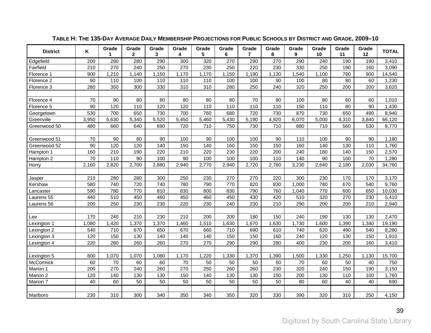| <b>District</b> | Κ     | Grade | Grade<br>$\mathbf{2}$ | Grade<br>3 | Grade<br>4 | Grade<br>5 | Grade<br>6 | Grade<br>$\overline{7}$ | Grade<br>8 | Grade<br>9 | Grade<br>10 | Grade<br>11 | Grade<br>12 | <b>TOTAL</b> |
|-----------------|-------|-------|-----------------------|------------|------------|------------|------------|-------------------------|------------|------------|-------------|-------------|-------------|--------------|
| Edgefield       | 200   | 280   | 280                   | 290        | 300        | 320        | 270        | 290                     | 270        | 290        | 240         | 190         | 190         | 3,410        |
| Fairfield       | 210   | 270   | 240                   | 250        | 270        | 230        | 250        | 220                     | 230        | 330        | 250         | 190         | 160         | 3,090        |
| Florence 1      | 900   | 1,210 | 1,140                 | 1,150      | 1,170      | 1,170      | 1,150      | 1,190                   | 1,130      | 1,540      | 1,100       | 780         | 900         | 14,540       |
| Florence 2      | 90    | 110   | 100                   | 110        | 110        | 110        | 100        | 100                     | 90         | 100        | 80          | 80          | 60          | 1,230        |
| Florence 3      | 280   | 350   | 300                   | 330        | 310        | 310        | 280        | 250                     | 240        | 320        | 250         | 200         | 200         | 3,620        |
|                 |       |       |                       |            |            |            |            |                         |            |            |             |             |             |              |
| Florence 4      | 70    | 90    | 80                    | 80         | 80         | 80         | 80         | 70                      | 80         | 100        | 80          | 60          | 60          | 1,010        |
| Florence 5      | 90    | 120   | 110                   | 120        | 120        | 110        | 110        | 110                     | 110        | 150        | 110         | 80          | 90          | 1,430        |
| Georgetown      | 530   | 700   | 650                   | 730        | 700        | 760        | 680        | 720                     | 730        | 870        | 730         | 650         | 490         | 8,940        |
| Greenville      | 3,950 | 5,630 | 5,340                 | 5,520      | 5,450      | 5,460      | 5,430      | 5,190                   | 4,920      | 6,070      | 5,000       | 4,310       | 3,840       | 66,120       |
| Greenwood 50    | 480   | 660   | 640                   | 690        | 720        | 710        | 750        | 730                     | 710        | 880        | 710         | 560         | 530         | 8,770        |
|                 |       |       |                       |            |            |            |            |                         |            |            |             |             |             |              |
| Greenwood 51    | 70    | 90    | 80                    | 90         | 100        | 90         | 100        | 100                     | 90         | 110        | 100         | 90          | 90          | 1,180        |
| Greenwood 52    | 90    | 120   | 120                   | 140        | 150        | 140        | 160        | 150                     | 150        | 160        | 140         | 130         | 110         | 1,760        |
| Hampton 1       | 160   | 210   | 190                   | 220        | 210        | 220        | 230        | 220                     | 200        | 240        | 180         | 140         | 150         | 2,570        |
| Hampton 2       | 70    | 110   | 90                    | 100        | 90         | 100        | 100        | 100                     | 110        | 140        | 90          | 100         | 70          | 1,280        |
| Horry           | 2,160 | 2,820 | 2,700                 | 2,880      | 2,940      | 2,770      | 2,940      | 2,720                   | 2,760      | 3,230      | 2,640       | 2,180       | 2,030       | 34,760       |
|                 |       |       |                       |            |            |            |            |                         |            |            |             |             |             |              |
| Jasper          | 210   | 280   | 280                   | 300        | 250        | 230        | 270        | 270                     | 220        | 300        | 230         | 170         | 170         | 3,170        |
| Kershaw         | 580   | 740   | 720                   | 740        | 780        | 790        | 770        | 820                     | 830        | 1,000      | 780         | 670         | 540         | 9,760        |
| Lancaster       | 590   | 780   | 770                   | 810        | 830        | 800        | 830        | 790                     | 760        | 1,040      | 770         | 600         | 650         | 10,030       |
| Laurens 55      | 440   | 510   | 450                   | 460        | 450        | 460        | 450        | 430                     | 420        | 510        | 320         | 270         | 230         | 5,410        |
| Laurens 56      | 200   | 250   | 230                   | 230        | 220        | 230        | 240        | 230                     | 210        | 290        | 200         | 200         | 210         | 2,940        |
|                 |       |       |                       |            |            |            |            |                         |            |            |             |             |             |              |
| Lee             | 170   | 240   | 210                   | 230        | 210        | 200        | 200        | 180                     | 150        | 240        | 190         | 130         | 130         | 2,470        |
| Lexington 1     | 1,080 | 1,420 | 1,370                 | 1,370      | 1,460      | 1,510      | 1,630      | 1,670                   | 1,630      | 1,730      | 1,600       | 1,390       | 1,340       | 19,190       |
| Lexington 2     | 540   | 710   | 670                   | 650        | 670        | 660        | 710        | 690                     | 610        | 740        | 620         | 490         | 540         | 8,280        |
| Lexington 3     | 120   | 150   | 130                   | 140        | 140        | 140        | 150        | 150                     | 160        | 240        | 120         | 130         | 150         | 1,910        |
| Lexington 4     | 220   | 280   | 260                   | 260        | 270        | 270        | 290        | 290                     | 280        | 400        | 230         | 200         | 160         | 3,410        |
|                 |       |       |                       |            |            |            |            |                         |            |            |             |             |             |              |
| Lexington 5     | 800   | 1,070 | 1,070                 | 1,080      | 1,170      | 1,220      | 1,330      | 1,370                   | 1,390      | 1,500      | 1,330       | 1,250       | 1,130       | 15,700       |
| McCormick       | 60    | 70    | 60                    | 60         | 70         | 50         | 50         | 50                      | 50         | 70         | 60          | 50          | 40          | 750          |
| Marion 1        | 200   | 270   | 240                   | 260        | 270        | 250        | 260        | 260                     | 230        | 320        | 240         | 150         | 190         | 3,150        |
| Marion 2        | 120   | 140   | 130                   | 130        | 150        | 140        | 130        | 130                     | 150        | 200        | 130         | 110         | 100         | 1,760        |
| Marion 7        | 40    | 60    | 50                    | 50         | 50         | 50         | 50         | 50                      | 50         | 80         | 60          | 40          | 40          | 690          |
|                 |       |       |                       |            |            |            |            |                         |            |            |             |             |             |              |
| Marlboro        | 230   | 310   | 300                   | 340        | 350        | 340        | 350        | 320                     | 330        | 390        | 320         | 310         | 250         | 4,150        |

### **TABLE H: THE 135-DAY AVERAGE DAILY MEMBERSHIP PROJECTIONS FOR PUBLIC SCHOOLS BY DISTRICT AND GRADE, 2009–10**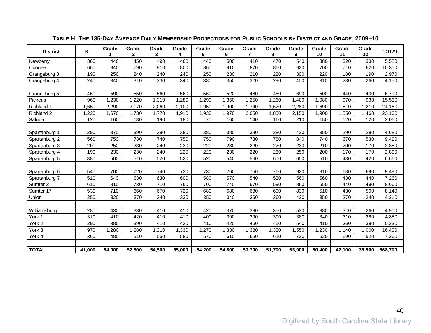| <b>District</b> | K      | Grade  | Grade<br>$\overline{2}$ | Grade<br>3 | Grade<br>4 | Grade<br>5 | Grade<br>6 | Grade<br>$\overline{7}$ | Grade<br>8 | Grade<br>9 | Grade<br>10 | Grade<br>11 | Grade<br>12 | <b>TOTAL</b> |
|-----------------|--------|--------|-------------------------|------------|------------|------------|------------|-------------------------|------------|------------|-------------|-------------|-------------|--------------|
| Newberry        | 360    | 440    | 450                     | 490        | 460        | 440        | 500        | 410                     | 470        | 540        | 380         | 320         | 330         | 5,580        |
| Oconee          | 660    | 840    | 790                     | 810        | 800        | 860        | 910        | 870                     | 860        | 920        | 700         | 710         | 620         | 10,350       |
| Orangeburg 3    | 190    | 250    | 240                     | 240        | 240        | 250        | 230        | 210                     | 220        | 300        | 220         | 180         | 190         | 2,970        |
| Orangeburg 4    | 240    | 340    | 310                     | 330        | 340        | 380        | 350        | 320                     | 290        | 450        | 310         | 230         | 260         | 4,150        |
|                 |        |        |                         |            |            |            |            |                         |            |            |             |             |             |              |
| Orangeburg 5    | 460    | 590    | 550                     | 560        | 560        | 560        | 520        | 480                     | 480        | 690        | 500         | 440         | 400         | 6,790        |
| Pickens         | 960    | 1,230  | 1,220                   | 1,310      | 1,280      | 1,290      | ,350       | 1,250                   | 1,260      | 1,400      | 1,080       | 970         | 930         | 15,530       |
| Richland 1      | ,650   | 2,290  | 2,170                   | 2,060      | 2,100      | 1,950      | 1,900      | 1.740                   | 1,620      | 2,280      | 1,690       | 1,510       | 1,210       | 24,160       |
| Richland 2      | ,220   | 1,670  | 1,730                   | 1,770      | 1,910      | 1,930      | 1,970      | 2,050                   | 1,850      | 2,150      | 1,900       | 1,550       | 1,460       | 23,160       |
| Saluda          | 120    | 160    | 180                     | 190        | 180        | 170        | 160        | 140                     | 160        | 210        | 150         | 120         | 120         | 2,060        |
|                 |        |        |                         |            |            |            |            |                         |            |            |             |             |             |              |
| Spartanburg 1   | 290    | 370    | 390                     | 390        | 380        | 380        | 380        | 390                     | 380        | 420        | 350         | 290         | 280         | 4,680        |
| Spartanburg 2   | 560    | 750    | 730                     | 740        | 750        | 750        | 790        | 780                     | 780        | 840        | 740         | 670         | 530         | 9,420        |
| Spartanburg 3   | 200    | 250    | 230                     | 240        | 230        | 220        | 230        | 220                     | 220        | 230        | 210         | 200         | 170         | 2,850        |
| Spartanburg 4   | 190    | 230    | 230                     | 240        | 220        | 220        | 230        | 220                     | 230        | 250        | 200         | 170         | 170         | 2,800        |
| Spartanburg 5   | 380    | 500    | 510                     | 520        | 520        | 520        | 540        | 560                     | 600        | 650        | 510         | 430         | 420         | 6,660        |
|                 |        |        |                         |            |            |            |            |                         |            |            |             |             |             |              |
| Spartanburg 6   | 540    | 700    | 720                     | 740        | 730        | 730        | 760        | 750                     | 760        | 920        | 810         | 630         | 690         | 9,480        |
| Spartanburg 7   | 510    | 640    | 630                     | 630        | 600        | 580        | 570        | 540                     | 530        | 560        | 560         | 480         | 440         | 7,260        |
| Sumter 2        | 610    | 810    | 730                     | 710        | 760        | 700        | 740        | 670                     | 590        | 860        | 550         | 440         | 490         | 8,660        |
| Sumter 17       | 530    | 710    | 660                     | 670        | 720        | 680        | 680        | 630                     | 600        | 830        | 510         | 430         | 500         | 8,140        |
| Union           | 250    | 320    | 370                     | 340        | 330        | 350        | 340        | 360                     | 360        | 420        | 350         | 270         | 240         | 4,310        |
|                 |        |        |                         |            |            |            |            |                         |            |            |             |             |             |              |
| Williamsburg    | 280    | 430    | 380                     | 410        | 410        | 420        | 370        | 380                     | 350        | 530        | 380         | 310         | 260         | 4,900        |
| York 1          | 310    | 410    | 420                     | 410        | 410        | 400        | 390        | 390                     | 390        | 380        | 340         | 310         | 280         | 4,850        |
| York 2          | 290    | 380    | 390                     | 410        | 420        | 410        | 420        | 460                     | 450        | 540        | 410         | 360         | 380         | 5,330        |
| York 3          | 970    | ,280   | 1,280                   | ,310       | ,330       | ,270       | ,330       | 1,380                   | ,330       | ,550       | ,230        | 1,140       | ,000        | 16,400       |
| York 4          | 360    | 480    | 510                     | 550        | 580        | 570        | 610        | 650                     | 610        | 720        | 620         | 590         | 520         | 7,360        |
|                 |        |        |                         |            |            |            |            |                         |            |            |             |             |             |              |
| <b>TOTAL</b>    | 41,000 | 54,900 | 52,800                  | 54,500     | 55,000     | 54,200     | 54,800     | 53,700                  | 51.700     | 63.900     | 50,400      | 42,100      | 39.900      | 668,700      |

**TABLE H: THE 135-DAY AVERAGE DAILY MEMBERSHIP PROJECTIONS FOR PUBLIC SCHOOLS BY DISTRICT AND GRADE, 2009–10**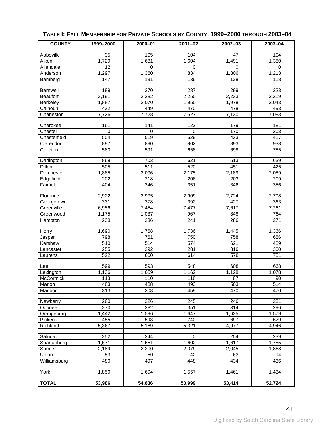<span id="page-44-1"></span>

| <b>COUNTY</b>   | 1999-2000   | 2000-01         | $2001 - 02$         | 2002-03         | 2003-04            |
|-----------------|-------------|-----------------|---------------------|-----------------|--------------------|
| Abbeville       | 35          | 105             | 104                 | 47              | 104                |
| Aiken           | 1,729       | 1,631           | 1,604               | 1,491           | 1,380              |
| Allendale       | 12          | $\Omega$        | $\Omega$            | $\Omega$        | $\Omega$           |
| Anderson        | 1,297       | 1,360           | 834                 | 1,306           | 1,213              |
| Bamberg         | 147         | $\frac{1}{131}$ | 136                 | 128             | 118                |
|                 |             |                 |                     |                 |                    |
| <b>Barnwell</b> | 189         | 270             | 287                 | 299             | 323                |
| <b>Beaufort</b> | 2,191       | 2,282           | 2,250               | 2,233           | 2,319              |
| Berkeley        | 1,887       | 2,070           | 1,950               | 1,978           | 2,043              |
| Calhoun         | 432         | 449             | 470                 | 478             | 493                |
| Charleston      | 7,726       | 7,728           | 7,527               | 7,130           | 7,083              |
| Cherokee        | 161         | 141             | 122                 | 179             | 181                |
| Chester         | $\mathbf 0$ | $\mathbf 0$     | $\mathbf 0$         | 170             | 203                |
| Chesterfield    | 504         | 519             | 529                 | 433             | 417                |
| Clarendon       | 897         | 890             | 902                 | 893             | 938                |
| Colleton        | 580         | 591             | 658                 | 698             | 785                |
| Darlington      | 868         | 703             | 621                 | 613             | 639                |
| Dillon          | 505         | 511             | 520                 | 451             | 425                |
| Dorchester      | 1,885       | 2,096           | 2,175               | 2,189           | $\overline{2,089}$ |
| Edgefield       | 202         | 218             | 206                 | 203             | 209                |
| Fairfield       | 404         | 346             | 351                 | 346             | 356                |
|                 |             |                 |                     |                 |                    |
| Florence        | 2,922       | 2,995           | 2,909               | 2,724           | 2,798              |
| Georgetown      | 331         | 378             | 392                 | 427             | 363                |
| Greenville      | 6,956       | 7,454           | 7,477               | 7,617           | 7,261              |
| Greenwood       | 1,175       | 1,037           | 967                 | 848             | 764                |
| Hampton         | 238         | 236             | 241                 | 286             | $\overline{271}$   |
| Horry           | 1,690       | 1,768           | 1,736               | 1,445           | 1,366              |
| Jasper          | 798         | 761             | 750                 | 758             | 686                |
| Kershaw         | 510         | 514             | 574                 | 621             | 489                |
| Lancaster       | 255         | 292             | 281                 | 316             | 300                |
| Laurens         | 522         | 600             | 614                 | 578             | 751                |
| Lee             | 599         | 593             | 548                 | 608             | 668                |
| Lexington       | 1,136       | 1,059           | 1,162               | 1,128           | 1,078              |
| McCormick       | 118         | 110             | 118                 | $\overline{87}$ | 90                 |
| Marion          | 483         | 488             | 493                 | 503             | 514                |
| Marlboro        | 313         | 308             | 459                 | 470             | 470                |
|                 |             |                 |                     |                 |                    |
| Newberry        | 260         | 226             | 245                 | 246             | 231                |
| Oconee          | 270         | 282             | 351                 | 314             | 296                |
| Orangeburg      | 1,442       | 1,596           | 1,647               | 1,625           | 1,579              |
| Pickens         | 455         | 593             | 740                 | 697             | 629                |
| Richland        | 5,367       | 5,169           | 5,321               | 4,977           | 4,946              |
| Saluda          | 252         | 244             | 0                   | 254             | 239                |
| Spartanburg     | 1,671       | 1,651           | 1,602               | 1,617           | 1,785              |
| Sumter          | 2,189       | 2,200           | 2,079               | 2,045           | 1,868              |
| Union           | 53          | 50              | 42                  | 63              | 94                 |
| Williamsburg    | 480         | 497             | 448                 | 434             | $\frac{1}{436}$    |
| York            | 1,850       | 1,694           | 1,557               | 1,461           | 1,434              |
|                 |             |                 |                     |                 |                    |
| <b>TOTAL</b>    | 53,986      | 54,836          | $\overline{53,999}$ | 53,414          | 52,724             |

### <span id="page-44-0"></span>**TABLE I: FALL MEMBERSHIP FOR PRIVATE SCHOOLS BY COUNTY, 1999–2000 THROUGH 2003–04**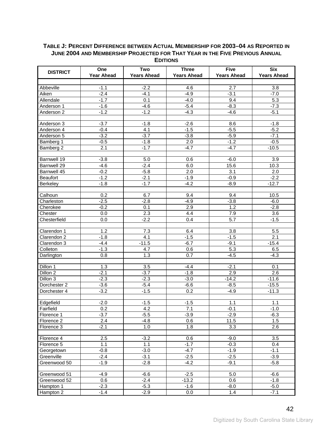#### <span id="page-45-1"></span><span id="page-45-0"></span>**TABLE J: PERCENT DIFFERENCE BETWEEN ACTUAL MEMBERSHIP FOR 2003–04 AS REPORTED IN JUNE 2004 AND MEMBERSHIP PROJECTED FOR THAT YEAR IN THE FIVE PREVIOUS ANNUAL EDITIONS**

| <b>DISTRICT</b> | One               | Two                | <b>Three</b>       | <b>Five</b>        | <b>Six</b>         |
|-----------------|-------------------|--------------------|--------------------|--------------------|--------------------|
|                 | <b>Year Ahead</b> | <b>Years Ahead</b> | <b>Years Ahead</b> | <b>Years Ahead</b> | <b>Years Ahead</b> |
|                 |                   |                    |                    |                    |                    |
| Abbeville       | $-1.1$            | $-2.2$             | 4.6                | 2.7                | 3.8                |
| Aiken           | $-2.4$            | $-4.1$             | $-4.9$             | $-3.1$             | $-7.0$             |
| Allendale       | $-1.7$            | 0.1                | $-4.0$             | 9.4                | 5.3                |
| Anderson 1      | $-1.6$            | $-4.6$             | $-5.4$             | $-8.3$             | $-7.3$             |
| Anderson 2      | $-1.2$            | $-1.\overline{2}$  | $-4.3$             | $-4.6$             | $-5.1$             |
| Anderson 3      | $-3.7$            | $-1.8$             | $-2.6$             | 8.6                | $-1.8$             |
| Anderson 4      | $-0.4$            | 4.1                | $-1.5$             | $-5.5$             | $-5.2$             |
| Anderson 5      | $-3.2$            | $-3.7$             | $-3.8$             | $-5.9$             | $-7.1$             |
| Bamberg 1       | $-0.5$            | $-1.8$             | 2.0                | $-1.2$             | $-0.5$             |
| Bamberg 2       | 2.1               | $-1.7$             | $-4.7$             | $-4.7$             | $-10.5$            |
|                 |                   |                    |                    |                    |                    |
| Barnwell 19     | $-3.8$            | 5.0                | 0.6                | $-6.0$             | 3.9                |
| Barnwell 29     | $-4.6$            | $-2.4$             | 6.0                | 15.6               | 10.3               |
| Barnwell 45     | $-0.2$            | $-5.8$             | 2.0                | 3.1                | 2.0                |
| <b>Beaufort</b> | $-1.2$            | $-2.1$             | $-1.9$             | $-0.9$             | $-2.2$             |
| Berkeley        | $-1.8$            | $-1.7$             | $-4.2$             | $-8.9$             | $-12.7$            |
|                 |                   |                    |                    |                    |                    |
| Calhoun         | 0.2               | 6.7                | 9.4                | 9.4                | 10.5               |
| Charleston      | $-2.5$            | $-2.8$             | $-4.9$             | $-3.8$             | $-6.0$             |
| Cherokee        | $-0.2$            | 0.1                | 2.9                | 1.2                | $-2.8$             |
| Chester         | 0.0               | $2.3\,$            | 4.4                | 7.9                | 3.6                |
| Chesterfield    | 0.0               | $-2.2$             | 0.4                | 5.7                | $-1.5$             |
|                 |                   |                    |                    |                    |                    |
| Clarendon 1     | 1.2               | 7.3                | 6.4                | 3.8                | 5.5                |
| Clarendon 2     | $-1.8$            | 4.1                | $-1.5$             | $-1.5$             | 2.1                |
| Clarendon 3     | $-4.4$            | $-11.5$            | $-6.7$             | $-9.1$             | $-15.4$            |
| Colleton        | $-1.3$            | 4.7                | 0.6                | 5.3                | 6.5                |
| Darlington      | 0.8               | 1.3                | 0.7                | $-4.5$             | $-4.3$             |
| Dillon 1        | 1.3               | 3.5                | $-4.4$             | $-2.1$             | 0.1                |
| Dillon 2        | $-2.1$            | $-3.7$             | $-1.8$             | 2.9                | 2.6                |
| Dillon 3        | $-2.3$            | $-2.3$             | $-3.0$             | $-14.2$            | $-11.6$            |
| Dorchester 2    | $-3.6$            | $-5.4$             | $-6.6$             | $-8.5$             | $-15.5$            |
| Dorchester 4    | $-3.2$            | $-1.5$             | 0.2                | $-4.9$             | $-11.3$            |
|                 |                   |                    |                    |                    |                    |
| Edgefield       | $-2.0$            | $-1.5$             | $-1.5$             | 1.1                | 1.1                |
| Fairfield       | 0.2               | 4.2                | 7.1                | $-0.1$             | $-1.0$             |
| Florence 1      | $-3.7$            | $-5.5$             | $-3.9$             | $-2.9$             | $-6.3$             |
| Florence 2      | 2.4               | $-4.8$             | 0.6                | 11.5               | 1.5                |
| Florence 3      | $-2.1$            | 1.0                | 1.8                | 3.3                | 2.6                |
|                 |                   |                    |                    |                    |                    |
| Florence 4      | 2.5               | $-3.2$             | 0.6                | $-9.0$             | 3.5                |
| Florence 5      | 1.1               | 1.1                | $-1.7$             | $-0.3$             | 0.4                |
| Georgetown      | $-0.8$            | $-3.0$             | $-4.7$             | $-1.9$             | $-1.1$             |
| Greenville      | $-2.4$            | $-3.1$             | $-2.5$             | $-2.5$             | $-3.9$             |
| Greenwood 50    | $-1.9$            | $-2.8$             | $-4.2$             | $-9.1$             | $-5.8$             |
|                 |                   |                    |                    |                    |                    |
| Greenwood 51    | $-4.9$            | $-6.6$             | $-2.5$             | 5.0                | $-6.6$             |
| Greenwood 52    | 0.6               | $-2.4$             | $-13.2$            | 0.6                | $-1.8$             |
| Hampton 1       | $-2.3$            | $-5.3$             | $-1.6$             | $-8.0$             | $-5.0$             |
| Hampton 2       | $-1.4$            | $-2.9$             | 0.0                | 1.4                | $-7.1$             |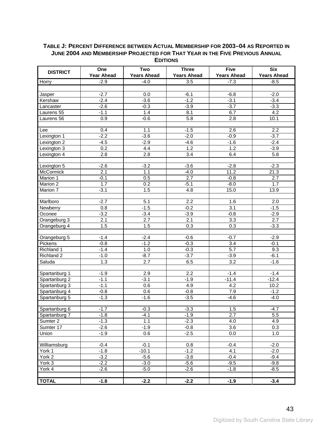#### **TABLE J: PERCENT DIFFERENCE BETWEEN ACTUAL MEMBERSHIP FOR 2003–04 AS REPORTED IN JUNE 2004 AND MEMBERSHIP PROJECTED FOR THAT YEAR IN THE FIVE PREVIOUS ANNUAL EDITIONS**

| <b>DISTRICT</b> | One<br><b>Year Ahead</b> | Two<br><b>Years Ahead</b> | <b>Three</b><br><b>Years Ahead</b> | <b>Five</b><br><b>Years Ahead</b> | <b>Six</b><br><b>Years Ahead</b> |
|-----------------|--------------------------|---------------------------|------------------------------------|-----------------------------------|----------------------------------|
| Horry           | $-2.9$                   | $-4.0$                    | 3.5                                | $-7.3$                            | $-8.5$                           |
|                 |                          |                           |                                    |                                   |                                  |
| Jasper          | $-2.7$                   | $0.0\,$                   | $-6.1$                             | $-6.8$                            | $-2.0$                           |
| Kershaw         | $-2.4$                   | $-3.6$                    | $-1.2$                             | $-3.1$                            | $-3.4$                           |
| Lancaster       | $-2.6$                   | $-0.3$                    | $-3.9$                             | $-3.7$                            | $-3.3$                           |
| Laurens 55      | $-1.1$                   | 1.4                       | 8.1                                | 6.7                               | 4.2                              |
| Laurens 56      | 0.9                      | $-0.6$                    | 5.8                                | 2.8                               | 10.1                             |
|                 |                          |                           |                                    |                                   |                                  |
| Lee             | 0.4                      | 1.1                       | $-1.5$                             | 2.6                               | $\overline{2.2}$                 |
| Lexington 1     | $-2.2$                   | $-3.6$                    | $-2.0$                             | $-0.9$                            | $-3.7$                           |
| Lexington 2     | $-4.5$                   | $-2.9$                    | $-4.6$                             | $-1.6$                            | $-2.4$                           |
| Lexington 3     | 0.2                      | 4.4                       | $1.2$                              | 1.2                               | $-3.9$                           |
| Lexington 4     | $\overline{2.8}$         | 2.8                       | 3.4                                | 6.4                               | 5.8                              |
|                 |                          |                           |                                    |                                   |                                  |
| Lexington 5     | $-2.6$                   | $-3.2$                    | $-3.6$                             | $-2.8$                            | $-2.3$                           |
| McCormick       | 2.1                      | 1.1                       | $-4.0$                             | 11.2                              | 21.3                             |
| Marion 1        | $-0.1$                   | 0.5                       | 2.7                                | $-0.8$                            | 2.7                              |
| Marion 2        | 1.7                      | 0.2                       | $-5.1$                             | $-8.0$                            | 1.7                              |
| Marion 7        | $-3.1$                   | 1.5                       | 4.8                                | 15.0                              | 13.9                             |
|                 |                          |                           |                                    |                                   |                                  |
| Marlboro        | $-2.7$                   | 5.1                       | 2.2                                | 1.6                               | 2.0                              |
| Newberry        | 0.8                      | $-1.5$                    | $-0.2$                             | 3.1                               | $-1.5$                           |
| Oconee          | $-3.2$                   | $-3.4$                    | $-3.9$                             | $-0.8$                            | $-2.9$                           |
| Orangeburg 3    | 2.1                      | 2.7                       | 2.1                                | 3.3                               | 2.7                              |
| Orangeburg 4    | 1.5                      | 1.5                       | 0.3                                | 0.3                               | $-3.3$                           |
|                 |                          |                           |                                    |                                   |                                  |
| Orangeburg 5    | $-1.4$                   | $-2.4$                    | $-0.6$                             | $-0.7$                            | $-2.9$                           |
| Pickens         | $-0.8$                   | $-1.2$                    | $-0.3$                             | 3.4                               | $-0.1$                           |
| Richland 1      | $-1.4$                   | 1.0                       | $-0.3$                             | 5.7                               | 9.3                              |
| Richland 2      | $-1.0$                   | $-8.7$                    | $-3.7$                             | $-3.9$                            | $-6.1$                           |
| Saluda          | 1.3                      | 2.7                       | 6.5                                | $\overline{3.2}$                  | $-1.6$                           |
|                 |                          |                           |                                    |                                   |                                  |
| Spartanburg 1   | $-1.9$                   | 2.9                       | 2.2                                | $-1.4$                            | $-1.4$                           |
| Spartanburg 2   | $-1.1$                   | $-3.1$                    | $-1.9$                             | $-11.4$                           | $-12.4$                          |
| Spartanburg 3   | $-1.1$                   | 0.6                       | 4.9                                | 4.2                               | 10.2                             |
| Spartanburg 4   | $-0.8$                   | 0.6                       | $-0.8$                             | 7.9                               | $-1.2$                           |
| Spartanburg 5   | $-1.3$                   | $-1.6$                    | $-3.5$                             | $-4.6$                            | $-4.0$                           |
|                 |                          |                           |                                    |                                   |                                  |
| Spartanburg 6   | $-1.7$                   | $-0.3$                    | $-3.3$                             | 1.5                               | $-4.7$                           |
| Spartanburg 7   | $-1.8$                   | $-4.1$                    | $-1.9$                             | 2.7                               | 5.5                              |
| Sumter 2        | $-1.3$                   | 1.1                       | $-2.3$                             | 4.0                               | 4.9                              |
| Sumter 17       | $-2.6$                   | $-1.9$                    | $-0.8$                             | 3.6                               | $\overline{0.3}$                 |
| Union           | $-1.9$                   | 0.6                       | $-2.5$                             | 0.0                               | 1.0                              |
|                 |                          |                           |                                    |                                   |                                  |
| Williamsburg    | $-0.4$                   | $-0.1$                    | 0.8                                | $-0.4$                            | $-2.0$                           |
| York 1          | $-1.8$                   | $-10.1$                   | $-1.2$                             | 4.1                               | $-2.0$                           |
| York 2          | $-3.2$                   | $-5.6$                    | $-3.8$                             | $-0.4$                            | $-9.4$                           |
| York 3          | $-2.2$                   | $-3.0$                    | $-5.6$                             | $-9.5$                            | $-9.8$                           |
| York 4          | $-2.6$                   | $-5.0$                    | $-2.6$                             | $-1.8$                            | $-8.5$                           |
| <b>TOTAL</b>    | $-1.8$                   | $-2.2$                    | $-2.2$                             | $-1.9$                            | $-3.4$                           |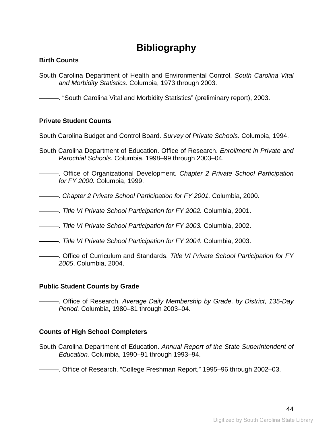# **Bibliography**

#### <span id="page-47-1"></span><span id="page-47-0"></span>**Birth Counts**

South Carolina Department of Health and Environmental Control. *South Carolina Vital and Morbidity Statistics.* Columbia, 1973 through 2003.

———. "South Carolina Vital and Morbidity Statistics" (preliminary report), 2003.

#### **Private Student Counts**

South Carolina Budget and Control Board. *Survey of Private Schools.* Columbia, 1994.

- South Carolina Department of Education. Office of Research. *Enrollment in Private and Parochial Schools.* Columbia, 1998–99 through 2003–04.
- ———. Office of Organizational Development. *Chapter 2 Private School Participation for FY 2000.* Columbia, 1999.
- ———. *Chapter 2 Private School Participation for FY 2001.* Columbia, 2000.
- ———. *Title VI Private School Participation for FY 2002.* Columbia, 2001.
- ———. *Title VI Private School Participation for FY 2003.* Columbia, 2002.
- ———. *Title VI Private School Participation for FY 2004.* Columbia, 2003.
- ———. Office of Curriculum and Standards. *Title VI Private School Participation for FY 2005*. Columbia, 2004.

#### **Public Student Counts by Grade**

———. Office of Research. *Average Daily Membership by Grade, by District, 135-Day Period.* Columbia, 1980–81 through 2003–04.

#### **Counts of High School Completers**

South Carolina Department of Education. *Annual Report of the State Superintendent of Education.* Columbia, 1990–91 through 1993–94.

———. Office of Research. "College Freshman Report," 1995–96 through 2002–03.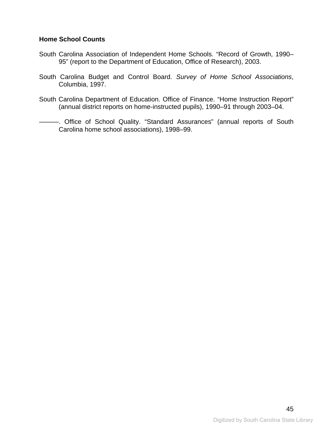#### **Home School Counts**

- South Carolina Association of Independent Home Schools. "Record of Growth, 1990– 95" (report to the Department of Education, Office of Research), 2003.
- South Carolina Budget and Control Board. *Survey of Home School Associations*, Columbia, 1997.
- South Carolina Department of Education. Office of Finance. "Home Instruction Report" (annual district reports on home-instructed pupils), 1990–91 through 2003–04.
- ———. Office of School Quality. "Standard Assurances" (annual reports of South Carolina home school associations), 1998–99.